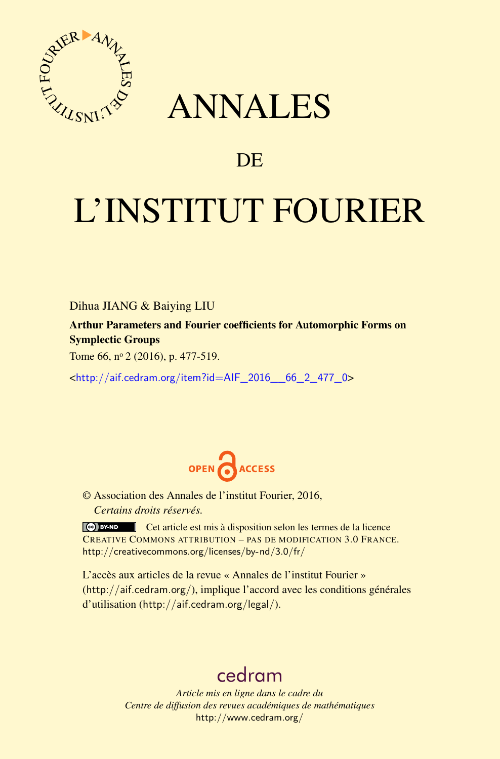

## ANNALES

## **DE**

# L'INSTITUT FOURIER

Dihua JIANG & Baiying LIU

Arthur Parameters and Fourier coefficients for Automorphic Forms on Symplectic Groups

Tome 66, nº 2 (2016), p. 477-519.

<[http://aif.cedram.org/item?id=AIF\\_2016\\_\\_66\\_2\\_477\\_0](http://aif.cedram.org/item?id=AIF_2016__66_2_477_0)>



© Association des Annales de l'institut Fourier, 2016, *Certains droits réservés.*

Cet article est mis à disposition selon les termes de la licence CREATIVE COMMONS ATTRIBUTION – PAS DE MODIFICATION 3.0 FRANCE. <http://creativecommons.org/licenses/by-nd/3.0/fr/>

L'accès aux articles de la revue « Annales de l'institut Fourier » (<http://aif.cedram.org/>), implique l'accord avec les conditions générales d'utilisation (<http://aif.cedram.org/legal/>).

## [cedram](http://www.cedram.org/)

*Article mis en ligne dans le cadre du Centre de diffusion des revues académiques de mathématiques* <http://www.cedram.org/>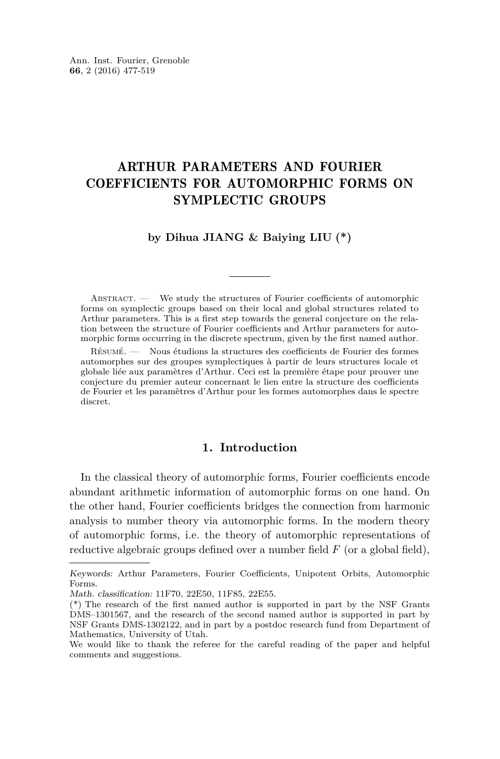### ARTHUR PARAMETERS AND FOURIER COEFFICIENTS FOR AUTOMORPHIC FORMS ON SYMPLECTIC GROUPS

#### **by Dihua JIANG & Baiying LIU (\*)**

ABSTRACT. — We study the structures of Fourier coefficients of automorphic forms on symplectic groups based on their local and global structures related to Arthur parameters. This is a first step towards the general conjecture on the relation between the structure of Fourier coefficients and Arthur parameters for automorphic forms occurring in the discrete spectrum, given by the first named author.

Résumé. — Nous étudions la structures des coefficients de Fourier des formes automorphes sur des groupes symplectiques à partir de leurs structures locale et globale liée aux paramètres d'Arthur. Ceci est la première étape pour prouver une conjecture du premier auteur concernant le lien entre la structure des coefficients de Fourier et les paramètres d'Arthur pour les formes automorphes dans le spectre discret.

#### **1. Introduction**

In the classical theory of automorphic forms, Fourier coefficients encode abundant arithmetic information of automorphic forms on one hand. On the other hand, Fourier coefficients bridges the connection from harmonic analysis to number theory via automorphic forms. In the modern theory of automorphic forms, i.e. the theory of automorphic representations of reductive algebraic groups defined over a number field *F* (or a global field),

Keywords: Arthur Parameters, Fourier Coefficients, Unipotent Orbits, Automorphic Forms.

Math. classification: 11F70, 22E50, 11F85, 22E55.

<sup>(\*)</sup> The research of the first named author is supported in part by the NSF Grants DMS–1301567, and the research of the second named author is supported in part by NSF Grants DMS-1302122, and in part by a postdoc research fund from Department of Mathematics, University of Utah.

We would like to thank the referee for the careful reading of the paper and helpful comments and suggestions.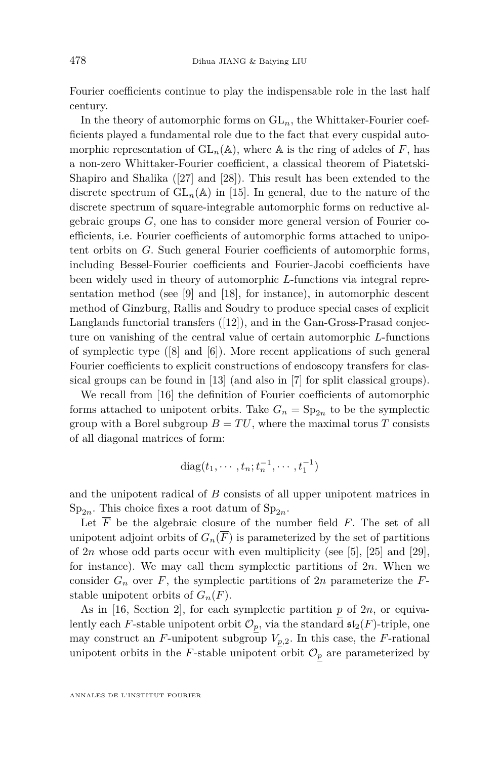Fourier coefficients continue to play the indispensable role in the last half century.

In the theory of automorphic forms on  $GL_n$ , the Whittaker-Fourier coefficients played a fundamental role due to the fact that every cuspidal automorphic representation of  $GL_n(\mathbb{A})$ , where  $\mathbb A$  is the ring of adeles of *F*, has a non-zero Whittaker-Fourier coefficient, a classical theorem of Piatetski-Shapiro and Shalika ([\[27\]](#page-43-0) and [\[28\]](#page-43-1)). This result has been extended to the discrete spectrum of  $GL_n(\mathbb{A})$  in [\[15\]](#page-42-0). In general, due to the nature of the discrete spectrum of square-integrable automorphic forms on reductive algebraic groups *G*, one has to consider more general version of Fourier coefficients, i.e. Fourier coefficients of automorphic forms attached to unipotent orbits on *G*. Such general Fourier coefficients of automorphic forms, including Bessel-Fourier coefficients and Fourier-Jacobi coefficients have been widely used in theory of automorphic *L*-functions via integral representation method (see [\[9\]](#page-42-1) and [\[18\]](#page-42-2), for instance), in automorphic descent method of Ginzburg, Rallis and Soudry to produce special cases of explicit Langlands functorial transfers ([\[12\]](#page-42-3)), and in the Gan-Gross-Prasad conjecture on vanishing of the central value of certain automorphic *L*-functions of symplectic type ([\[8\]](#page-42-4) and [\[6\]](#page-42-5)). More recent applications of such general Fourier coefficients to explicit constructions of endoscopy transfers for classical groups can be found in [\[13\]](#page-42-6) (and also in [\[7\]](#page-42-7) for split classical groups).

We recall from [\[16\]](#page-42-8) the definition of Fourier coefficients of automorphic forms attached to unipotent orbits. Take  $G_n = \text{Sp}_{2n}$  to be the symplectic group with a Borel subgroup  $B = TU$ , where the maximal torus *T* consists of all diagonal matrices of form:

diag
$$
(t_1, \dots, t_n; t_n^{-1}, \dots, t_1^{-1})
$$

and the unipotent radical of *B* consists of all upper unipotent matrices in  $Sp_{2n}$ . This choice fixes a root datum of  $Sp_{2n}$ .

Let  $\overline{F}$  be the algebraic closure of the number field  $F$ . The set of all unipotent adjoint orbits of  $G_n(\overline{F})$  is parameterized by the set of partitions of  $2n$  whose odd parts occur with even multiplicity (see [\[5\]](#page-42-9), [\[25\]](#page-43-2) and [\[29\]](#page-43-3), for instance). We may call them symplectic partitions of 2*n*. When we consider  $G_n$  over  $F$ , the symplectic partitions of  $2n$  parameterize the  $F$ stable unipotent orbits of  $G_n(F)$ .

As in [\[16,](#page-42-8) Section 2], for each symplectic partition *p* of 2*n*, or equivalently each *F*-stable unipotent orbit  $\mathcal{O}_p$ , via the standard  $\mathfrak{sl}_2(F)$ -triple, one may construct an *F*-unipotent subgroup  $V_{p,2}$ . In this case, the *F*-rational unipotent orbits in the *F*-stable unipotent orbit  $\mathcal{O}_p$  are parameterized by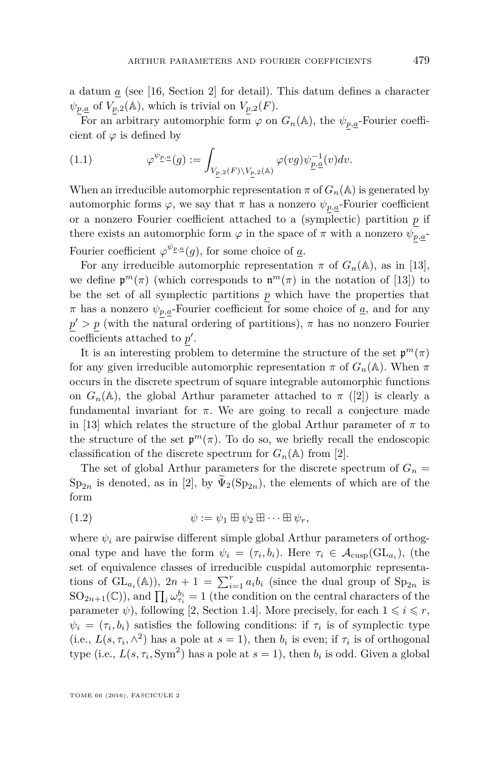a datum  $\alpha$  (see [\[16,](#page-42-8) Section 2] for detail). This datum defines a character  $\psi_{p,\underline{a}}$  of  $V_{p,2}(\mathbb{A})$ , which is trivial on  $V_{p,2}(F)$ .

For an arbitrary automorphic form  $\varphi$  on  $G_n(\mathbb{A})$ , the  $\psi_{p,a}$ -Fourier coefficient of  $\varphi$  is defined by

(1.1) 
$$
\varphi^{\psi_{\underline{p},\underline{a}}}(g) := \int_{V_{\underline{p},2}(F)\backslash V_{\underline{p},2}(\mathbb{A})} \varphi(vg)\psi_{\underline{p},\underline{a}}^{-1}(v)dv.
$$

When an irreducible automorphic representation  $\pi$  of  $G_n(\mathbb{A})$  is generated by automorphic forms  $\varphi$ , we say that  $\pi$  has a nonzero  $\psi_{p,a}$ -Fourier coefficient or a nonzero Fourier coefficient attached to a (symplectic) partition *p* if there exists an automorphic form  $\varphi$  in the space of  $\pi$  with a nonzero  $\psi_{p,\underline{a}}$ -Fourier coefficient  $\varphi^{\psi_{P},a}(g)$ , for some choice of <u>a</u>.

For any irreducible automorphic representation  $\pi$  of  $G_n(\mathbb{A})$ , as in [\[13\]](#page-42-6), we define  $\mathfrak{p}^m(\pi)$  (which corresponds to  $\mathfrak{n}^m(\pi)$  in the notation of [\[13\]](#page-42-6)) to be the set of all symplectic partitions *p* which have the properties that  $\pi$  has a nonzero  $\psi_{p,\underline{a}}$ -Fourier coefficient for some choice of <u>*a*</u>, and for any  $p' > p$  (with the natural ordering of partitions),  $\pi$  has no nonzero Fourier coefficients attached to  $p'$ .

It is an interesting problem to determine the structure of the set  $\mathfrak{p}^m(\pi)$ for any given irreducible automorphic representation  $\pi$  of  $G_n(\mathbb{A})$ . When  $\pi$ occurs in the discrete spectrum of square integrable automorphic functions on  $G_n(\mathbb{A})$ , the global Arthur parameter attached to  $\pi$  ([\[2\]](#page-42-10)) is clearly a fundamental invariant for  $\pi$ . We are going to recall a conjecture made in [\[13\]](#page-42-6) which relates the structure of the global Arthur parameter of  $\pi$  to the structure of the set  $\mathfrak{p}^m(\pi)$ . To do so, we briefly recall the endoscopic classification of the discrete spectrum for  $G_n(\mathbb{A})$  from [\[2\]](#page-42-10).

The set of global Arthur parameters for the discrete spectrum of  $G_n =$  $Sp_{2n}$  is denoted, as in [\[2\]](#page-42-10), by  $\widetilde{\Psi}_2(Sp_{2n})$ , the elements of which are of the form

(1.2) 
$$
\psi := \psi_1 \boxplus \psi_2 \boxplus \cdots \boxplus \psi_r,
$$

where  $\psi_i$  are pairwise different simple global Arthur parameters of orthogonal type and have the form  $\psi_i = (\tau_i, b_i)$ . Here  $\tau_i \in \mathcal{A}_{\text{cusp}}(\text{GL}_{a_i})$ , (the set of equivalence classes of irreducible cuspidal automorphic representations of  $GL_{a_i}(\mathbb{A}))$ ,  $2n+1 = \sum_{i=1}^r a_i b_i$  (since the dual group of  $Sp_{2n}$  is  $SO_{2n+1}(\mathbb{C})$ ), and  $\prod_i \omega_{\tau_i}^{b_i} = 1$  (the condition on the central characters of the parameter  $\psi$ ), following [\[2,](#page-42-10) Section 1.4]. More precisely, for each  $1 \leq i \leq r$ ,  $\psi_i = (\tau_i, b_i)$  satisfies the following conditions: if  $\tau_i$  is of symplectic type (i.e.,  $L(s, \tau_i, \wedge^2)$  has a pole at  $s = 1$ ), then  $b_i$  is even; if  $\tau_i$  is of orthogonal type (i.e.,  $L(s, \tau_i, \text{Sym}^2)$  has a pole at  $s = 1$ ), then  $b_i$  is odd. Given a global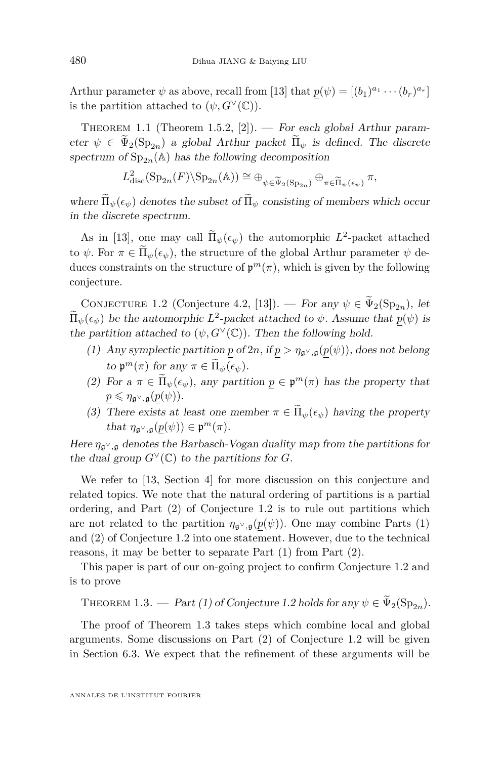Arthur parameter  $\psi$  as above, recall from [\[13\]](#page-42-6) that  $p(\psi) = [(b_1)^{a_1} \cdots (b_r)^{a_r}]$ is the partition attached to  $(\psi, G^{\vee}(\mathbb{C}))$ .

THEOREM 1.1 (Theorem 1.5.2, [\[2\]](#page-42-10)). — For each global Arthur parameter  $\psi \in \tilde{\Psi}_2(\mathrm{Sp}_{2n})$  a global Arthur packet  $\tilde{\Pi}_{\psi}$  is defined. The discrete spectrum of  $\text{Sp}_{2n}(\mathbb{A})$  has the following decomposition

$$
L^2_{\text{disc}}(\text{Sp}_{2n}(F)\backslash \text{Sp}_{2n}(\mathbb{A})) \cong \bigoplus_{\psi \in \widetilde{\Psi}_2(\text{Sp}_{2n})} \oplus_{\pi \in \widetilde{\Pi}_{\psi}(\epsilon_{\psi})} \pi,
$$

where  $\Pi_{\psi}(\epsilon_{\psi})$  denotes the subset of  $\Pi_{\psi}$  consisting of members which occur in the discrete spectrum.

As in [\[13\]](#page-42-6), one may call  $\Pi_{\psi}(\epsilon_{\psi})$  the automorphic  $L^2$ -packet attached to  $\psi$ . For  $\pi \in \Pi_{\psi}(\epsilon_{\psi})$ , the structure of the global Arthur parameter  $\psi$  deduces constraints on the structure of  $\mathfrak{p}^m(\pi)$ , which is given by the following conjecture.

<span id="page-4-0"></span>CONJECTURE 1.2 (Conjecture 4.2, [\[13\]](#page-42-6)). — For any  $\psi \in \tilde{\Psi}_2(\mathrm{Sp}_{2n})$ , let  $\Pi_{\psi}(\epsilon_{\psi})$  be the automorphic  $L^2$ -packet attached to  $\psi$ . Assume that  $p(\psi)$  is the partition attached to  $(\psi, G^{\vee}(\mathbb{C}))$ . Then the following hold.

- (1) Any symplectic partition *p* of 2*n*, if  $p > \eta_{\mathfrak{g}^\vee,\mathfrak{g}}(p(\psi))$ , does not belong  $\operatorname{tr}_\theta \mathfrak{p}^m(\pi) \text{ for any } \pi \in \Pi_\psi(\epsilon_\psi).$
- (2) For  $a \pi \in \Pi_{\psi}(\epsilon_{\psi})$ , any partition  $\underline{p} \in \mathfrak{p}^m(\pi)$  has the property that  $p \leqslant \eta_{\mathfrak{g}^\vee,\mathfrak{g}}(p(\psi)).$
- (3) There exists at least one member  $\pi \in \widetilde{\Pi}_{\psi}(\epsilon_{\psi})$  having the property that  $\eta_{\mathfrak{g}^\vee,\mathfrak{g}}(p(\psi)) \in \mathfrak{p}^m(\pi)$ .

Here  $\eta_{\mathfrak{q}^\vee,\mathfrak{q}}$  denotes the Barbasch-Vogan duality map from the partitions for the dual group  $G^{\vee}(\mathbb{C})$  to the partitions for *G*.

We refer to [\[13,](#page-42-6) Section 4] for more discussion on this conjecture and related topics. We note that the natural ordering of partitions is a partial ordering, and Part (2) of Conjecture [1.2](#page-4-0) is to rule out partitions which are not related to the partition  $\eta_{\mathfrak{g}^\vee,\mathfrak{g}}(p(\psi))$ . One may combine Parts (1) and (2) of Conjecture [1.2](#page-4-0) into one statement. However, due to the technical reasons, it may be better to separate Part (1) from Part (2).

This paper is part of our on-going project to confirm Conjecture [1.2](#page-4-0) and is to prove

<span id="page-4-1"></span>THEOREM 1.3. — Part (1) of Conjecture [1.2](#page-4-0) holds for any  $\psi \in \tilde{\Psi}_2(\mathrm{Sp}_{2n})$ .

The proof of Theorem [1.3](#page-4-1) takes steps which combine local and global arguments. Some discussions on Part (2) of Conjecture [1.2](#page-4-0) will be given in Section 6.3. We expect that the refinement of these arguments will be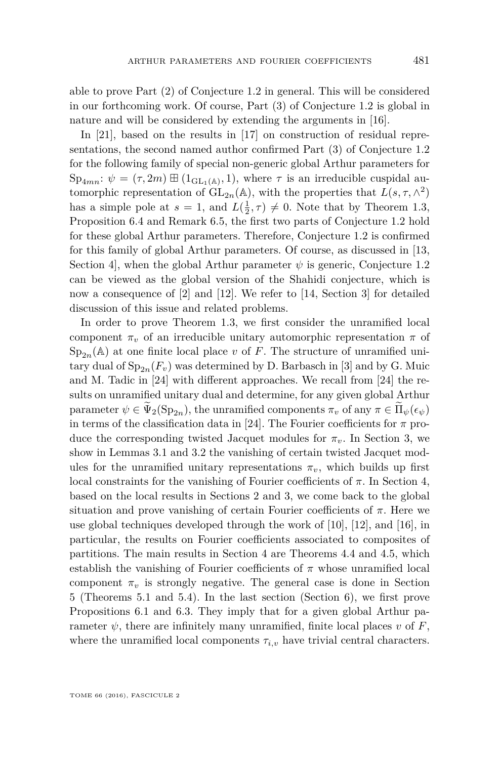able to prove Part (2) of Conjecture [1.2](#page-4-0) in general. This will be considered in our forthcoming work. Of course, Part (3) of Conjecture [1.2](#page-4-0) is global in nature and will be considered by extending the arguments in [\[16\]](#page-42-8).

In [\[21\]](#page-43-4), based on the results in [\[17\]](#page-42-11) on construction of residual representations, the second named author confirmed Part (3) of Conjecture [1.2](#page-4-0) for the following family of special non-generic global Arthur parameters for  $\text{Sp}_{4mn}$ :  $\psi = (\tau, 2m) \boxplus (1_{\text{GL}_1(\mathbb{A})}, 1)$ , where  $\tau$  is an irreducible cuspidal automorphic representation of  $GL_{2n}(\mathbb{A})$ , with the properties that  $L(s, \tau, \wedge^2)$ has a simple pole at  $s = 1$ , and  $L(\frac{1}{2}, \tau) \neq 0$ . Note that by Theorem [1.3,](#page-4-1) Proposition [6.4](#page-41-0) and Remark [6.5,](#page-41-1) the first two parts of Conjecture [1.2](#page-4-0) hold for these global Arthur parameters. Therefore, Conjecture [1.2](#page-4-0) is confirmed for this family of global Arthur parameters. Of course, as discussed in [\[13,](#page-42-6) Section 4, when the global Arthur parameter  $\psi$  is generic, Conjecture [1.2](#page-4-0) can be viewed as the global version of the Shahidi conjecture, which is now a consequence of [\[2\]](#page-42-10) and [\[12\]](#page-42-3). We refer to [\[14,](#page-42-12) Section 3] for detailed discussion of this issue and related problems.

In order to prove Theorem [1.3,](#page-4-1) we first consider the unramified local component  $\pi_v$  of an irreducible unitary automorphic representation  $\pi$  of  $Sp_{2n}(\mathbb{A})$  at one finite local place *v* of *F*. The structure of unramified unitary dual of  $Sp_{2n}(F_v)$  was determined by D. Barbasch in [\[3\]](#page-42-13) and by G. Muic and M. Tadic in [\[24\]](#page-43-5) with different approaches. We recall from [\[24\]](#page-43-5) the results on unramified unitary dual and determine, for any given global Arthur parameter  $\psi \in \tilde{\Psi}_2(\mathrm{Sp}_{2n})$ , the unramified components  $\pi_v$  of any  $\pi \in \Pi_{\psi}(\epsilon_{\psi})$ in terms of the classification data in [\[24\]](#page-43-5). The Fourier coefficients for  $\pi$  produce the corresponding twisted Jacquet modules for  $\pi_v$ . In Section 3, we show in Lemmas [3.1](#page-13-0) and [3.2](#page-16-0) the vanishing of certain twisted Jacquet modules for the unramified unitary representations  $\pi_v$ , which builds up first local constraints for the vanishing of Fourier coefficients of *π*. In Section 4, based on the local results in Sections 2 and 3, we come back to the global situation and prove vanishing of certain Fourier coefficients of  $\pi$ . Here we use global techniques developed through the work of  $[10]$ ,  $[12]$ , and  $[16]$ , in particular, the results on Fourier coefficients associated to composites of partitions. The main results in Section 4 are Theorems [4.4](#page-19-0) and [4.5,](#page-25-0) which establish the vanishing of Fourier coefficients of  $\pi$  whose unramified local component  $\pi_v$  is strongly negative. The general case is done in Section 5 (Theorems [5.1](#page-26-0) and [5.4\)](#page-37-0). In the last section (Section 6), we first prove Propositions [6.1](#page-38-0) and [6.3.](#page-39-0) They imply that for a given global Arthur parameter  $\psi$ , there are infinitely many unramified, finite local places *v* of *F*, where the unramified local components  $\tau_{i,v}$  have trivial central characters.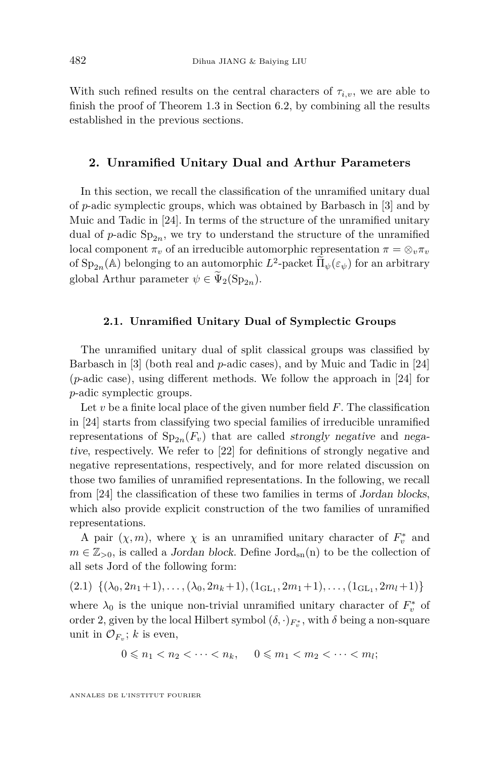With such refined results on the central characters of  $\tau_{i,v}$ , we are able to finish the proof of Theorem [1.3](#page-4-1) in Section 6.2, by combining all the results established in the previous sections.

#### **2. Unramified Unitary Dual and Arthur Parameters**

In this section, we recall the classification of the unramified unitary dual of *p*-adic symplectic groups, which was obtained by Barbasch in [\[3\]](#page-42-13) and by Muic and Tadic in [\[24\]](#page-43-5). In terms of the structure of the unramified unitary dual of  $p$ -adic  $Sp_{2n}$ , we try to understand the structure of the unramified local component  $\pi_v$  of an irreducible automorphic representation  $\pi = \otimes_v \pi_v$ of  $\text{Sp}_{2n}(\mathbb{A})$  belonging to an automorphic  $L^2$ -packet  $\widetilde{\Pi}_{\psi}(\varepsilon_{\psi})$  for an arbitrary global Arthur parameter  $\psi \in \widetilde{\Psi}_2(\mathrm{Sp}_{2n}).$ 

#### **2.1. Unramified Unitary Dual of Symplectic Groups**

The unramified unitary dual of split classical groups was classified by Barbasch in [\[3\]](#page-42-13) (both real and *p*-adic cases), and by Muic and Tadic in [\[24\]](#page-43-5) (*p*-adic case), using different methods. We follow the approach in [\[24\]](#page-43-5) for *p*-adic symplectic groups.

Let *v* be a finite local place of the given number field *F*. The classification in [\[24\]](#page-43-5) starts from classifying two special families of irreducible unramified representations of  $Sp_{2n}(F_v)$  that are called strongly negative and negative, respectively. We refer to [\[22\]](#page-43-6) for definitions of strongly negative and negative representations, respectively, and for more related discussion on those two families of unramified representations. In the following, we recall from [\[24\]](#page-43-5) the classification of these two families in terms of Jordan blocks, which also provide explicit construction of the two families of unramified representations.

A pair  $(\chi, m)$ , where  $\chi$  is an unramified unitary character of  $F_v^*$  and  $m \in \mathbb{Z}_{>0}$ , is called a *Jordan block*. Define  $Jord_{sn}(n)$  to be the collection of all sets Jord of the following form:

<span id="page-6-0"></span>
$$
(2.1) \{(\lambda_0, 2n_1+1), \ldots, (\lambda_0, 2n_k+1), (1_{\text{GL}_1}, 2m_1+1), \ldots, (1_{\text{GL}_1}, 2m_l+1)\}\
$$

where  $\lambda_0$  is the unique non-trivial unramified unitary character of  $F_v^*$  of order 2, given by the local Hilbert symbol  $(\delta, \cdot)_{F_v^*}$ , with  $\delta$  being a non-square unit in  $\mathcal{O}_{F_v}$ ; *k* is even,

$$
0 \leqslant n_1 < n_2 < \cdots < n_k, \quad 0 \leqslant m_1 < m_2 < \cdots < m_l;
$$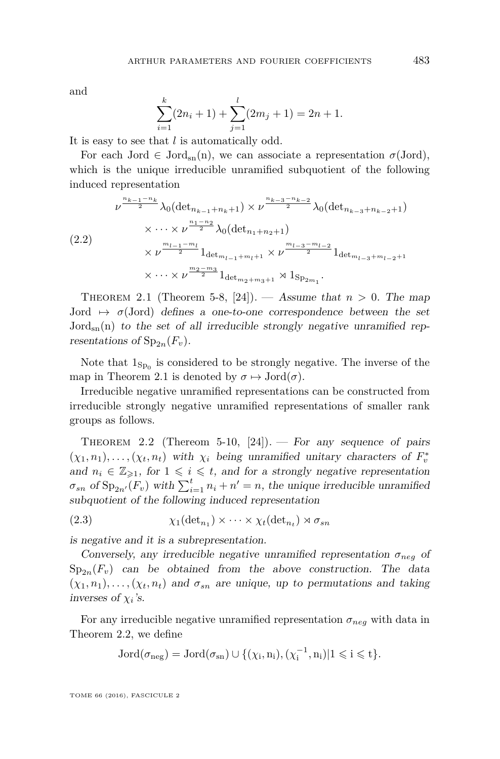and

$$
\sum_{i=1}^{k} (2n_i + 1) + \sum_{j=1}^{l} (2m_j + 1) = 2n + 1.
$$

It is easy to see that *l* is automatically odd.

For each Jord  $\in$  Jord<sub>sn</sub>(n), we can associate a representation  $\sigma$ (Jord), which is the unique irreducible unramified subquotient of the following induced representation

$$
\nu^{\frac{n_{k-1}-n_k}{2}} \lambda_0(\det_{n_{k-1}+n_k+1}) \times \nu^{\frac{n_{k-3}-n_{k-2}}{2}} \lambda_0(\det_{n_{k-3}+n_{k-2}+1})
$$
  

$$
\times \cdots \times \nu^{\frac{n_1-n_2}{2}} \lambda_0(\det_{n_1+n_2+1})
$$
  

$$
\times \nu^{\frac{m_{l-1}-m_l}{2}} 1_{\det_{m_{l-1}+m_l+1}} \times \nu^{\frac{m_{l-3}-m_{l-2}}{2}} 1_{\det_{m_{l-3}+m_{l-2}+1}}
$$
  

$$
\times \cdots \times \nu^{\frac{m_2-m_3}{2}} 1_{\det_{m_2+m_3+1}} \rtimes 1_{\text{Sp}_{2m_1}}.
$$

<span id="page-7-0"></span>THEOREM 2.1 (Theorem 5-8, [\[24\]](#page-43-5)). — Assume that  $n > 0$ . The map Jord  $\mapsto \sigma$ (Jord) defines a one-to-one correspondence between the set  $Jord_{sn}(n)$  to the set of all irreducible strongly negative unramified representations of  $Sp_{2n}(F_v)$ .

Note that  $1_{\text{Sp}_0}$  is considered to be strongly negative. The inverse of the map in Theorem [2.1](#page-7-0) is denoted by  $\sigma \mapsto \text{Jord}(\sigma)$ .

Irreducible negative unramified representations can be constructed from irreducible strongly negative unramified representations of smaller rank groups as follows.

<span id="page-7-1"></span>THEOREM 2.2 (Thereom 5-10,  $[24]$ ). — For any sequence of pairs  $(\chi_1, n_1), \ldots, (\chi_t, n_t)$  with  $\chi_i$  being unramified unitary characters of  $F_v^*$ and  $n_i \in \mathbb{Z}_{\geq 1}$ , for  $1 \leq i \leq t$ , and for a strongly negative representation  $\sigma_{sn}$  of  $Sp_{2n'}(F_v)$  with  $\sum_{i=1}^{t} n_i + n' = n$ , the unique irreducible unramified subquotient of the following induced representation

(2.3)  $\chi_1(\det_{n_1}) \times \cdots \times \chi_t(\det_{n_t}) \rtimes \sigma_{sn}$ 

is negative and it is a subrepresentation.

Conversely, any irreducible negative unramified representation  $\sigma_{neg}$  of  $Sp_{2n}(F_v)$  can be obtained from the above construction. The data  $(\chi_1, n_1), \ldots, (\chi_t, n_t)$  and  $\sigma_{sn}$  are unique, up to permutations and taking inverses of  $\chi_i$ 's.

For any irreducible negative unramified representation  $\sigma_{neq}$  with data in Theorem [2.2,](#page-7-1) we define

$$
\operatorname{Jord}(\sigma_{\operatorname{neg}})=\operatorname{Jord}(\sigma_{\operatorname{sn}})\cup\{(\chi_i,n_i),(\chi_i^{-1},n_i)|1\leqslant i\leqslant t\}.
$$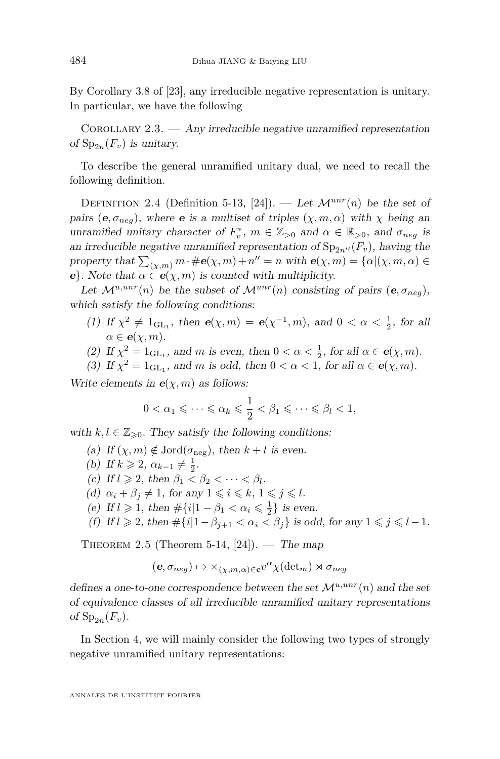By Corollary 3.8 of [\[23\]](#page-43-7), any irreducible negative representation is unitary. In particular, we have the following

COROLLARY  $2.3.$  — Any irreducible negative unramified representation of  $Sp_{2n}(F_v)$  is unitary.

To describe the general unramified unitary dual, we need to recall the following definition.

DEFINITION 2.4 (Definition 5-13, [\[24\]](#page-43-5)). — Let  $\mathcal{M}^{unr}(n)$  be the set of pairs ( $e, \sigma_{neq}$ ), where  $e$  is a multiset of triples  $(\chi, m, \alpha)$  with  $\chi$  being an unramified unitary character of  $F_v^*$ ,  $m \in \mathbb{Z}_{>0}$  and  $\alpha \in \mathbb{R}_{>0}$ , and  $\sigma_{neg}$  is an irreducible negative unramified representation of  $Sp_{2n''}(F_v)$ , having the property that  $\sum_{(\chi,m)} m \cdot \#e(\chi,m) + n'' = n$  with  $e(\chi,m) = {\alpha | (\chi,m,\alpha)} \in$ **e**}. Note that  $\alpha \in e(\chi, m)$  is counted with multiplicity.

Let  $\mathcal{M}^{u,unr}(n)$  be the subset of  $\mathcal{M}^{unr}(n)$  consisting of pairs  $(\mathbf{e}, \sigma_{neq})$ , which satisfy the following conditions:

- (1) If  $\chi^2 \neq 1_{\text{GL}_1}$ , then  $e(\chi, m) = e(\chi^{-1}, m)$ , and  $0 < \alpha < \frac{1}{2}$ , for all  $\alpha \in e(\gamma, m)$ .
- (2) If  $\chi^2 = 1_{\text{GL}_1}$ , and *m* is even, then  $0 < \alpha < \frac{1}{2}$ , for all  $\alpha \in \mathbf{e}(\chi, m)$ .
- (3) If  $\chi^2 = 1_{\text{GL}_1}$ , and *m* is odd, then  $0 < \alpha < 1$ , for all  $\alpha \in \mathbf{e}(\chi, m)$ .

Write elements in  $e(\chi, m)$  as follows:

$$
0 < \alpha_1 \leqslant \cdots \leqslant \alpha_k \leqslant \frac{1}{2} < \beta_1 \leqslant \cdots \leqslant \beta_l < 1,
$$

with  $k, l \in \mathbb{Z}_{\geq 0}$ . They satisfy the following conditions:

- (a) If  $(\chi, m) \notin \text{Jord}(\sigma_{\text{neg}})$ , then  $k + l$  is even.
- (b) If  $k \ge 2$ ,  $\alpha_{k-1} \ne \frac{1}{2}$ .
- (c) If  $l \geq 2$ , then  $\beta_1 < \beta_2 < \cdots < \beta_l$ .
- (d)  $\alpha_i + \beta_j \neq 1$ , for any  $1 \leq i \leq k$ ,  $1 \leq j \leq l$ .
- (e) If  $l \geq 1$ , then  $\#\{i | 1 \beta_1 < \alpha_i \leq \frac{1}{2}\}$  is even.
- (f) If  $l \ge 2$ , then  $\#\{i | 1 \beta_{i+1} < \alpha_i < \beta_i\}$  is odd, for any  $1 \le j \le l-1$ .

<span id="page-8-0"></span>THEOREM 2.5 (Theorem 5-14, [\[24\]](#page-43-5)). — The map

$$
(\mathbf{e}, \sigma_{neg}) \mapsto \times_{(\chi,m,\alpha) \in \mathbf{e}} v^{\alpha} \chi(\det_m) \rtimes \sigma_{neg}
$$

defines a one-to-one correspondence between the set  $\mathcal{M}^{u,unr}(n)$  and the set of equivalence classes of all irreducible unramified unitary representations of  $Sp_{2n}(F_v)$ .

In Section 4, we will mainly consider the following two types of strongly negative unramified unitary representations: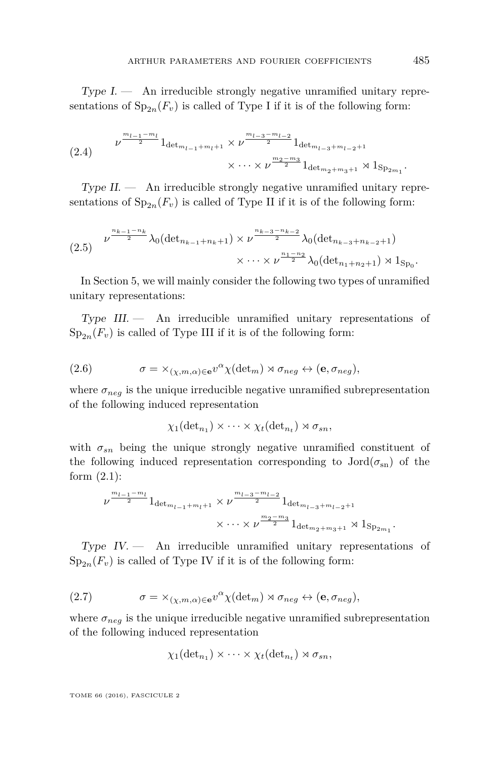$Type I.$  — An irreducible strongly negative unramified unitary representations of  $Sp_{2n}(F_v)$  is called of Type I if it is of the following form:

<span id="page-9-1"></span>
$$
(2.4) \qquad \nu^{\frac{m_{l-1}-m_l}{2}} 1_{\det_{m_{l-1}+m_l+1}} \times \nu^{\frac{m_{l-3}-m_{l-2}}{2}} 1_{\det_{m_{l-3}+m_{l-2}+1}} \\ \times \cdots \times \nu^{\frac{m_2-m_3}{2}} 1_{\det_{m_2+m_3+1}} \rtimes 1_{\text{Sp}_{2m_1}}.
$$

 $Type II.$  — An irreducible strongly negative unramified unitary representations of  $Sp_{2n}(F_v)$  is called of Type II if it is of the following form:

<span id="page-9-2"></span>
$$
(2.5) \quad \nu^{\frac{n_{k-1}-n_k}{2}} \lambda_0 (\det_{n_{k-1}+n_k+1}) \times \nu^{\frac{n_{k-3}-n_{k-2}}{2}} \lambda_0 (\det_{n_{k-3}+n_{k-2}+1})
$$

$$
\times \cdots \times \nu^{\frac{n_1-n_2}{2}} \lambda_0 (\det_{n_1+n_2+1}) \rtimes 1_{\text{Sp}_0}.
$$

In Section 5, we will mainly consider the following two types of unramified unitary representations:

 $Type$   $III.$   $\longrightarrow$  An irreducible unramified unitary representations of  $Sp_{2n}(F_v)$  is called of Type III if it is of the following form:

(2.6) 
$$
\sigma = \times_{(\chi,m,\alpha) \in \mathbf{e}} v^{\alpha} \chi(\det_m) \rtimes \sigma_{neg} \leftrightarrow (\mathbf{e}, \sigma_{neg}),
$$

where  $\sigma_{neg}$  is the unique irreducible negative unramified subrepresentation of the following induced representation

<span id="page-9-0"></span>
$$
\chi_1(\det_{n_1}) \times \cdots \times \chi_t(\det_{n_t}) \rtimes \sigma_{sn},
$$

with  $\sigma_{sn}$  being the unique strongly negative unramified constituent of the following induced representation corresponding to  $Jord(\sigma_{sn})$  of the form  $(2.1)$ :

$$
\nu^{\frac{m_{l-1}-m_l}{2}} 1_{\det_{m_{l-1}+m_l+1}} \times \nu^{\frac{m_{l-3}-m_{l-2}}{2}} 1_{\det_{m_{l-3}+m_{l-2}+1}}
$$

$$
\times \cdots \times \nu^{\frac{m_2-m_3}{2}} 1_{\det_{m_2+m_3+1}} \rtimes 1_{\text{Sp}_{2m_1}}.
$$

Type IV. — An irreducible unramified unitary representations of  $Sp_{2n}(F_v)$  is called of Type IV if it is of the following form:

(2.7) 
$$
\sigma = \times_{(\chi,m,\alpha) \in \mathbf{e}} v^{\alpha} \chi(\det_m) \rtimes \sigma_{neg} \leftrightarrow (\mathbf{e}, \sigma_{neg}),
$$

where  $\sigma_{neg}$  is the unique irreducible negative unramified subrepresentation of the following induced representation

<span id="page-9-3"></span>
$$
\chi_1(\det_{n_1}) \times \cdots \times \chi_t(\det_{n_t}) \rtimes \sigma_{sn},
$$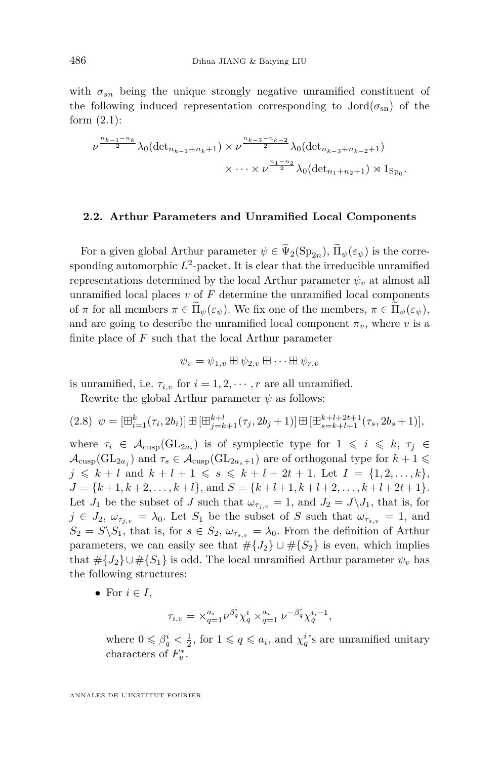with  $\sigma_{sn}$  being the unique strongly negative unramified constituent of the following induced representation corresponding to  $Jord(\sigma_{sn})$  of the form  $(2.1)$ :

$$
\nu^{\frac{n_{k-1}-n_k}{2}} \lambda_0(\det_{n_{k-1}+n_k+1}) \times \nu^{\frac{n_{k-3}-n_{k-2}}{2}} \lambda_0(\det_{n_{k-3}+n_{k-2}+1})
$$
  
 
$$
\times \cdots \times \nu^{\frac{n_1-n_2}{2}} \lambda_0(\det_{n_1+n_2+1}) \times 1_{\text{Sp}_0}.
$$

#### **2.2. Arthur Parameters and Unramified Local Components**

For a given global Arthur parameter  $\psi \in \tilde{\Psi}_2(\mathrm{Sp}_{2n}), \tilde{\Pi}_{\psi}(\varepsilon_{\psi})$  is the corresponding automorphic  $L^2$ -packet. It is clear that the irreducible unramified representations determined by the local Arthur parameter  $\psi_v$  at almost all unramified local places  $v$  of  $F$  determine the unramified local components of  $\pi$  for all members  $\pi \in \Pi_{\psi}(\varepsilon_{\psi})$ . We fix one of the members,  $\pi \in \Pi_{\psi}(\varepsilon_{\psi})$ , and are going to describe the unramified local component  $\pi_v$ , where *v* is a finite place of *F* such that the local Arthur parameter

$$
\psi_v = \psi_{1,v} \boxplus \psi_{2,v} \boxplus \cdots \boxplus \psi_{r,v}
$$

is unramified, i.e.  $\tau_{i,v}$  for  $i = 1, 2, \dots, r$  are all unramified.

Rewrite the global Arthur parameter  $\psi$  as follows:

$$
(2.8) \psi = [\boxplus_{i=1}^k (\tau_i, 2b_i)] \boxplus [\boxplus_{j=k+1}^{k+l} (\tau_j, 2b_j + 1)] \boxplus [\boxplus_{s=k+l+1}^{k+l+2t+1} (\tau_s, 2b_s + 1)],
$$

where  $\tau_i \in A_{\text{cusp}}(\text{GL}_{2a_i})$  is of symplectic type for  $1 \leqslant i \leqslant k$ ,  $\tau_j \in$  $\mathcal{A}_{\text{cusp}}(\text{GL}_{2a_j})$  and  $\tau_s \in \mathcal{A}_{\text{cusp}}(\text{GL}_{2a_s+1})$  are of orthogonal type for  $k+1 \leq$  $j \leq k + l$  and  $k + l + 1 \leq s \leq k + l + 2t + 1$ . Let  $I = \{1, 2, \ldots, k\},\$  $J = \{k+1, k+2, \ldots, k+l\},\$  and  $S = \{k+l+1, k+l+2, \ldots, k+l+2t+1\}.$ Let  $J_1$  be the subset of *J* such that  $\omega_{\tau_{j,v}} = 1$ , and  $J_2 = J \setminus J_1$ , that is, for  $j \in J_2$ ,  $\omega_{\tau_{i,v}} = \lambda_0$ . Let  $S_1$  be the subset of *S* such that  $\omega_{\tau_{s,v}} = 1$ , and  $S_2 = S \setminus S_1$ , that is, for  $s \in S_2$ ,  $\omega_{\tau_{s,v}} = \lambda_0$ . From the definition of Arthur parameters, we can easily see that  $\#{J_2} \cup \#{S_2}$  is even, which implies that  $\#\{J_2\}\cup\#\{S_1\}$  is odd. The local unramified Arthur parameter  $\psi_v$  has the following structures:

• For  $i \in I$ ,

$$
\tau_{i,v} = \times_{q=1}^{a_i} \nu^{\beta_q^i} \chi_q^i \times_{q=1}^{a_i} \nu^{-\beta_q^i} \chi_q^{i,-1},
$$

where  $0 \le \beta_q^i < \frac{1}{2}$ , for  $1 \le q \le a_i$ , and  $\chi_q^i$ 's are unramified unitary characters of  $F_v^*$ .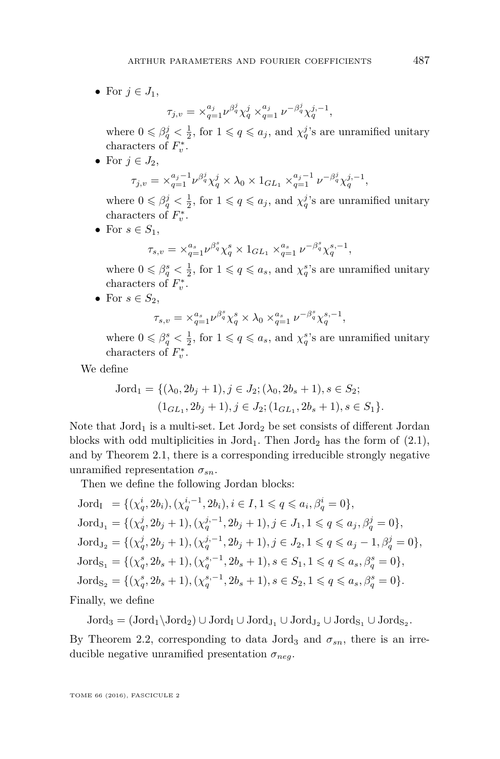• For  $j \in J_1$ ,

$$
\tau_{j,v} = \times_{q=1}^{a_j} \nu^{\beta_q^j} \chi_q^j \times_{q=1}^{a_j} \nu^{-\beta_q^j} \chi_q^{j,-1},
$$

where  $0 \le \beta_q^j < \frac{1}{2}$ , for  $1 \le q \le a_j$ , and  $\chi_q^j$ 's are unramified unitary characters of  $F_v^*$ .

• For  $j \in J_2$ ,

$$
\tau_{j,v} = \times_{q=1}^{a_j - 1} \nu^{\beta_q^j} \chi_q^j \times \lambda_0 \times 1_{GL_1} \times_{q=1}^{a_j - 1} \nu^{-\beta_q^j} \chi_q^{j,-1},
$$

where  $0 \le \beta_q^j < \frac{1}{2}$ , for  $1 \le q \le a_j$ , and  $\chi_q^j$ 's are unramified unitary characters of  $F_v^*$ .

• For  $s \in S_1$ ,

$$
\tau_{s,v} = \times_{q=1}^{\alpha_s} \nu^{\beta_s^s} \chi_q^s \times 1_{GL_1} \times_{q=1}^{\alpha_s} \nu^{-\beta_q^s} \chi_q^{s,-1},
$$

where  $0 \le \beta_q^s < \frac{1}{2}$ , for  $1 \le q \le a_s$ , and  $\chi_q^s$ 's are unramified unitary characters of  $F_v^*$ .

• For  $s \in S_2$ ,

$$
\tau_{s,v} = \times_{q=1}^{a_s} \nu^{\beta^s_q} \chi_q^s \times \lambda_0 \times_{q=1}^{a_s} \nu^{-\beta^s_q} \chi_q^{s,-1},
$$

where  $0 \le \beta_q^s < \frac{1}{2}$ , for  $1 \le q \le a_s$ , and  $\chi_q^s$ 's are unramified unitary characters of  $F_v^*$ .

We define

$$
Jord1 = \{ (\lambda0, 2bj + 1), j \in J2; (\lambda0, 2bs + 1), s \in S2; (1GL1, 2bj + 1), j \in J2; (1GL1, 2bs + 1), s \in S1 \}.
$$

Note that  $Jord<sub>1</sub>$  is a multi-set. Let  $Jord<sub>2</sub>$  be set consists of different Jordan blocks with odd multiplicities in Jord<sub>1</sub>. Then Jord<sub>2</sub> has the form of  $(2.1)$ , and by Theorem [2.1,](#page-7-0) there is a corresponding irreducible strongly negative unramified representation  $\sigma_{sn}$ .

Then we define the following Jordan blocks:

Jord<sub>I</sub> = { $(\chi_q^i, 2b_i), (\chi_q^{i,-1}, 2b_i), i \in I, 1 \leq q \leq a_i, \beta_q^i = 0$ },  $Jord_{J_1} = \{(\chi_q^j, 2b_j + 1), (\chi_q^{j,-1}, 2b_j + 1), j \in J_1, 1 \leq q \leq a_j, \beta_q^j = 0\},\$  $Jord_{J_2} = \{(\chi_q^j, 2b_j + 1), (\chi_q^{j,-1}, 2b_j + 1), j \in J_2, 1 \leq q \leq a_j - 1, \beta_q^j = 0\},\$  $Jord_{S_1} = \{(\chi_q^s, 2b_s + 1), (\chi_q^{s,-1}, 2b_s + 1), s \in S_1, 1 \leq q \leq a_s, \beta_q^s = 0\},\$  $Jord_{S_2} = \{(\chi_q^s, 2b_s + 1), (\chi_q^{s,-1}, 2b_s + 1), s \in S_2, 1 \leq q \leq a_s, \beta_q^s = 0\}.$ Finally, we define

 $\mathrm{Jord}_3 = (\mathrm{Jord}_1 \setminus \mathrm{Jord}_2) \cup \mathrm{Jord}_1 \cup \mathrm{Jord}_{J_1} \cup \mathrm{Jord}_{J_2} \cup \mathrm{Jord}_{S_1} \cup \mathrm{Jord}_{S_2}.$ 

By Theorem [2.2,](#page-7-1) corresponding to data Jord<sub>3</sub> and  $\sigma_{sn}$ , there is an irreducible negative unramified presentation *σneg*.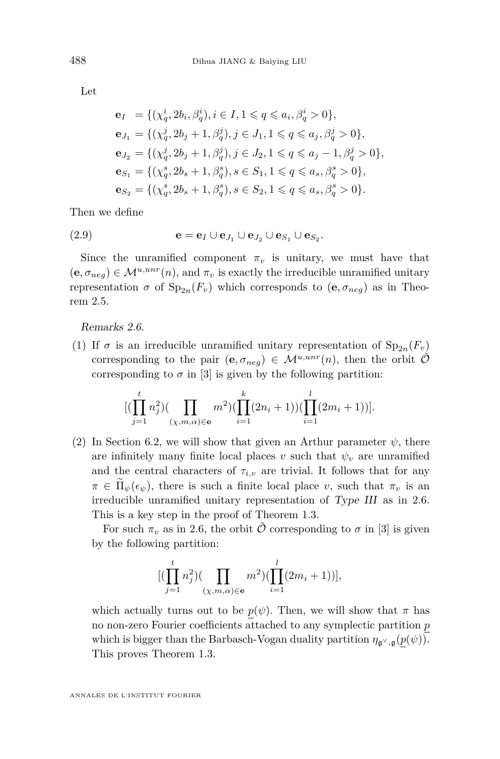Let

$$
\begin{aligned} \mathbf{e}_I &= \{ (\chi^i_q, 2b_i, \beta^i_q), i \in I, 1 \leq q \leq a_i, \beta^i_q > 0 \}, \\ \mathbf{e}_{J_1} &= \{ (\chi^j_q, 2b_j + 1, \beta^j_q), j \in J_1, 1 \leq q \leq a_j, \beta^j_q > 0 \}, \\ \mathbf{e}_{J_2} &= \{ (\chi^j_q, 2b_j + 1, \beta^j_q), j \in J_2, 1 \leq q \leq a_j - 1, \beta^j_q > 0 \}, \\ \mathbf{e}_{S_1} &= \{ (\chi^s_q, 2b_s + 1, \beta^s_q), s \in S_1, 1 \leq q \leq a_s, \beta^s_q > 0 \}, \\ \mathbf{e}_{S_2} &= \{ (\chi^s_q, 2b_s + 1, \beta^s_q), s \in S_2, 1 \leq q \leq a_s, \beta^s_q > 0 \}. \end{aligned}
$$

Then we define

$$
(2.9) \qquad \qquad \mathbf{e} = \mathbf{e}_I \cup \mathbf{e}_{J_1} \cup \mathbf{e}_{J_2} \cup \mathbf{e}_{S_1} \cup \mathbf{e}_{S_2}.
$$

Since the unramified component  $\pi_v$  is unitary, we must have that  $(\mathbf{e}, \sigma_{neq}) \in \mathcal{M}^{u,unr}(n)$ , and  $\pi_v$  is exactly the irreducible unramified unitary representation  $\sigma$  of  $Sp_{2n}(F_v)$  which corresponds to  $(e, \sigma_{neg})$  as in Theorem [2.5.](#page-8-0)

Remarks 2.6.

(1) If  $\sigma$  is an irreducible unramified unitary representation of  $Sp_{2n}(F_v)$ corresponding to the pair  $(e, \sigma_{neg}) \in \mathcal{M}^{u,unr}(n)$ , then the orbit  $\mathcal{O}$ corresponding to  $\sigma$  in [\[3\]](#page-42-13) is given by the following partition:

$$
[(\prod_{j=1}^{t} n_j^2)(\prod_{(\chi,m,\alpha)\in\mathbf{e}} m^2)(\prod_{i=1}^{k} (2n_i+1))(\prod_{i=1}^{l} (2m_i+1))].
$$

(2) In Section 6.2, we will show that given an Arthur parameter  $\psi$ , there are infinitely many finite local places  $v$  such that  $\psi_v$  are unramified and the central characters of  $\tau_{i,v}$  are trivial. It follows that for any  $\pi \in \tilde{\Pi}_{\psi}(\epsilon_{\psi})$ , there is such a finite local place *v*, such that  $\pi_{v}$  is an irreducible unramified unitary representation of Type III as in [2.6.](#page-9-0) This is a key step in the proof of Theorem [1.3.](#page-4-1)

For such  $\pi_v$  as in [2.6,](#page-9-0) the orbit  $\hat{\mathcal{O}}$  corresponding to  $\sigma$  in [\[3\]](#page-42-13) is given by the following partition:

$$
[(\prod_{j=1}^{t} n_j^2)(\prod_{(\chi,m,\alpha)\in\mathbf{e}} m^2)(\prod_{i=1}^{l} (2m_i+1))],
$$

which actually turns out to be  $p(\psi)$ . Then, we will show that  $\pi$  has no non-zero Fourier coefficients attached to any symplectic partition *p* which is bigger than the Barbasch-Vogan duality partition  $\eta_{\mathfrak{g}^\vee,\mathfrak{g}}(p(\psi))$ . This proves Theorem [1.3.](#page-4-1)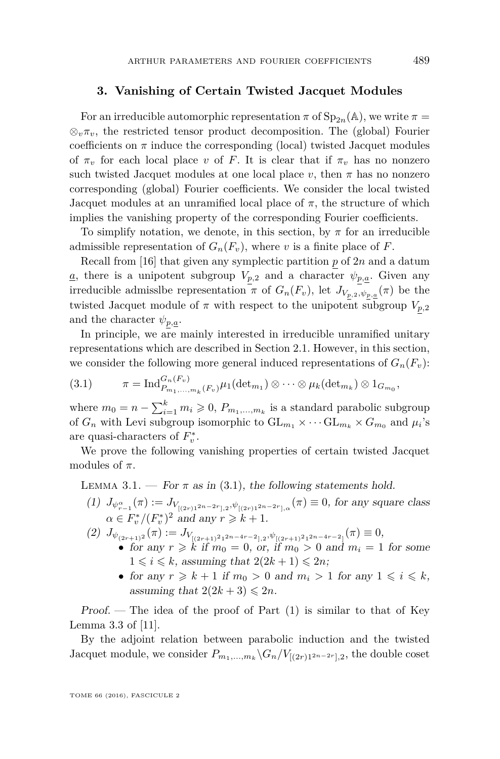#### **3. Vanishing of Certain Twisted Jacquet Modules**

For an irreducible automorphic representation  $\pi$  of  $Sp_{2n}(\mathbb{A})$ , we write  $\pi =$  $\otimes_{\nu} \pi_{\nu}$ , the restricted tensor product decomposition. The (global) Fourier coefficients on  $\pi$  induce the corresponding (local) twisted Jacquet modules of  $\pi_v$  for each local place *v* of *F*. It is clear that if  $\pi_v$  has no nonzero such twisted Jacquet modules at one local place  $v$ , then  $\pi$  has no nonzero corresponding (global) Fourier coefficients. We consider the local twisted Jacquet modules at an unramified local place of  $\pi$ , the structure of which implies the vanishing property of the corresponding Fourier coefficients.

To simplify notation, we denote, in this section, by  $\pi$  for an irreducible admissible representation of  $G_n(F_v)$ , where *v* is a finite place of *F*.

Recall from [\[16\]](#page-42-8) that given any symplectic partition *p* of 2*n* and a datum  $\underline{a}$ , there is a unipotent subgroup  $V_{p,2}$  and a character  $\psi_{p,\underline{a}}$ . Given any irreducible admissibe representation  $\pi$  of  $G_n(F_v)$ , let  $J_{V_{p,2},\psi_{p,a}}(\pi)$  be the twisted Jacquet module of  $\pi$  with respect to the unipotent subgroup  $V_{p,2}$ and the character  $\psi_{p,\underline{a}}$ .

In principle, we are mainly interested in irreducible unramified unitary representations which are described in Section 2.1. However, in this section, we consider the following more general induced representations of  $G_n(F_v)$ :

<span id="page-13-1"></span>(3.1) 
$$
\pi = \mathrm{Ind}_{P_{m_1,\ldots,m_k}(F_v)}^{G_n(F_v)} \mu_1(\mathrm{det}_{m_1}) \otimes \cdots \otimes \mu_k(\mathrm{det}_{m_k}) \otimes 1_{G_{m_0}},
$$

where  $m_0 = n - \sum_{i=1}^k m_i \geqslant 0$ ,  $P_{m_1,\dots,m_k}$  is a standard parabolic subgroup of  $G_n$  with Levi subgroup isomorphic to  $\mathrm{GL}_{m_1} \times \cdots \mathrm{GL}_{m_k} \times G_{m_0}$  and  $\mu_i$ 's are quasi-characters of  $F_v^*$ .

We prove the following vanishing properties of certain twisted Jacquet modules of  $\pi$ .

<span id="page-13-0"></span>LEMMA 3.1. — For  $\pi$  as in [\(3.1\)](#page-13-1), the following statements hold.

- $(1)$   $J_{\psi_{r-1}^{\alpha}}(\pi) := J_{V_{[(2r)1^{2n-2r}],2},\psi_{[(2r)1^{2n-2r}],\alpha}}(\pi) \equiv 0$ , for any square class  $\alpha \in F_v^*/(F_v^*)^2$  and any  $r \geq k+1$ .
- $(2)$   $J_{\psi_{(2r+1)^2}}(\pi) := J_{V_{[(2r+1)^2 1^{2n-4r-2}],2},\psi_{[(2r+1)^2 1^{2n-4r-2}]}}(\pi) \equiv 0,$ 
	- for any  $r \geq k$  if  $m_0 = 0$ , or, if  $m_0 > 0$  and  $m_i = 1$  for some  $1 \leq i \leq k$ , assuming that  $2(2k+1) \leq 2n$ ;
	- for any  $r \geq k+1$  if  $m_0 > 0$  and  $m_i > 1$  for any  $1 \leq i \leq k$ , assuming that  $2(2k+3) \leq 2n$ .

Proof.  $\Gamma$  The idea of the proof of Part (1) is similar to that of Key Lemma 3.3 of [\[11\]](#page-42-15).

By the adjoint relation between parabolic induction and the twisted Jacquet module, we consider  $P_{m_1,...,m_k} \backslash G_n / V_{[(2r)1^{2n-2r}],2}$ , the double coset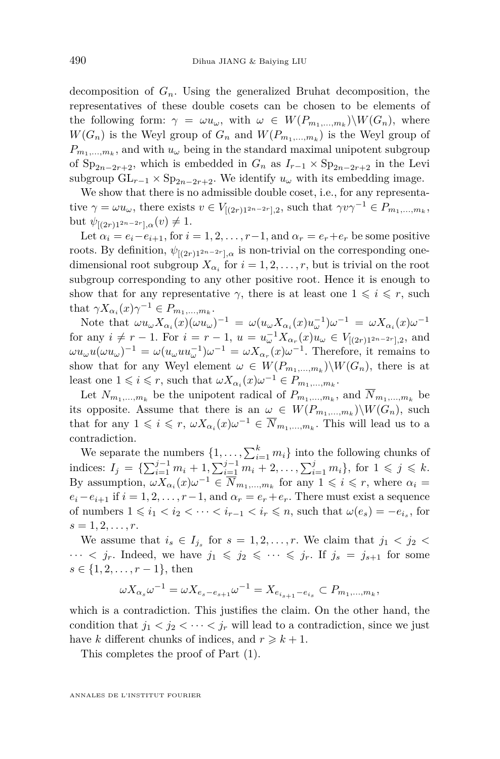decomposition of  $G_n$ . Using the generalized Bruhat decomposition, the representatives of these double cosets can be chosen to be elements of the following form:  $\gamma = \omega u_{\omega}$ , with  $\omega \in W(P_{m_1,...,m_k})\backslash W(G_n)$ , where  $W(G_n)$  is the Weyl group of  $G_n$  and  $W(P_{m_1,...,m_k})$  is the Weyl group of  $P_{m_1,\ldots,m_k}$ , and with  $u_\omega$  being in the standard maximal unipotent subgroup of  $Sp_{2n-2r+2}$ , which is embedded in  $G_n$  as  $I_{r-1} \times Sp_{2n-2r+2}$  in the Levi subgroup  $GL_{r-1} \times Sp_{2n-2r+2}$ . We identify  $u_\omega$  with its embedding image.

We show that there is no admissible double coset, i.e., for any representative  $\gamma = \omega u_{\omega}$ , there exists  $v \in V_{[(2r)1^{2n-2r}],2}$ , such that  $\gamma v \gamma^{-1} \in P_{m_1,...,m_k}$ , but  $\psi_{[(2r)1^{2n-2r}]$ *,α* $(v) \neq 1$ .

Let  $\alpha_i = e_i - e_{i+1}$ , for  $i = 1, 2, \ldots, r-1$ , and  $\alpha_r = e_r + e_r$  be some positive roots. By definition,  $\psi_{[(2r)1^{2n-2r}]$ *, a* is non-trivial on the corresponding onedimensional root subgroup  $X_{\alpha_i}$  for  $i = 1, 2, \ldots, r$ , but is trivial on the root subgroup corresponding to any other positive root. Hence it is enough to show that for any representative  $\gamma$ , there is at least one  $1 \leq i \leq r$ , such that  $\gamma X_{\alpha_i}(x)\gamma^{-1} \in P_{m_1,\ldots,m_k}$ .

Note that  $\omega u_{\omega} X_{\alpha_i}(x) (\omega u_{\omega})^{-1} = \omega (u_{\omega} X_{\alpha_i}(x) u_{\omega}^{-1}) \omega^{-1} = \omega X_{\alpha_i}(x) \omega^{-1}$ for any  $i \neq r - 1$ . For  $i = r - 1$ ,  $u = u_{\omega}^{-1} X_{\alpha_r}(x) u_{\omega} \in V_{[(2r)1^{2n-2r}],2}$ , and  $\omega u_{\omega} u(\omega u_{\omega})^{-1} = \omega (u_{\omega} u u_{\omega}^{-1}) \omega^{-1} = \omega X_{\alpha_r}(x) \omega^{-1}$ . Therefore, it remains to show that for any Weyl element  $\omega \in W(P_{m_1,...,m_k})\backslash W(G_n)$ , there is at least one  $1 \leq i \leq r$ , such that  $\omega X_{\alpha_i}(x) \omega^{-1} \in P_{m_1,...,m_k}$ .

Let  $N_{m_1,\dots,m_k}$  be the unipotent radical of  $P_{m_1,\dots,m_k}$ , and  $N_{m_1,\dots,m_k}$  be its opposite. Assume that there is an  $\omega \in W(P_{m_1,...,m_k})\backslash W(G_n)$ , such that for any  $1 \leqslant i \leqslant r$ ,  $\omega X_{\alpha_i}(x) \omega^{-1} \in \overline{N}_{m_1,\dots,m_k}$ . This will lead us to a contradiction.

We separate the numbers  $\{1, \ldots, \sum_{i=1}^{k} m_i\}$  into the following chunks of indices:  $I_j = \{ \sum_{i=1}^{j-1} m_i + 1, \sum_{i=1}^{j-1} m_i + 2, \ldots, \sum_{i=1}^{j} m_i \}$ , for 1 ≤ *j* ≤ *k*. By assumption,  $\omega X_{\alpha_i}(x) \omega^{-1} \in \overline{N}_{m_1,\dots,m_k}$  for any  $1 \leq i \leq r$ , where  $\alpha_i =$  $e_i - e_{i+1}$  if  $i = 1, 2, \ldots, r-1$ , and  $\alpha_r = e_r + e_r$ . There must exist a sequence of numbers  $1 \leq i_1 < i_2 < \cdots < i_{r-1} < i_r \leq n$ , such that  $\omega(e_s) = -e_{i_s}$ , for  $s = 1, 2, \ldots, r$ .

We assume that  $i_s \in I_{j_s}$  for  $s = 1, 2, \ldots, r$ . We claim that  $j_1 < j_2 <$  $\cdots$  *i*, Indeed, we have  $j_1 \leqslant j_2 \leqslant \cdots \leqslant j_r$ . If  $j_s = j_{s+1}$  for some  $s \in \{1, 2, \ldots, r-1\},\$ 

$$
\omega X_{\alpha_s} \omega^{-1} = \omega X_{e_s - e_{s+1}} \omega^{-1} = X_{e_{i_{s+1}} - e_{i_s}} \subset P_{m_1, ..., m_k},
$$

which is a contradiction. This justifies the claim. On the other hand, the condition that  $j_1 < j_2 < \cdots < j_r$  will lead to a contradiction, since we just have *k* different chunks of indices, and  $r \geq k+1$ .

This completes the proof of Part (1).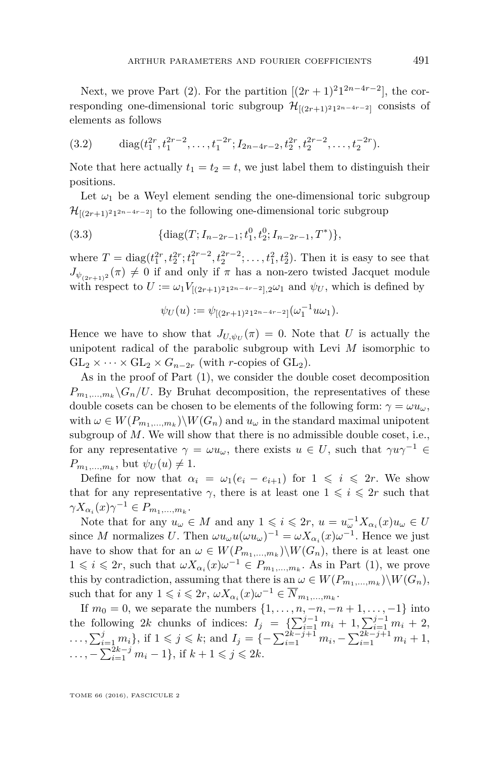Next, we prove Part (2). For the partition  $[(2r+1)^2]^{2n-4r-2}$ , the corresponding one-dimensional toric subgroup  $\mathcal{H}_{[(2r+1)^2]^{2n-4r-2}]}$  consists of elements as follows

$$
(3.2) \quad \text{diag}(t_1^{2r}, t_1^{2r-2}, \dots, t_1^{-2r}; I_{2n-4r-2}, t_2^{2r}, t_2^{2r-2}, \dots, t_2^{-2r}).
$$

Note that here actually  $t_1 = t_2 = t$ , we just label them to distinguish their positions.

Let  $\omega_1$  be a Weyl element sending the one-dimensional toric subgroup  $\mathcal{H}_{[(2r+1)^2 1^{2n-4r-2}]}$  to the following one-dimensional toric subgroup

(3.3) 
$$
\{\text{diag}(T; I_{n-2r-1}; t_1^0, t_2^0; I_{n-2r-1}, T^*)\},\
$$

where  $T = \text{diag}(t_1^{2r}, t_2^{2r}; t_1^{2r-2}, t_2^{2r-2}; \ldots, t_1^2, t_2^2)$ . Then it is easy to see that  $J_{\psi_{(2r+1)^2}}(\pi) \neq 0$  if and only if  $\pi$  has a non-zero twisted Jacquet module with respect to  $U := \omega_1 V_{[(2r+1)^2 1^{2n-4r-2}], 2} \omega_1$  and  $\psi_U$ , which is defined by

$$
\psi_U(u) := \psi_{[(2r+1)^2 1^{2n-4r-2}]}(\omega_1^{-1}u\omega_1).
$$

Hence we have to show that  $J_{U,\psi_U}(\pi) = 0$ . Note that *U* is actually the unipotent radical of the parabolic subgroup with Levi *M* isomorphic to  $GL_2 \times \cdots \times GL_2 \times G_{n-2r}$  (with *r*-copies of  $GL_2$ ).

As in the proof of Part (1), we consider the double coset decomposition  $P_{m_1,...,m_k} \backslash G_n/U$ . By Bruhat decomposition, the representatives of these double cosets can be chosen to be elements of the following form:  $\gamma = \omega u_{\omega}$ , with  $\omega \in W(P_{m_1,...,m_k})\backslash W(G_n)$  and  $u_{\omega}$  in the standard maximal unipotent subgroup of M. We will show that there is no admissible double coset, i.e., for any representative  $\gamma = \omega u_{\omega}$ , there exists  $u \in U$ , such that  $\gamma u \gamma^{-1} \in$  $P_{m_1,\dots,m_k}$ , but  $\psi_U(u) \neq 1$ .

Define for now that  $\alpha_i = \omega_1(e_i - e_{i+1})$  for  $1 \leq i \leq 2r$ . We show that for any representative  $\gamma$ , there is at least one  $1 \leqslant i \leqslant 2r$  such that  $\gamma X_{\alpha_i}(x) \gamma^{-1} \in P_{m_1,\ldots,m_k}$ .

Note that for any  $u_{\omega} \in M$  and any  $1 \leqslant i \leqslant 2r$ ,  $u = u_{\omega}^{-1} X_{\alpha_i}(x) u_{\omega} \in U$ since *M* normalizes *U*. Then  $\omega u_{\omega} u(\omega u_{\omega})^{-1} = \omega X_{\alpha_i}(x) \omega^{-1}$ . Hence we just have to show that for an  $\omega \in W(P_{m_1,...,m_k})\backslash W(G_n)$ , there is at least one  $1 \leq i \leq 2r$ , such that  $\omega X_{\alpha_i}(x) \omega^{-1} \in P_{m_1,...,m_k}$ . As in Part (1), we prove this by contradiction, assuming that there is an  $\omega \in W(P_{m_1,...,m_k})\backslash W(G_n)$ , such that for any  $1 \leqslant i \leqslant 2r$ ,  $\omega X_{\alpha_i}(x) \omega^{-1} \in \overline{N}_{m_1,\dots,m_k}$ .

If  $m_0 = 0$ , we separate the numbers  $\{1, ..., n, -n, -n+1, ..., -1\}$  into the following 2*k* chunks of indices:  $I_j = \{ \sum_{i=1}^{j-1} m_i + 1, \sum_{i=1}^{j-1} m_i + 2, \}$  $\ldots$ ,  $\sum_{i=1}^{j} m_i$ , if  $1 \leqslant j \leqslant k$ ; and  $I_j = \{-\sum_{i=1}^{2k-j+1} m_i, -\sum_{i=1}^{2k-j+1} m_i + 1,$  $\dots$ ,  $-\sum_{i=1}^{2k-j} m_i - 1$ , if  $k+1 \leq j \leq 2k$ .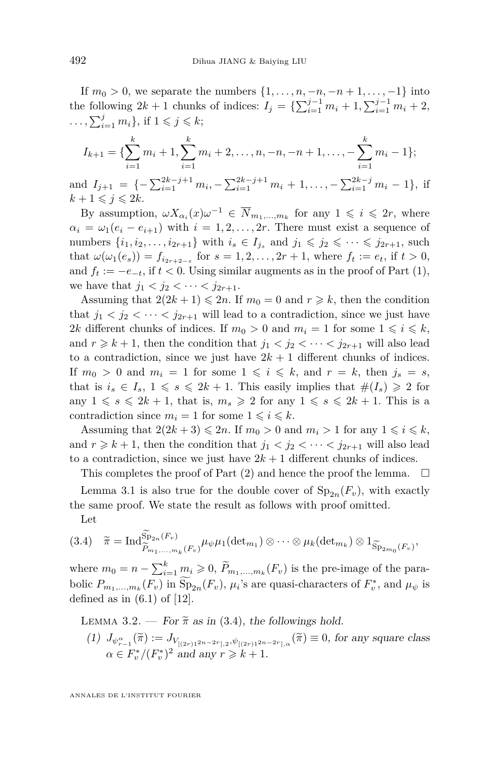If  $m_0 > 0$ , we separate the numbers  $\{1, \ldots, n, -n, -n+1, \ldots, -1\}$  into the following  $2k + 1$  chunks of indices:  $I_j = \{ \sum_{i=1}^{j-1} m_i + 1, \sum_{i=1}^{j-1} m_i + 2, \}$  $\ldots$ ,  $\sum_{i=1}^{j} m_i$ , if  $1 \leq j \leq k$ ;

$$
I_{k+1} = \{ \sum_{i=1}^{k} m_i + 1, \sum_{i=1}^{k} m_i + 2, \dots, n, -n, -n + 1, \dots, -\sum_{i=1}^{k} m_i - 1 \};
$$

and  $I_{j+1} = \{-\sum_{i=1}^{2k-j+1} m_i, -\sum_{i=1}^{2k-j+1} m_i + 1, \ldots, -\sum_{i=1}^{2k-j} m_i - 1\},\$ if  $k + 1 \leq i \leq 2k$ .

By assumption,  $\omega X_{\alpha_i}(x) \omega^{-1} \in \overline{N}_{m_1,\dots,m_k}$  for any  $1 \leq i \leq 2r$ , where  $\alpha_i = \omega_1(e_i - e_{i+1})$  with  $i = 1, 2, \ldots, 2r$ . There must exist a sequence of numbers  $\{i_1, i_2, \ldots, i_{2r+1}\}$  with  $i_s \in I_{j_s}$  and  $j_1 \leqslant j_2 \leqslant \cdots \leqslant j_{2r+1}$ , such that  $\omega(\omega_1(e_s)) = f_{i_{2r+2-s}}$  for  $s = 1, 2, ..., 2r + 1$ , where  $f_t := e_t$ , if  $t > 0$ , and  $f_t := -e_{-t}$ , if  $t < 0$ . Using similar augments as in the proof of Part (1), we have that  $j_1 < j_2 < \cdots < j_{2r+1}$ .

Assuming that  $2(2k+1) \leq 2n$ . If  $m_0 = 0$  and  $r \geq k$ , then the condition that  $j_1 < j_2 < \cdots < j_{2r+1}$  will lead to a contradiction, since we just have 2*k* different chunks of indices. If  $m_0 > 0$  and  $m_i = 1$  for some  $1 \leq i \leq k$ , and  $r \geq k+1$ , then the condition that  $j_1 < j_2 < \cdots < j_{2r+1}$  will also lead to a contradiction, since we just have  $2k + 1$  different chunks of indices. If  $m_0 > 0$  and  $m_i = 1$  for some  $1 \leq i \leq k$ , and  $r = k$ , then  $j_s = s$ , that is  $i_s \in I_s$ ,  $1 \leq s \leq 2k + 1$ . This easily implies that  $\#(I_s) \geq 2$  for any  $1 \le s \le 2k + 1$ , that is,  $m_s \ge 2$  for any  $1 \le s \le 2k + 1$ . This is a contradiction since  $m_i = 1$  for some  $1 \leq i \leq k$ .

Assuming that  $2(2k+3) \leq 2n$ . If  $m_0 > 0$  and  $m_i > 1$  for any  $1 \leq i \leq k$ , and  $r \geq k+1$ , then the condition that  $j_1 < j_2 < \cdots < j_{2r+1}$  will also lead to a contradiction, since we just have  $2k + 1$  different chunks of indices.

This completes the proof of Part  $(2)$  and hence the proof the lemma.  $\square$ 

Lemma [3.1](#page-13-0) is also true for the double cover of  $Sp_{2n}(F_v)$ , with exactly the same proof. We state the result as follows with proof omitted. Let

<span id="page-16-1"></span>
$$
(3.4) \quad \widetilde{\pi} = \mathrm{Ind}_{\widetilde{P}_{m_1,\ldots,m_k}(F_v)}^{\widetilde{\mathrm{Sp}}_{2n}(F_v)} \mu_{\psi} \mu_1(\mathrm{det}_{m_1}) \otimes \cdots \otimes \mu_k(\mathrm{det}_{m_k}) \otimes 1_{\widetilde{\mathrm{Sp}}_{2m_0}(F_v)},
$$

where  $m_0 = n - \sum_{i=1}^k m_i \geqslant 0$ ,  $\widetilde{P}_{m_1,\dots,m_k}(F_v)$  is the pre-image of the parabolic  $P_{m_1,...,m_k}(F_v)$  in  $\overline{\text{Sp}}_{2n}(F_v)$ ,  $\mu_i$ 's are quasi-characters of  $F_v^*$ , and  $\mu_{\psi}$  is defined as in  $(6.1)$  of  $[12]$ .

<span id="page-16-0"></span>LEMMA 3.2. — For  $\tilde{\pi}$  as in [\(3.4\)](#page-16-1), the followings hold.

 $(I)$  *J*<sub> $\psi_{r-1}^{\alpha}(\widetilde{\pi}) := J_{V_{[(2r)1^{2n-2r}],2},\psi_{[(2r)1^{2n-2r}],\alpha}}(\widetilde{\pi}) \equiv 0$ , for any square class</sub>  $\alpha \in F_v^*/(F_v^*)^2$  and any  $r \geq k+1$ .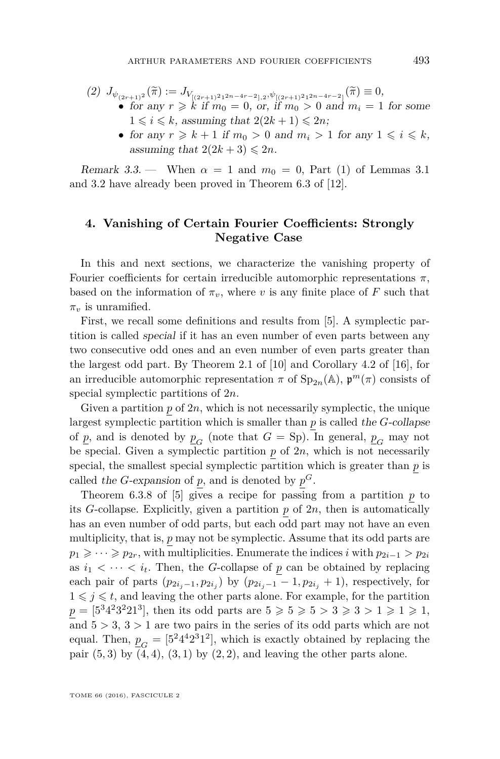(2) 
$$
J_{\psi_{(2r+1)^2}}(\tilde{\pi}) := J_{V_{[(2r+1)^2 1^{2n-4r-2}],2}, \psi_{[(2r+1)^2 1^{2n-4r-2}]}}(\tilde{\pi}) \equiv 0,
$$
  
\n• for any  $r \ge k$  if  $m_0 = 0$ , or, if  $m_0 > 0$  and  $m_i = 1$  for some  $1 \le i \le k$ , assuming that  $2(2k+1) \le 2n$ ;

• for any  $r \geq k+1$  if  $m_0 > 0$  and  $m_i > 1$  for any  $1 \leq i \leq k$ , assuming that  $2(2k+3) \leq 2n$ .

Remark 3.3. — When  $\alpha = 1$  and  $m_0 = 0$ , Part (1) of Lemmas [3.1](#page-13-0) and [3.2](#page-16-0) have already been proved in Theorem 6.3 of [\[12\]](#page-42-3).

#### **4. Vanishing of Certain Fourier Coefficients: Strongly Negative Case**

In this and next sections, we characterize the vanishing property of Fourier coefficients for certain irreducible automorphic representations  $\pi$ , based on the information of  $\pi_v$ , where *v* is any finite place of *F* such that  $\pi_v$  is unramified.

First, we recall some definitions and results from [\[5\]](#page-42-9). A symplectic partition is called special if it has an even number of even parts between any two consecutive odd ones and an even number of even parts greater than the largest odd part. By Theorem 2.1 of [\[10\]](#page-42-14) and Corollary 4.2 of [\[16\]](#page-42-8), for an irreducible automorphic representation  $\pi$  of  $\text{Sp}_{2n}(\mathbb{A}), \mathfrak{p}^m(\pi)$  consists of special symplectic partitions of 2*n*.

Given a partition  $p$  of  $2n$ , which is not necessarily symplectic, the unique largest symplectic partition which is smaller than *p* is called the *G*-collapse of  $\underline{p}$ , and is denoted by  $\underline{p}_G$  (note that  $G =$  Sp). In general,  $\underline{p}_G$  may not be special. Given a symplectic partition  $p$  of  $2n$ , which is not necessarily special, the smallest special symplectic partition which is greater than *p* is called the *G*-expansion of  $p$ , and is denoted by  $p^G$ .

Theorem 6.3.8 of  $[5]$  gives a recipe for passing from a partition  $p$  to its *G*-collapse. Explicitly, given a partition *p* of 2*n*, then is automatically has an even number of odd parts, but each odd part may not have an even multiplicity, that is, *p* may not be symplectic. Assume that its odd parts are  $p_1 \geqslant \cdots \geqslant p_{2r}$ , with multiplicities. Enumerate the indices *i* with  $p_{2i-1} > p_{2i}$ as  $i_1 < \cdots < i_t$ . Then, the *G*-collapse of *p* can be obtained by replacing each pair of parts  $(p_{2i_j-1}, p_{2i_j})$  by  $(p_{2i_j-1}-1, p_{2i_j}+1)$ , respectively, for  $1 \leqslant j \leqslant t$ , and leaving the other parts alone. For example, for the partition  $p = [5^34^23^221^3]$ , then its odd parts are  $5 \ge 5 \ge 5 > 3 \ge 3 > 1 \ge 1 \ge 1$ , and  $5 > 3$ ,  $3 > 1$  are two pairs in the series of its odd parts which are not equal. Then,  $p_G = [5^2 4^4 2^3 1^2]$ , which is exactly obtained by replacing the pair  $(5,3)$  by  $(4,4)$ ,  $(3,1)$  by  $(2,2)$ , and leaving the other parts alone.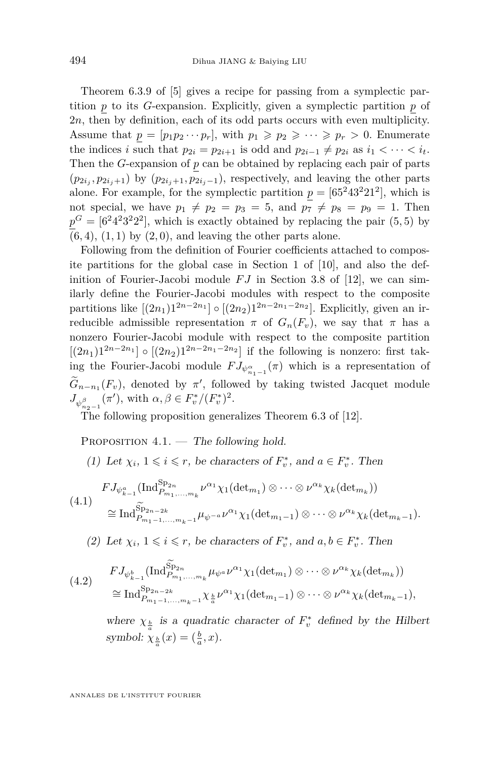Theorem 6.3.9 of [\[5\]](#page-42-9) gives a recipe for passing from a symplectic partition *p* to its *G*-expansion. Explicitly, given a symplectic partition *p* of 2*n*, then by definition, each of its odd parts occurs with even multiplicity. Assume that  $p = [p_1p_2 \cdots p_r]$ , with  $p_1 \geqslant p_2 \geqslant \cdots \geqslant p_r > 0$ . Enumerate the indices *i* such that  $p_{2i} = p_{2i+1}$  is odd and  $p_{2i-1} \neq p_{2i}$  as  $i_1 < \cdots < i_t$ . Then the *G*-expansion of *p* can be obtained by replacing each pair of parts  $(p_{2i_j}, p_{2i_j+1})$  by  $(p_{2i_j+1}, p_{2i_j-1})$ , respectively, and leaving the other parts alone. For example, for the symplectic partition  $p = [65^243^221^2]$ , which is not special, we have  $p_1 \neq p_2 = p_3 = 5$ , and  $p_7 \neq p_8 = p_9 = 1$ . Then  $p^G = [6^2 4^2 3^2 2^2]$ , which is exactly obtained by replacing the pair  $(5, 5)$  by  $(6, 4)$ ,  $(1, 1)$  by  $(2, 0)$ , and leaving the other parts alone.

Following from the definition of Fourier coefficients attached to composite partitions for the global case in Section 1 of [\[10\]](#page-42-14), and also the definition of Fourier-Jacobi module  $FJ$  in Section 3.8 of [\[12\]](#page-42-3), we can similarly define the Fourier-Jacobi modules with respect to the composite partitions like  $[(2n_1)1^{2n-2n_1}] \circ [(2n_2)1^{2n-2n_1-2n_2}]$ . Explicitly, given an irreducible admissible representation  $\pi$  of  $G_n(F_v)$ , we say that  $\pi$  has a nonzero Fourier-Jacobi module with respect to the composite partition  $[(2n_1)1^{2n-2n_1}] \circ [(2n_2)1^{2n-2n_1-2n_2}]$  if the following is nonzero: first taking the Fourier-Jacobi module  $FJ_{\psi_{n_1-1}^{\alpha}}(\pi)$  which is a representation of  $G_{n-n_1}(F_v)$ , denoted by  $\pi'$ , followed by taking twisted Jacquet module  $J_{\psi_{n_2-1}^{\beta}}(\pi')$ , with  $\alpha, \beta \in F_v^*/(F_v^*)^2$ .

The following proposition generalizes Theorem 6.3 of [\[12\]](#page-42-3).

<span id="page-18-0"></span>PROPOSITION 4.1. — The following hold.

(1) Let  $\chi_i$ ,  $1 \leq i \leq r$ , be characters of  $F_v^*$ , and  $a \in F_v^*$ . Then

$$
\begin{split} (4.1) \quad \overset{FJ_{\psi_{k-1}^a}(\text{Ind}_{P_{m_1,\ldots,m_k}}^{\text{Sp}_{2n}} \nu^{\alpha_1} \chi_1(\text{det}_{m_1}) \otimes \cdots \otimes \nu^{\alpha_k} \chi_k(\text{det}_{m_k})) \\ \cong \text{Ind}_{P_{m_1-1,\ldots,m_k-1}}^{\widetilde{\text{Sp}}_{2n-2k}} \mu_{\psi^{-a}} \nu^{\alpha_1} \chi_1(\text{det}_{m_1-1}) \otimes \cdots \otimes \nu^{\alpha_k} \chi_k(\text{det}_{m_k-1}). \end{split}
$$

(2) Let  $\chi_i$ ,  $1 \leq i \leq r$ , be characters of  $F_v^*$ , and  $a, b \in F_v^*$ . Then

$$
(4.2) \quad FJ_{\psi_{k-1}^b}(\text{Ind}_{P_{m_1,\ldots,m_k}}^{\widetilde{\text{Sp}}_{2n}}\mu_{\psi^a\nu^a}\chi_1(\text{det}_{m_1})\otimes\cdots\otimes\nu^{\alpha_k}\chi_k(\text{det}_{m_k}))
$$
  

$$
\cong \text{Ind}_{P_{m_1-1,\ldots,m_k-1}}^{\text{Sp}}\chi_{\frac{1}{a}}\chi_{\frac{1}{a}}\nu^{\alpha_1}\chi_1(\text{det}_{m_1-1})\otimes\cdots\otimes\nu^{\alpha_k}\chi_k(\text{det}_{m_k-1}),
$$

where  $\chi_{\frac{b}{a}}$  is a quadratic character of  $F_v^*$  defined by the Hilbert symbol:  $\chi_{\frac{b}{a}}(x) = (\frac{b}{a}, x)$ .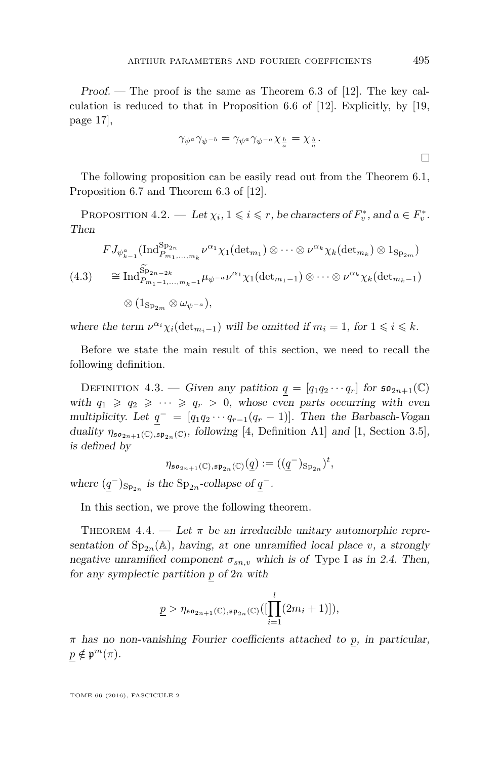Proof. — The proof is the same as Theorem 6.3 of [\[12\]](#page-42-3). The key calculation is reduced to that in Proposition 6.6 of [\[12\]](#page-42-3). Explicitly, by [\[19,](#page-43-8) page 17],

$$
\gamma_{\psi^a} \gamma_{\psi^{-b}} = \gamma_{\psi^a} \gamma_{\psi^{-a}} \chi_{\frac{b}{a}} = \chi_{\frac{b}{a}}.
$$

The following proposition can be easily read out from the Theorem 6.1, Proposition 6.7 and Theorem 6.3 of [\[12\]](#page-42-3).

<span id="page-19-2"></span>PROPOSITION  $4.2.$  — Let  $\chi_i, 1 \leq i \leq r$ , be characters of  $F_v^*$ , and  $a \in F_v^*$ . Then

$$
FJ_{\psi_{k-1}^a}(\text{Ind}_{P_{m_1,\ldots,m_k}}^{\text{Sp}_{2n}} \nu^{\alpha_1} \chi_1(\text{det}_{m_1}) \otimes \cdots \otimes \nu^{\alpha_k} \chi_k(\text{det}_{m_k}) \otimes 1_{\text{Sp}_{2m}})
$$
  
(4.3) 
$$
\cong \text{Ind}_{P_{m_1-1,\ldots,m_k-1}}^{\widetilde{\text{Sp}}_{2n-2k}} \mu_{\psi^{-a}} \nu^{\alpha_1} \chi_1(\text{det}_{m_1-1}) \otimes \cdots \otimes \nu^{\alpha_k} \chi_k(\text{det}_{m_k-1})
$$

$$
\otimes (1_{\text{Sp}_{2m}} \otimes \omega_{\psi^{-a}}),
$$

where the term  $\nu^{\alpha_i} \chi_i(\det_{m_i-1})$  will be omitted if  $m_i = 1$ , for  $1 \leq i \leq k$ .

Before we state the main result of this section, we need to recall the following definition.

<span id="page-19-1"></span>DEFINITION 4.3. — Given any patition  $q = [q_1q_2 \cdots q_r]$  for  $\mathfrak{so}_{2n+1}(\mathbb{C})$ with  $q_1 \geq q_2 \geq \cdots \geq q_r > 0$ , whose even parts occurring with even multiplicity. Let  $q^- = [q_1q_2 \cdots q_{r-1}(q_r-1)]$ . Then the Barbasch-Vogan duality  $\eta_{\mathfrak{so}_{2n+1}(\mathbb{C}),\mathfrak{sp}_{2n}(\mathbb{C})}$ , following [\[4,](#page-42-16) Definition A1] and [\[1,](#page-42-17) Section 3.5], is defined by

$$
\eta_{\mathfrak{so}_{2n+1}(\mathbb{C}), \mathfrak{sp}_{2n}(\mathbb{C})}(\underline{q}):=((\underline{q}^-)_{\operatorname{Sp}_{2n}})^t,
$$

where  $(\underline{q}^{-})_{\text{Sp}_{2n}}$  is the  $\text{Sp}_{2n}$ -collapse of  $\underline{q}^{-}$ .

In this section, we prove the following theorem.

<span id="page-19-0"></span>THEOREM 4.4. — Let  $\pi$  be an irreducible unitary automorphic representation of  $Sp_{2n}(\mathbb{A})$ , having, at one unramified local place *v*, a strongly negative unramified component  $\sigma_{sn,v}$  which is of Type I as in [2.4.](#page-9-1) Then, for any symplectic partition *p* of 2*n* with

$$
\underline{p} > \eta_{\mathfrak{so}_{2n+1}(\mathbb{C}), \mathfrak{sp}_{2n}(\mathbb{C})}([\prod_{i=1}^{l}(2m_i+1)]),
$$

*π* has no non-vanishing Fourier coefficients attached to *p*, in particular,  $p \notin \mathfrak{p}^m(\pi)$ .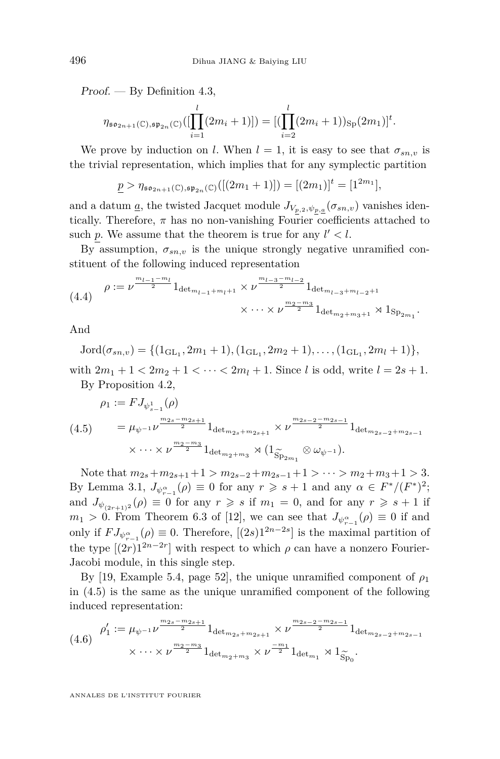Proof. — By Definition [4.3,](#page-19-1)

$$
\eta_{\mathfrak{so}_{2n+1}(\mathbb{C}),\mathfrak{sp}_{2n}(\mathbb{C})}([\prod_{i=1}^{l}(2m_i+1)]) = [(\prod_{i=2}^{l}(2m_i+1))_{\text{Sp}}(2m_1)]^t.
$$

We prove by induction on *l*. When  $l = 1$ , it is easy to see that  $\sigma_{sn,v}$  is the trivial representation, which implies that for any symplectic partition

$$
\underline{p} > \eta_{\mathfrak{so}_{2n+1}(\mathbb{C}), \mathfrak{sp}_{2n}(\mathbb{C})}([(2m_1+1)]) = [(2m_1)]^t = [1^{2m_1}],
$$

and a datum <u>a</u>, the twisted Jacquet module  $J_{V_{p,2},\psi_{p,\underline{a}}}(\sigma_{sn,v})$  vanishes identically. Therefore,  $\pi$  has no non-vanishing Fourier coefficients attached to such p. We assume that the theorem is true for any  $l' < l$ .

By assumption,  $\sigma_{sn,v}$  is the unique strongly negative unramified constituent of the following induced representation

<span id="page-20-1"></span>
$$
(4.4) \quad \rho := \nu^{\frac{m_{l-1} - m_l}{2}} 1_{\det_{m_{l-1} + m_l + 1}} \times \nu^{\frac{m_{l-3} - m_{l-2}}{2}} 1_{\det_{m_{l-3} + m_{l-2} + 1}}
$$
\n
$$
\times \cdots \times \nu^{\frac{m_2 - m_3}{2}} 1_{\det_{m_2 + m_3 + 1}} \rtimes 1_{\text{Sp}_{2m_1}}.
$$

And

$$
Jord(\sigma_{sn,v}) = \{ (1_{GL_1}, 2m_1 + 1), (1_{GL_1}, 2m_2 + 1), \dots, (1_{GL_1}, 2m_l + 1) \},\
$$

with  $2m_1 + 1 < 2m_2 + 1 < \cdots < 2m_l + 1$ . Since *l* is odd, write  $l = 2s + 1$ . By Proposition [4.2,](#page-19-2)

<span id="page-20-0"></span>
$$
\rho_1 := FJ_{\psi_{s-1}^1}(\rho)
$$
\n
$$
(4.5) \qquad = \mu_{\psi^{-1}} \nu^{\frac{m_{2s} - m_{2s+1}}{2}} 1_{\det_{m_{2s} + m_{2s+1}}} \times \nu^{\frac{m_{2s-2} - m_{2s-1}}{2}} 1_{\det_{m_{2s-2} + m_{2s-1}}} \times \cdots \times \nu^{\frac{m_2 - m_3}{2}} 1_{\det_{m_2 + m_3}} \rtimes (1_{\widetilde{\mathrm{Sp}}_{2m_1}} \otimes \omega_{\psi^{-1}}).
$$

Note that  $m_{2s} + m_{2s+1} + 1 > m_{2s-2} + m_{2s-1} + 1 > \cdots > m_2 + m_3 + 1 > 3$ . By Lemma [3.1,](#page-13-0)  $J_{\psi_{r-1}^{\alpha}}(\rho) \equiv 0$  for any  $r \geqslant s+1$  and any  $\alpha \in F^*/(F^*)^2$ ; and  $J_{\psi_{(2r+1)^2}}(\rho) \equiv 0$  for any  $r \geqslant s$  if  $m_1 = 0$ , and for any  $r \geqslant s+1$  if  $m_1 > 0$ . From Theorem 6.3 of [\[12\]](#page-42-3), we can see that  $J_{\psi_{r-1}^{\alpha}}(\rho) \equiv 0$  if and only if  $FJ_{\psi_{r-1}^{\alpha}}(\rho) \equiv 0$ . Therefore,  $[(2s)1^{2n-2s}]$  is the maximal partition of the type  $[(2r)1^{2n-2r}]$  with respect to which  $\rho$  can have a nonzero Fourier-Jacobi module, in this single step.

By [\[19,](#page-43-8) Example 5.4, page 52], the unique unramified component of  $\rho_1$ in [\(4.5\)](#page-20-0) is the same as the unique unramified component of the following induced representation:

$$
(4.6) \quad \rho_1' := \mu_{\psi^{-1}} \nu^{\frac{m_{2s} - m_{2s+1}}{2}} 1_{\det_{m_{2s} + m_{2s+1}}} \times \nu^{\frac{m_{2s-2} - m_{2s-1}}{2}} 1_{\det_{m_{2s-2} + m_{2s-1}}} \times \cdots \times \nu^{\frac{m_2 - m_3}{2}} 1_{\det_{m_2 + m_3}} \times \nu^{\frac{-m_1}{2}} 1_{\det_{m_1}} \rtimes 1_{\widetilde{Sp}_0}.
$$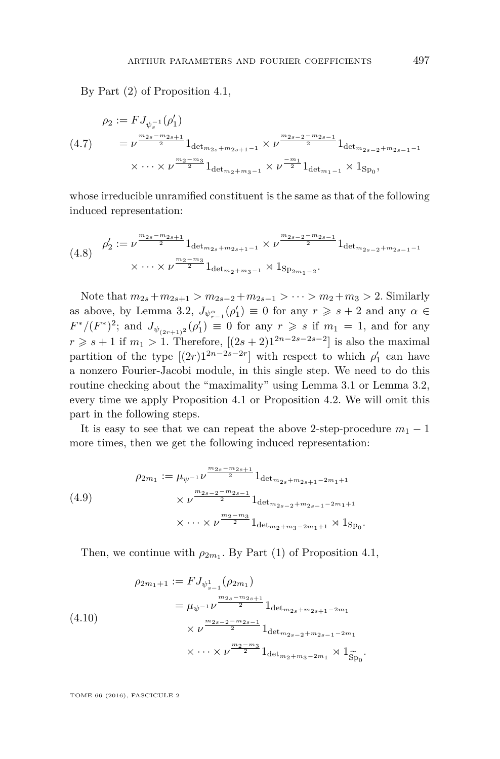By Part (2) of Proposition [4.1,](#page-18-0)

<span id="page-21-0"></span>
$$
\rho_2 := FJ_{\psi_s^{-1}}(\rho'_1)
$$
\n
$$
(4.7) \qquad = \nu^{\frac{m_{2s} - m_{2s+1}}{2}} 1_{\det_{m_{2s} + m_{2s+1}-1}} \times \nu^{\frac{m_{2s-2} - m_{2s-1}}{2}} 1_{\det_{m_{2s-2} + m_{2s-1}-1}}
$$
\n
$$
\times \cdots \times \nu^{\frac{m_2 - m_3}{2}} 1_{\det_{m_2 + m_3 - 1}} \times \nu^{\frac{-m_1}{2}} 1_{\det_{m_1 - 1}} \rtimes 1_{\text{Sp}_0},
$$

whose irreducible unramified constituent is the same as that of the following induced representation:

$$
(4.8) \quad \rho_2' := \nu^{\frac{m_{2s} - m_{2s+1}}{2}} 1_{\det_{m_{2s} + m_{2s+1}-1}} \times \nu^{\frac{m_{2s-2} - m_{2s-1}}{2}} 1_{\det_{m_{2s-2} + m_{2s-1}-1}}
$$

$$
\times \cdots \times \nu^{\frac{m_2 - m_3}{2}} 1_{\det_{m_2 + m_3 - 1}} \rtimes 1_{\text{Sp}_{2m_1 - 2}}.
$$

Note that  $m_{2s} + m_{2s+1} > m_{2s-2} + m_{2s-1} > \cdots > m_2 + m_3 > 2$ . Similarly as above, by Lemma [3.2,](#page-16-0)  $J_{\psi_{r-1}^{\alpha}}(\rho'_1) \equiv 0$  for any  $r \geqslant s+2$  and any  $\alpha \in$  $F^{*}/(F^{*})^{2}$ ; and  $J_{\psi_{(2r+1)^{2}}}(\rho'_{1}) \equiv 0$  for any  $r \geqslant s$  if  $m_{1} = 1$ , and for any *r* ≥ *s* + 1 if *m*<sub>1</sub> > 1. Therefore, [ $(2s + 2)1^{2n-2s-2s-2}$ ] is also the maximal partition of the type  $[(2r)1^{2n-2s-2r}]$  with respect to which  $\rho'_1$  can have a nonzero Fourier-Jacobi module, in this single step. We need to do this routine checking about the "maximality" using Lemma [3.1](#page-13-0) or Lemma [3.2,](#page-16-0) every time we apply Proposition [4.1](#page-18-0) or Proposition [4.2.](#page-19-2) We will omit this part in the following steps.

It is easy to see that we can repeat the above 2-step-procedure  $m_1 - 1$ more times, then we get the following induced representation:

$$
\begin{aligned}\n\varphi_{2m_1} &:= \mu_{\psi^{-1}} \nu^{\frac{m_{2s} - m_{2s+1}}{2}} 1_{\det_{m_{2s} + m_{2s+1} - 2m_1 + 1}} \\
&\times \nu^{\frac{m_{2s-2} - m_{2s-1}}{2}} 1_{\det_{m_{2s-2} + m_{2s-1} - 2m_1 + 1}} \\
&\times \cdots \times \nu^{\frac{m_2 - m_3}{2}} 1_{\det_{m_2 + m_3 - 2m_1 + 1}} \rtimes 1_{\text{Sp}_0}.\n\end{aligned}
$$

Then, we continue with  $\rho_{2m_1}$ . By Part (1) of Proposition [4.1,](#page-18-0)

$$
\rho_{2m_1+1} := FJ_{\psi_{s-1}^1}(\rho_{2m_1})
$$
  
=  $\mu_{\psi^{-1}} \nu^{\frac{m_{2s} - m_{2s+1}}{2}} 1_{\det_{m_{2s} + m_{2s+1} - 2m_1}}$   
 $\times \nu^{\frac{m_{2s-2} - m_{2s-1}}{2}} 1_{\det_{m_{2s-2} + m_{2s-1} - 2m_1}}$   
 $\times \cdots \times \nu^{\frac{m_2 - m_3}{2}} 1_{\det_{m_2 + m_3 - 2m_1}} \rtimes 1_{\widetilde{Sp}_0}.$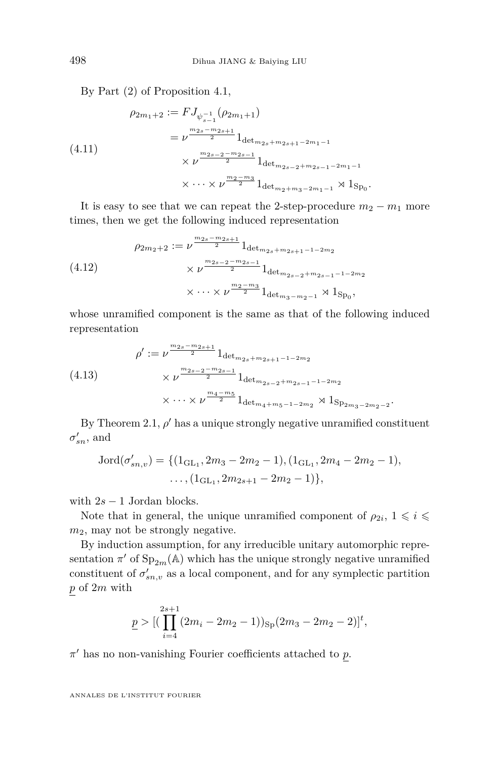By Part (2) of Proposition [4.1,](#page-18-0)

$$
\rho_{2m_1+2} := FJ_{\psi_{s-1}^{-1}}(\rho_{2m_1+1})
$$
  
=  $\nu^{\frac{m_{2s}-m_{2s+1}}{2}} 1_{\det_{m_{2s}+m_{2s+1}-2m_1-1}}$   
 $\times \nu^{\frac{m_{2s-2}-m_{2s-1}}{2}} 1_{\det_{m_{2s-2}+m_{2s-1}-2m_1-1}}$   
 $\times \cdots \times \nu^{\frac{m_2-m_3}{2}} 1_{\det_{m_2+m_3-2m_1-1}} \rtimes 1_{\text{Sp}_0}.$ 

It is easy to see that we can repeat the 2-step-procedure  $m_2 - m_1$  more times, then we get the following induced representation

$$
\rho_{2m_2+2} := \nu^{\frac{m_{2s} - m_{2s+1}}{2}} 1_{\det_{m_{2s} + m_{2s+1} - 1 - 2m_2}}
$$
\n
$$
\times \nu^{\frac{m_{2s-2} - m_{2s-1}}{2}} 1_{\det_{m_{2s-2} + m_{2s-1} - 1 - 2m_2}}
$$
\n
$$
\times \cdots \times \nu^{\frac{m_2 - m_3}{2}} 1_{\det_{m_3 - m_2 - 1}} \rtimes 1_{\text{Sp}_0},
$$

whose unramified component is the same as that of the following induced representation

$$
\rho' := \nu^{\frac{m_{2s} - m_{2s+1}}{2}} 1_{\det_{m_{2s} + m_{2s+1} - 1 - 2m_2}}
$$
\n
$$
\times \nu^{\frac{m_{2s-2} - m_{2s-1}}{2}} 1_{\det_{m_{2s-2} + m_{2s-1} - 1 - 2m_2}}
$$
\n
$$
\times \cdots \times \nu^{\frac{m_4 - m_5}{2}} 1_{\det_{m_4 + m_5 - 1 - 2m_2}} \rtimes 1_{\text{Sp}_{2m_3 - 2m_2 - 2}}.
$$

By Theorem [2.1,](#page-7-0)  $\rho'$  has a unique strongly negative unramified constituent  $\sigma'_{sn}$ , and

$$
Jord(\sigma'_{sn,v}) = \{ (1_{GL_1}, 2m_3 - 2m_2 - 1), (1_{GL_1}, 2m_4 - 2m_2 - 1),
$$
  
...,  $(1_{GL_1}, 2m_{2s+1} - 2m_2 - 1) \},$ 

with  $2s - 1$  Jordan blocks.

Note that in general, the unique unramified component of  $\rho_{2i}$ ,  $1 \leq i \leq$  $m_2$ , may not be strongly negative.

By induction assumption, for any irreducible unitary automorphic representation  $\pi'$  of  $Sp_{2m}(\mathbb{A})$  which has the unique strongly negative unramified constituent of  $\sigma'_{sn,v}$  as a local component, and for any symplectic partition *p* of 2*m* with

$$
\underline{p} > [(\prod_{i=4}^{2s+1} (2m_i - 2m_2 - 1))_{\text{Sp}} (2m_3 - 2m_2 - 2)]^t,
$$

 $π'$  has no non-vanishing Fourier coefficients attached to *p*.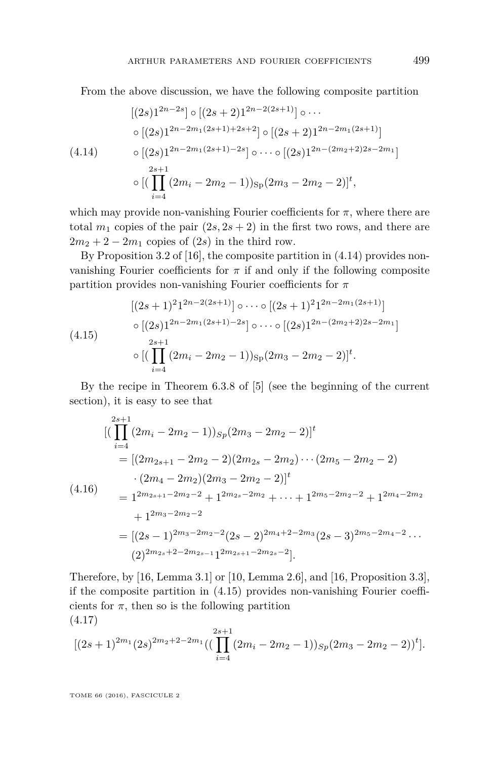From the above discussion, we have the following composite partition

<span id="page-23-0"></span>
$$
[(2s)1^{2n-2s}] \circ [(2s+2)1^{2n-2(2s+1)}] \circ \cdots
$$
  
\n
$$
\circ [(2s)1^{2n-2m_1(2s+1)+2s+2}] \circ [(2s+2)1^{2n-2m_1(2s+1)}]
$$
  
\n
$$
\circ [(2s)1^{2n-2m_1(2s+1)-2s}] \circ \cdots \circ [(2s)1^{2n-(2m_2+2)2s-2m_1}]
$$
  
\n
$$
\circ [(\prod_{i=4}^{2s+1} (2m_i-2m_2-1))_{Sp}(2m_3-2m_2-2)]^t,
$$

which may provide non-vanishing Fourier coefficients for  $\pi$ , where there are total  $m_1$  copies of the pair  $(2s, 2s + 2)$  in the first two rows, and there are  $2m_2 + 2 - 2m_1$  copies of  $(2s)$  in the third row.

By Proposition 3.2 of [\[16\]](#page-42-8), the composite partition in [\(4.14\)](#page-23-0) provides nonvanishing Fourier coefficients for  $\pi$  if and only if the following composite partition provides non-vanishing Fourier coefficients for *π*

<span id="page-23-1"></span>
$$
[(2s+1)^2 1^{2n-2(2s+1)}] \circ \cdots \circ [(2s+1)^2 1^{2n-2m_1(2s+1)}]
$$
  
\n
$$
\circ [(2s) 1^{2n-2m_1(2s+1)-2s}] \circ \cdots \circ [(2s) 1^{2n-(2m_2+2)2s-2m_1}]
$$
  
\n
$$
\circ [(\prod_{i=4}^{2s+1} (2m_i - 2m_2 - 1))_{Sp} (2m_3 - 2m_2 - 2)]^t.
$$

By the recipe in Theorem 6.3.8 of [\[5\]](#page-42-9) (see the beginning of the current section), it is easy to see that

<span id="page-23-3"></span>
$$
\begin{split}\n& \left[ \left( \prod_{i=4}^{2s+1} (2m_i - 2m_2 - 1) \right)_{Sp} (2m_3 - 2m_2 - 2) \right]^t \\
&= \left[ (2m_{2s+1} - 2m_2 - 2)(2m_{2s} - 2m_2) \cdots (2m_5 - 2m_2 - 2) \right. \\
&\left. \cdot (2m_4 - 2m_2)(2m_3 - 2m_2 - 2) \right]^t \\
&= 1^{2m_{2s+1} - 2m_2 - 2} + 1^{2m_{2s} - 2m_2} + \cdots + 1^{2m_5 - 2m_2 - 2} + 1^{2m_4 - 2m_2} \\
&+ 1^{2m_3 - 2m_2 - 2} \\
&= \left[ (2s - 1)^{2m_3 - 2m_2 - 2} (2s - 2)^{2m_4 + 2 - 2m_3} (2s - 3)^{2m_5 - 2m_4 - 2} \cdots \right. \\
&\left. (2)^{2m_{2s} + 2 - 2m_{2s-1}} 1^{2m_{2s+1} - 2m_{2s} - 2} \right].\n\end{split}
$$

Therefore, by [\[16,](#page-42-8) Lemma 3.1] or [\[10,](#page-42-14) Lemma 2.6], and [\[16,](#page-42-8) Proposition 3.3], if the composite partition in [\(4.15\)](#page-23-1) provides non-vanishing Fourier coefficients for  $\pi$ , then so is the following partition (4.17)

<span id="page-23-2"></span>
$$
[(2s+1)^{2m_1}(2s)^{2m_2+2-2m_1}((\prod_{i=4}^{2s+1}(2m_i-2m_2-1))_{Sp}(2m_3-2m_2-2))^t].
$$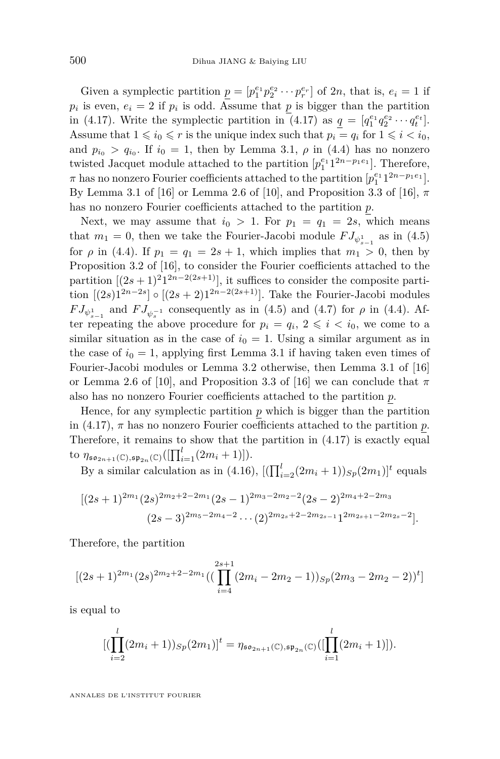Given a symplectic partition  $\underline{p} = [p_1^{e_1} p_2^{e_2} \cdots p_r^{e_r}]$  of 2*n*, that is,  $e_i = 1$  if  $p_i$  is even,  $e_i = 2$  if  $p_i$  is odd. Assume that  $p$  is bigger than the partition in [\(4.17\)](#page-23-2). Write the symplectic partition in (4.17) as  $q = [q_1^{e_1} q_2^{e_2} \cdots q_t^{e_t}].$ Assume that  $1 \leq i_0 \leq r$  is the unique index such that  $p_i = q_i$  for  $1 \leq i \leq i_0$ , and  $p_{i_0} > q_{i_0}$ . If  $i_0 = 1$ , then by Lemma [3.1,](#page-13-0)  $\rho$  in [\(4.4\)](#page-20-1) has no nonzero twisted Jacquet module attached to the partition  $[p_1^{e_1} 1^{2n-p_1e_1}]$ . Therefore, *π* has no nonzero Fourier coefficients attached to the partition  $[p_1^{e_1}1^{2n-p_1e_1}]$ . By Lemma 3.1 of [\[16\]](#page-42-8) or Lemma 2.6 of [\[10\]](#page-42-14), and Proposition 3.3 of [\[16\]](#page-42-8), *π* has no nonzero Fourier coefficients attached to the partition *p*.

Next, we may assume that  $i_0 > 1$ . For  $p_1 = q_1 = 2s$ , which means that  $m_1 = 0$ , then we take the Fourier-Jacobi module  $FJ_{\psi_{s-1}^1}$  as in [\(4.5\)](#page-20-0) for *ρ* in [\(4.4\)](#page-20-1). If  $p_1 = q_1 = 2s + 1$ , which implies that  $m_1 > 0$ , then by Proposition 3.2 of [\[16\]](#page-42-8), to consider the Fourier coefficients attached to the partition  $[(2s+1)^2]^{2n-2(2s+1)}$ , it suffices to consider the composite partition  $[(2s)1^{2n-2s}] \circ [(2s+2)1^{2n-2(2s+1)}]$ . Take the Fourier-Jacobi modules  $FJ_{\psi_{s-1}^1}$  and  $FJ_{\psi_s^{-1}}$  consequently as in [\(4.5\)](#page-20-0) and [\(4.7\)](#page-21-0) for  $\rho$  in [\(4.4\)](#page-20-1). After repeating the above procedure for  $p_i = q_i, 2 \leq i \leq i_0$ , we come to a similar situation as in the case of  $i_0 = 1$ . Using a similar argument as in the case of  $i_0 = 1$ , applying first Lemma [3.1](#page-13-0) if having taken even times of Fourier-Jacobi modules or Lemma [3.2](#page-16-0) otherwise, then Lemma 3.1 of [\[16\]](#page-42-8) or Lemma 2.6 of [\[10\]](#page-42-14), and Proposition 3.3 of [\[16\]](#page-42-8) we can conclude that  $\pi$ also has no nonzero Fourier coefficients attached to the partition *p*.

Hence, for any symplectic partition  $p$  which is bigger than the partition in [\(4.17\)](#page-23-2),  $\pi$  has no nonzero Fourier coefficients attached to the partition  $p$ . Therefore, it remains to show that the partition in [\(4.17\)](#page-23-2) is exactly equal to  $\eta_{\mathfrak{so}_{2n+1}(\mathbb{C}),\mathfrak{sp}_{2n}(\mathbb{C})}([\prod_{i=1}^{l}(2m_i+1)]).$ 

By a similar calculation as in [\(4.16\)](#page-23-3),  $[(\prod_{i=2}^{l}(2m_i+1))_{Sp}(2m_1)]^t$  equals

$$
[(2s+1)^{2m_1}(2s)^{2m_2+2-2m_1}(2s-1)^{2m_3-2m_2-2}(2s-2)^{2m_4+2-2m_3}
$$
  

$$
(2s-3)^{2m_5-2m_4-2}\cdots(2)^{2m_{2s}+2-2m_{2s-1}}1^{2m_{2s+1}-2m_{2s}-2}].
$$

Therefore, the partition

$$
[(2s+1)^{2m_1}(2s)^{2m_2+2-2m_1}((\prod_{i=4}^{2s+1}(2m_i-2m_2-1))_{Sp}(2m_3-2m_2-2))^t]
$$

is equal to

$$
[(\prod_{i=2}^{l} (2m_i+1))_{Sp} (2m_1)]^t = \eta_{\mathfrak{so}_{2n+1}(\mathbb{C}), \mathfrak{sp}_{2n}(\mathbb{C})}([\prod_{i=1}^{l} (2m_i+1)]).
$$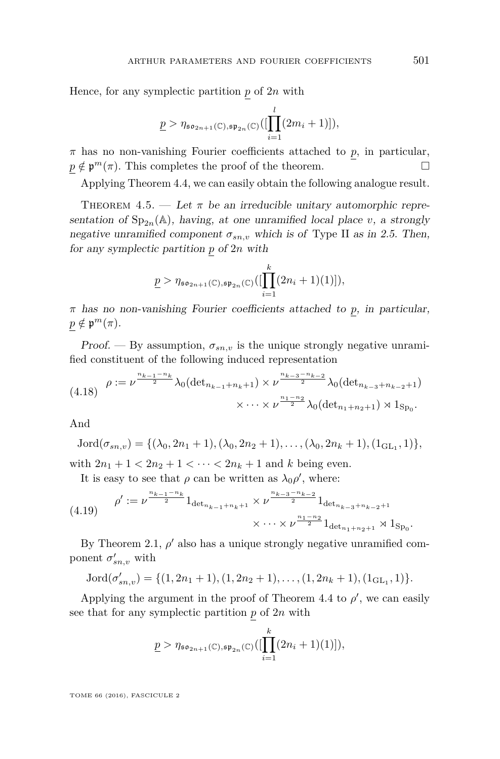Hence, for any symplectic partition *p* of 2*n* with

$$
\underline{p} > \eta_{\mathfrak{so}_{2n+1}(\mathbb{C}), \mathfrak{sp}_{2n}(\mathbb{C})}([\prod_{i=1}^{l}(2m_i+1)]),
$$

*π* has no non-vanishing Fourier coefficients attached to *p*, in particular,  $p \notin \mathfrak{p}^m(\pi)$ . This completes the proof of the theorem.

Applying Theorem [4.4,](#page-19-0) we can easily obtain the following analogue result.

<span id="page-25-0"></span>THEOREM  $4.5.$  — Let  $\pi$  be an irreducible unitary automorphic representation of  $Sp_{2n}(\mathbb{A})$ , having, at one unramified local place *v*, a strongly negative unramified component  $\sigma_{sn,v}$  which is of Type II as in [2.5.](#page-9-2) Then, for any symplectic partition *p* of 2*n* with

$$
\underline{p} > \eta_{\mathfrak{so}_{2n+1}(\mathbb{C}),\mathfrak{sp}_{2n}(\mathbb{C})}([\prod_{i=1}^k (2n_i+1)(1)]),
$$

*π* has no non-vanishing Fourier coefficients attached to *p*, in particular,  $p \notin \mathfrak{p}^m(\pi)$ .

Proof. — By assumption,  $\sigma_{sn,v}$  is the unique strongly negative unramified constituent of the following induced representation

$$
(4.18) \quad \rho := \nu^{\frac{n_{k-1}-n_k}{2}} \lambda_0 (\det_{n_{k-1}+n_k+1}) \times \nu^{\frac{n_{k-3}-n_{k-2}}{2}} \lambda_0 (\det_{n_{k-3}+n_{k-2}+1})
$$

$$
\times \cdots \times \nu^{\frac{n_{1}-n_{2}}{2}} \lambda_0 (\det_{n_{1}+n_{2}+1}) \rtimes 1_{\text{Sp}_0}.
$$

And

$$
Jord(\sigma_{sn,v}) = \{(\lambda_0, 2n_1+1), (\lambda_0, 2n_2+1), \ldots, (\lambda_0, 2n_k+1), (1_{GL_1}, 1)\},\
$$

with  $2n_1 + 1 < 2n_2 + 1 < \cdots < 2n_k + 1$  and *k* being even.

It is easy to see that  $\rho$  can be written as  $\lambda_0 \rho'$ , where:

$$
(4.19) \quad \rho' := \nu^{\frac{n_{k-1} - n_k}{2}} 1_{\det_{n_{k-1} + n_k + 1}} \times \nu^{\frac{n_{k-3} - n_{k-2}}{2}} 1_{\det_{n_{k-3} + n_{k-2} + 1}}
$$

$$
\times \cdots \times \nu^{\frac{n_1 - n_2}{2}} 1_{\det_{n_1 + n_2 + 1}} \times 1_{\mathrm{Sp}_0}.
$$

By Theorem [2.1,](#page-7-0)  $\rho'$  also has a unique strongly negative unramified component  $\sigma'_{sn,v}$  with

$$
Jord(\sigma'_{sn,v}) = \{(1, 2n_1+1), (1, 2n_2+1), \dots, (1, 2n_k+1), (1_{GL_1}, 1)\}.
$$

Applying the argument in the proof of Theorem [4.4](#page-19-0) to  $\rho'$ , we can easily see that for any symplectic partition *p* of 2*n* with

$$
\underline{p} > \eta_{\mathfrak{so}_{2n+1}(\mathbb{C}),\mathfrak{sp}_{2n}(\mathbb{C})}([\prod_{i=1}^k (2n_i+1)(1)]),
$$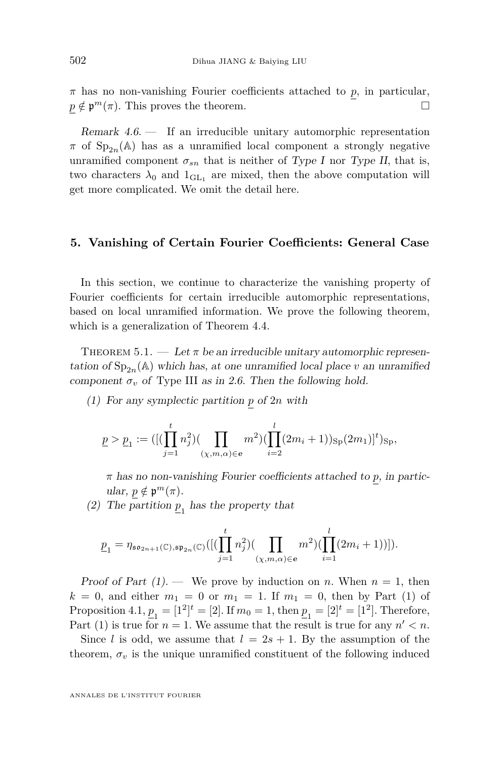*π* has no non-vanishing Fourier coefficients attached to *p*, in particular,  $p \notin \mathfrak{p}^m(\pi)$ . This proves the theorem.

Remark 4.6. — If an irreducible unitary automorphic representation  $\pi$  of  $Sp_{2n}(\mathbb{A})$  has as a unramified local component a strongly negative unramified component  $\sigma_{sn}$  that is neither of Type I nor Type II, that is, two characters  $\lambda_0$  and  $1_{\text{GL}_1}$  are mixed, then the above computation will get more complicated. We omit the detail here.

#### **5. Vanishing of Certain Fourier Coefficients: General Case**

In this section, we continue to characterize the vanishing property of Fourier coefficients for certain irreducible automorphic representations, based on local unramified information. We prove the following theorem, which is a generalization of Theorem [4.4.](#page-19-0)

<span id="page-26-0"></span>THEOREM  $5.1.$  — Let  $\pi$  be an irreducible unitary automorphic representation of  $\text{Sp}_{2n}(\mathbb{A})$  which has, at one unramified local place *v* an unramified component  $\sigma_v$  of Type III as in [2.6.](#page-9-0) Then the following hold.

(1) For any symplectic partition *p* of 2*n* with

$$
\underline{p} > \underline{p}_1 := ([(\prod_{j=1}^t n_j^2) (\prod_{(\chi,m,\alpha) \in \mathbf{e}} m^2) (\prod_{i=2}^l (2m_i + 1))_{\text{Sp}}(2m_1)]^t)_{\text{Sp}},
$$

*π* has no non-vanishing Fourier coefficients attached to *p*, in partic $ular, p \notin \mathfrak{p}^m(\pi).$ 

(2) The partition  $\underline{p}_1$  has the property that

$$
\underline{p}_1 = \eta_{\mathfrak{so}_{2n+1}(\mathbb{C}), \mathfrak{sp}_{2n}(\mathbb{C})}([\big(\prod_{j=1}^t n_j^2)\big(\prod_{(\chi,m,\alpha) \in e} m^2\big)\big(\prod_{i=1}^l (2m_i+1)\big)]).
$$

Proof of Part  $(1)$ . — We prove by induction on *n*. When  $n = 1$ , then  $k = 0$ , and either  $m_1 = 0$  or  $m_1 = 1$ . If  $m_1 = 0$ , then by Part (1) of Proposition [4.1,](#page-18-0)  $p_1 = [1^2]^t = [2]$ . If  $m_0 = 1$ , then  $p_1 = [2]^t = [1^2]$ . Therefore, Part (1) is true for  $n = 1$ . We assume that the result is true for any  $n' < n$ .

Since *l* is odd, we assume that  $l = 2s + 1$ . By the assumption of the theorem,  $\sigma_v$  is the unique unramified constituent of the following induced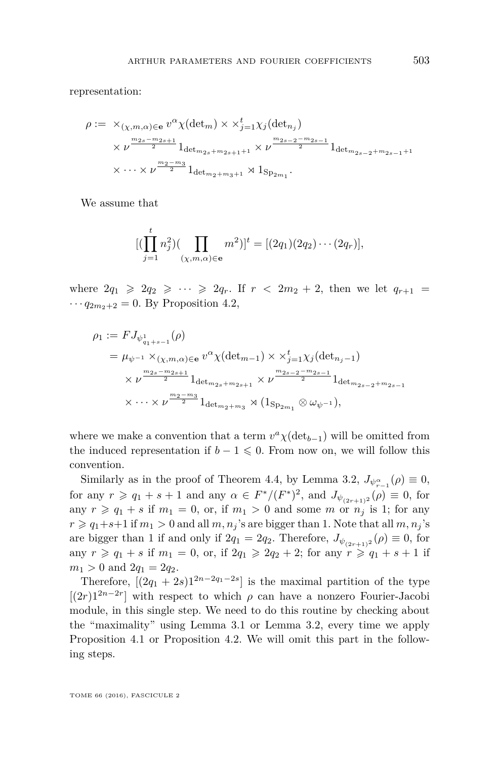representation:

$$
\rho := \times_{(\chi,m,\alpha) \in \mathbf{e}} v^{\alpha} \chi(\det_m) \times \times_{j=1}^t \chi_j(\det_{n_j})
$$
  
 
$$
\times \nu^{\frac{m_{2s} - m_{2s+1}}{2}} 1_{\det_{m_{2s} + m_{2s+1} + 1}} \times \nu^{\frac{m_{2s-2} - m_{2s-1}}{2}} 1_{\det_{m_{2s-2} + m_{2s-1} + 1}}
$$
  
 
$$
\times \cdots \times \nu^{\frac{m_2 - m_3}{2}} 1_{\det_{m_2 + m_3 + 1}} \rtimes 1_{\text{Sp}_{2m_1}}.
$$

We assume that

$$
[(\prod_{j=1}^t n_j^2)(\prod_{(\chi,m,\alpha)\in\mathbf{e}} m^2)]^t = [(2q_1)(2q_2)\cdots (2q_r)],
$$

where  $2q_1 \geq 2q_2 \geq \cdots \geq 2q_r$ . If  $r < 2m_2 + 2$ , then we let  $q_{r+1} =$  $\cdots q_{2m_2+2} = 0$ . By Proposition [4.2,](#page-19-2)

$$
\rho_1 := FJ_{\psi_{q_1+s-1}^1}(\rho)
$$
  
=  $\mu_{\psi^{-1}} \times_{(\chi,m,\alpha) \in \mathbf{e}} v^{\alpha} \chi(\det_{m-1}) \times \chi_{j=1}^t \chi_j(\det_{n_j-1})$   
 $\times \nu^{\frac{m_{2s}-m_{2s+1}}{2}} 1_{\det_{m_{2s}+m_{2s+1}}} \times \nu^{\frac{m_{2s-2}-m_{2s-1}}{2}} 1_{\det_{m_{2s-2}+m_{2s-1}}} \times \cdots \times \nu^{\frac{m_2-m_3}{2}} 1_{\det_{m_2+m_3}} \rtimes (1_{\text{Sp}_{2m_1}} \otimes \omega_{\psi^{-1}}),$ 

where we make a convention that a term  $v^a \chi(\det_{b-1})$  will be omitted from the induced representation if  $b - 1 \leq 0$ . From now on, we will follow this convention.

Similarly as in the proof of Theorem [4.4,](#page-19-0) by Lemma [3.2,](#page-16-0)  $J_{\psi_{n-1}^{\alpha}}(\rho) \equiv 0$ , for any  $r \ge q_1 + s + 1$  and any  $\alpha \in F^*/(F^*)^2$ , and  $J_{\psi_{(2r+1)}2}(\rho) \equiv 0$ , for any  $r \geq q_1 + s$  if  $m_1 = 0$ , or, if  $m_1 > 0$  and some *m* or  $n_j$  is 1; for any  $r \geqslant q_1+s+1$  if  $m_1 > 0$  and all  $m, n_j$ 's are bigger than 1. Note that all  $m, n_j$ 's are bigger than 1 if and only if  $2q_1 = 2q_2$ . Therefore,  $J_{\psi_{(2r+1)^2}}(\rho) \equiv 0$ , for any  $r \geq q_1 + s$  if  $m_1 = 0$ , or, if  $2q_1 \geq 2q_2 + 2$ ; for any  $r \geq q_1 + s + 1$  if  $m_1 > 0$  and  $2q_1 = 2q_2$ .

Therefore,  $[(2q_1 + 2s)1^{2n-2q_1-2s}]$  is the maximal partition of the type  $[(2r)1^{2n-2r}]$  with respect to which  $\rho$  can have a nonzero Fourier-Jacobi module, in this single step. We need to do this routine by checking about the "maximality" using Lemma [3.1](#page-13-0) or Lemma [3.2,](#page-16-0) every time we apply Proposition [4.1](#page-18-0) or Proposition [4.2.](#page-19-2) We will omit this part in the following steps.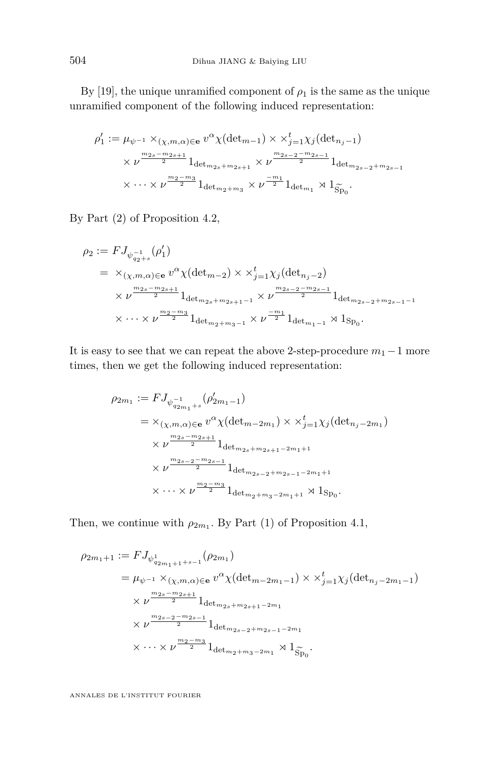By [\[19\]](#page-43-8), the unique unramified component of  $\rho_1$  is the same as the unique unramified component of the following induced representation:

$$
\rho'_1 := \mu_{\psi^{-1}} \times_{(\chi,m,\alpha) \in \mathbf{e}} v^{\alpha} \chi(\det_{m-1}) \times \times_{j=1}^t \chi_j(\det_{n_j-1})
$$
  
 
$$
\times \nu^{\frac{m_{2s}-m_{2s+1}}{2}} 1_{\det_{m_{2s}+m_{2s+1}}} \times \nu^{\frac{m_{2s-2}-m_{2s-1}}{2}} 1_{\det_{m_{2s-2}+m_{2s-1}}} \times \cdots \times \nu^{\frac{m_2-m_3}{2}} 1_{\det_{m_2+m_3}} \times \nu^{\frac{-m_1}{2}} 1_{\det_{m_1}} \rtimes 1_{\widetilde{\text{Sp}}_0}.
$$

By Part (2) of Proposition [4.2,](#page-19-2)

$$
\rho_2 := FJ_{\psi_{q_2+s}^{-1}}(\rho'_1)
$$
\n
$$
= \chi_{(\chi,m,\alpha)\in\mathbf{e}} v^{\alpha} \chi(\det_{m-2}) \times \chi_{j=1}^t \chi_j(\det_{n_j-2})
$$
\n
$$
\times \nu^{\frac{m_{2s}-m_{2s+1}}{2}} 1_{\det_{m_{2s}+m_{2s+1}-1}} \times \nu^{\frac{m_{2s-2}-m_{2s-1}}{2}} 1_{\det_{m_{2s-2}+m_{2s-1}-1}}
$$
\n
$$
\times \cdots \times \nu^{\frac{m_2-m_3}{2}} 1_{\det_{m_2+m_3-1}} \times \nu^{\frac{-m_1}{2}} 1_{\det_{m_1-1}} \rtimes 1_{\text{Sp}_0}.
$$

It is easy to see that we can repeat the above 2-step-procedure  $m_1 - 1$  more times, then we get the following induced representation:

$$
\rho_{2m_1} := FJ_{\psi_{q_{2m_1}+s}^{-1}}(\rho'_{2m_1-1})
$$
\n
$$
= \times_{(\chi,m,\alpha)\in\mathbf{e}} v^{\alpha} \chi(\det_{m-2m_1}) \times \times_{j=1}^t \chi_j(\det_{n_j-2m_1})
$$
\n
$$
\times v^{\frac{m_{2s}-m_{2s+1}}{2}} 1_{\det_{m_{2s}+m_{2s+1}-2m_1+1}}
$$
\n
$$
\times v^{\frac{m_{2s-2}-m_{2s-1}}{2}} 1_{\det_{m_{2s-2}+m_{2s-1}-2m_1+1}}
$$
\n
$$
\times \cdots \times v^{\frac{m_2-m_3}{2}} 1_{\det_{m_2+m_3-2m_1+1}} \times 1_{\text{Sp}_0}.
$$

Then, we continue with  $\rho_{2m_1}$ . By Part (1) of Proposition [4.1,](#page-18-0)

$$
\rho_{2m_1+1} := FJ_{\psi_{q_{2m_1+1+s-1}}^1}(\rho_{2m_1})
$$
\n
$$
= \mu_{\psi^{-1}} \times_{(\chi,m,\alpha) \in \mathbf{e}} v^{\alpha} \chi(\det_{m-2m_1-1}) \times \times_{j=1}^t \chi_j(\det_{n_j-2m_1-1})
$$
\n
$$
\times \nu^{\frac{m_{2s}-m_{2s+1}}{2}} 1_{\det_{m_{2s}+m_{2s+1}-2m_1}}
$$
\n
$$
\times \nu^{\frac{m_{2s-2}-m_{2s-1}}{2}} 1_{\det_{m_{2s-2}+m_{2s-1}-2m_1}}
$$
\n
$$
\times \cdots \times \nu^{\frac{m_2-m_3}{2}} 1_{\det_{m_2+m_3-2m_1}} \rtimes 1_{\widetilde{\text{Sp}}_0}.
$$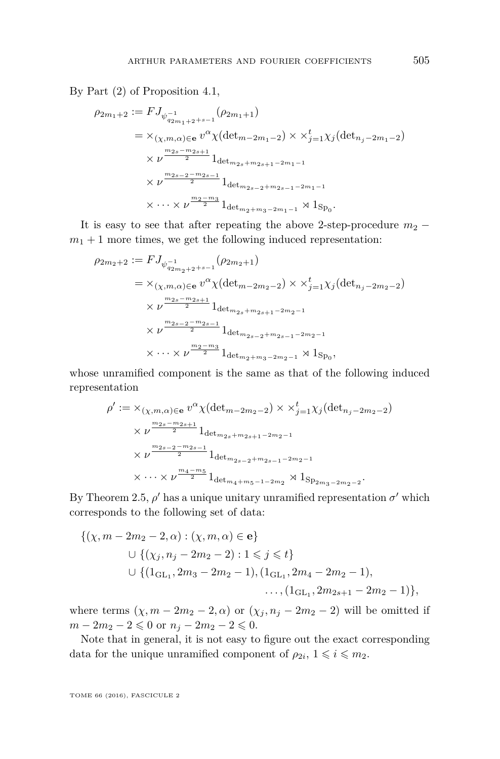By Part (2) of Proposition [4.1,](#page-18-0)

$$
\rho_{2m_1+2} := FJ_{\psi_{q_{2m_1+2}+s-1}}(\rho_{2m_1+1})
$$
\n
$$
= \times_{(\chi,m,\alpha)\in\mathbf{e}} v^{\alpha} \chi(\det_{m-2m_1-2}) \times \times_{j=1}^t \chi_j(\det_{n_j-2m_1-2})
$$
\n
$$
\times v^{\frac{m_{2s}-m_{2s+1}}{2}} 1_{\det_{m_{2s}+m_{2s+1}-2m_1-1}}
$$
\n
$$
\times v^{\frac{m_{2s-2}-m_{2s-1}}{2}} 1_{\det_{m_{2s-2}+m_{2s-1}-2m_1-1}} \times \cdots \times v^{\frac{m_{2}-m_{3}}{2}} 1_{\det_{m_{2}+m_{3}-2m_{1}-1}} \rtimes 1_{\text{Sp}_0}.
$$

It is easy to see that after repeating the above 2-step-procedure  $m_2$  −  $m_1 + 1$  more times, we get the following induced representation:

$$
\rho_{2m_2+2} := FJ_{\psi_{q_{2m_2+2+s-1}}^{-1}}(\rho_{2m_2+1})
$$
\n
$$
= \times_{(\chi,m,\alpha)\in\mathbf{e}} v^{\alpha} \chi(\det_{m-2m_2-2}) \times \times_{j=1}^t \chi_j(\det_{n_j-2m_2-2})
$$
\n
$$
\times v^{\frac{m_{2s}-m_{2s+1}}{2}} 1_{\det_{m_{2s}+m_{2s+1}-2m_2-1}}
$$
\n
$$
\times v^{\frac{m_{2s-2}-m_{2s-1}}{2}} 1_{\det_{m_{2s-2}+m_{2s-1}-2m_2-1}} \times \cdots \times v^{\frac{m_{2}-m_{3}}{2}} 1_{\det_{m_{2}+m_{3}-2m_{2}-1}} \rtimes 1_{\text{Sp}_0},
$$

whose unramified component is the same as that of the following induced representation

$$
\rho' := \times_{(\chi,m,\alpha) \in \mathbf{e}} v^{\alpha} \chi(\det_{m-2m_2-2}) \times \times_{j=1}^{t} \chi_j(\det_{n_j-2m_2-2})
$$
  
 
$$
\times \nu^{\frac{m_{2s}-m_{2s+1}}{2}} 1_{\det_{m_{2s}+m_{2s+1}-2m_2-1}}
$$
  
 
$$
\times \nu^{\frac{m_{2s-2}-m_{2s-1}}{2}} 1_{\det_{m_{2s-2}+m_{2s-1}-2m_2-1}}
$$
  
 
$$
\times \cdots \times \nu^{\frac{m_4-m_5}{2}} 1_{\det_{m_4+m_5-1-2m_2}} \rtimes 1_{\text{Sp}_{2m_3-2m_2-2}}.
$$

By Theorem [2.5,](#page-8-0)  $\rho'$  has a unique unitary unramified representation  $\sigma'$  which corresponds to the following set of data:

$$
\{( \chi, m - 2m_2 - 2, \alpha) : (\chi, m, \alpha) \in \mathbf{e} \}\cup \{ (\chi_j, n_j - 2m_2 - 2) : 1 \leq j \leq t \}\cup \{ (1_{\mathrm{GL}_1}, 2m_3 - 2m_2 - 1), (1_{\mathrm{GL}_1}, 2m_4 - 2m_2 - 1),\dots, (1_{\mathrm{GL}_1}, 2m_{2s+1} - 2m_2 - 1) \},\
$$

where terms  $(\chi, m - 2m_2 - 2, \alpha)$  or  $(\chi_j, n_j - 2m_2 - 2)$  will be omitted if *m* − 2*m*<sub>2</sub> − 2 ≤ 0 or  $n_j$  − 2*m*<sub>2</sub> − 2 ≤ 0.

Note that in general, it is not easy to figure out the exact corresponding data for the unique unramified component of  $\rho_{2i}, 1 \leq i \leq m_2$ .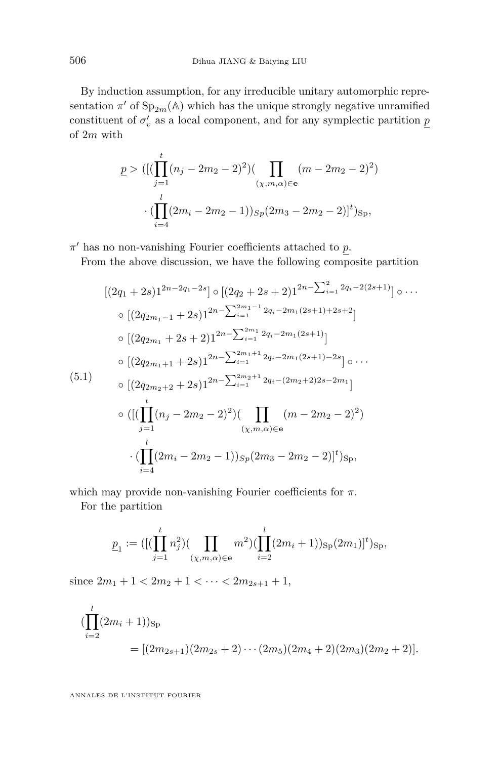By induction assumption, for any irreducible unitary automorphic representation  $\pi'$  of  $Sp_{2m}(\mathbb{A})$  which has the unique strongly negative unramified constituent of  $\sigma'_v$  as a local component, and for any symplectic partition  $\underline{p}$ of 2*m* with

$$
\underline{p} > ([(\prod_{j=1}^{t} (n_j - 2m_2 - 2)^2)(\prod_{(\chi,m,\alpha) \in \mathbf{e}} (m - 2m_2 - 2)^2)
$$

$$
\cdot (\prod_{i=4}^{l} (2m_i - 2m_2 - 1))_{Sp} (2m_3 - 2m_2 - 2)]^t)_{Sp},
$$

 $π'$  has no non-vanishing Fourier coefficients attached to *p*.

From the above discussion, we have the following composite partition

<span id="page-30-0"></span>
$$
[(2q_{1}+2s)1^{2n-2q_{1}-2s}] \circ [(2q_{2}+2s+2)1^{2n-\sum_{i=1}^{2}2q_{i}-2(2s+1)}] \circ \cdots
$$
  
\n
$$
\circ [(2q_{2m_{1}-1}+2s)1^{2n-\sum_{i=1}^{2m_{1}-1}2q_{i}-2m_{1}(2s+1)+2s+2}]
$$
  
\n
$$
\circ [(2q_{2m_{1}}+2s+2)1^{2n-\sum_{i=1}^{2m_{1}}2q_{i}-2m_{1}(2s+1)}]
$$
  
\n
$$
\circ [(2q_{2m_{1}+1}+2s)1^{2n-\sum_{i=1}^{2m_{1}+1}2q_{i}-2m_{1}(2s+1)-2s}] \circ \cdots
$$
  
\n(5.1)  
\n
$$
\circ [(2q_{2m_{2}+2}+2s)1^{2n-\sum_{i=1}^{2m_{2}+1}2q_{i}-(2m_{2}+2)2s-2m_{1}]
$$
  
\n
$$
\circ ([(\prod_{j=1}^{t}(n_{j}-2m_{2}-2)^{2})(\prod_{(x,m,\alpha)\in e}(m-2m_{2}-2)^{2})
$$
  
\n
$$
\cdot (\prod_{i=4}^{l}(2m_{i}-2m_{2}-1))_{Sp}(2m_{3}-2m_{2}-2)]^{t})_{Sp},
$$

which may provide non-vanishing Fourier coefficients for *π*.

For the partition

$$
\underline{p}_1 := ([(\prod_{j=1}^t n_j^2)(\prod_{(\chi,m,\alpha)\in\mathbf{e}} m^2)(\prod_{i=2}^l (2m_i+1))_{{\mathrm{Sp}}}(2m_1)]^t)_{{\mathrm{Sp}}},
$$

since  $2m_1 + 1 < 2m_2 + 1 < \cdots < 2m_{2s+1} + 1$ ,

$$
\begin{aligned} (\prod_{i=2}^{l} (2m_i + 1))_{\text{Sp}} \\ &= [(2m_{2s+1})(2m_{2s} + 2) \cdots (2m_5)(2m_4 + 2)(2m_3)(2m_2 + 2)]. \end{aligned}
$$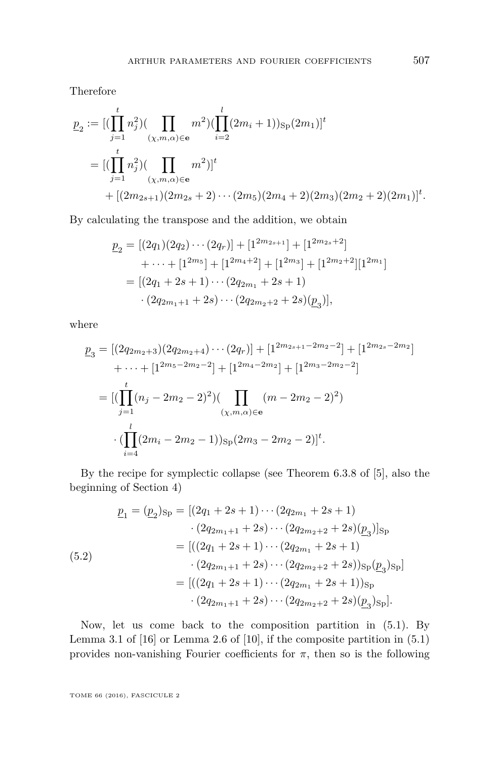Therefore

$$
p_2 := [(\prod_{j=1}^t n_j^2)(\prod_{(\chi,m,\alpha)\in\mathbf{e}} m^2)(\prod_{i=2}^l (2m_i+1))s_p(2m_1)]^t
$$
  
= 
$$
[(\prod_{j=1}^t n_j^2)(\prod_{(\chi,m,\alpha)\in\mathbf{e}} m^2)]^t
$$
  
+ 
$$
[(2m_{2s+1})(2m_{2s}+2)\cdots(2m_5)(2m_4+2)(2m_3)(2m_2+2)(2m_1)]^t.
$$

By calculating the transpose and the addition, we obtain

$$
\underline{p}_2 = [(2q_1)(2q_2)\cdots(2q_r)] + [1^{2m_{2s+1}}] + [1^{2m_{2s}+2}] \n+ \cdots + [1^{2m_5}] + [1^{2m_4+2}] + [1^{2m_3}] + [1^{2m_2+2}][1^{2m_1}] \n= [(2q_1 + 2s + 1)\cdots(2q_{2m_1} + 2s + 1) \n\cdot(2q_{2m_1+1} + 2s)\cdots(2q_{2m_2+2} + 2s)(\underline{p}_3)],
$$

where

$$
\underline{p}_3 = [(2q_{2m_2+3})(2q_{2m_2+4})\cdots(2q_r)] + [1^{2m_{2s+1}-2m_2-2}] + [1^{2m_{2s}-2m_2}] \n+ \cdots + [1^{2m_5-2m_2-2}] + [1^{2m_4-2m_2}] + [1^{2m_3-2m_2-2}] \n= [(\prod_{j=1}^t (n_j - 2m_2 - 2)^2) (\prod_{(\chi,m,\alpha)\in\mathbf{e}} (m - 2m_2 - 2)^2) \n\cdot (\prod_{i=4}^l (2m_i - 2m_2 - 1))_{\text{Sp}}(2m_3 - 2m_2 - 2)]^t.
$$

By the recipe for symplectic collapse (see Theorem 6.3.8 of [\[5\]](#page-42-9), also the beginning of Section 4)

<span id="page-31-0"></span>
$$
p_1 = (p_2)_{\text{Sp}} = [(2q_1 + 2s + 1) \cdots (2q_{2m_1} + 2s + 1) \cdot (2q_{2m_1+1} + 2s) \cdots (2q_{2m_2+2} + 2s)(p_3)]_{\text{Sp}}
$$
  
\n
$$
= [((2q_1 + 2s + 1) \cdots (2q_{2m_1} + 2s + 1) \cdot (2q_{2m_1+1} + 2s) \cdots (2q_{2m_2+2} + 2s))_{\text{Sp}}(p_3)_{\text{Sp}}]
$$
  
\n
$$
= [((2q_1 + 2s + 1) \cdots (2q_{2m_1} + 2s + 1))_{\text{Sp}} \cdot (2q_{2m_1+1} + 2s) \cdots (2q_{2m_2+2} + 2s)(p_3)_{\text{Sp}}].
$$

Now, let us come back to the composition partition in [\(5.1\)](#page-30-0). By Lemma 3.1 of  $[16]$  or Lemma 2.6 of  $[10]$ , if the composite partition in  $(5.1)$ provides non-vanishing Fourier coefficients for  $\pi$ , then so is the following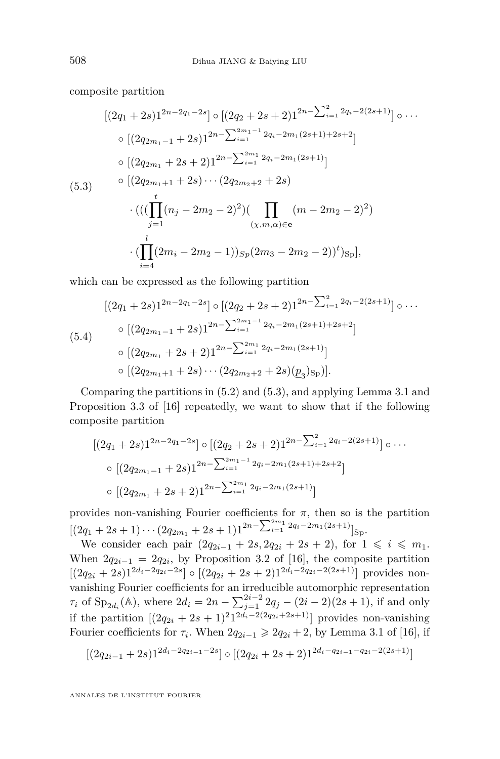composite partition

<span id="page-32-0"></span>
$$
[(2q_{1}+2s)1^{2n-2q_{1}-2s}] \circ [(2q_{2}+2s+2)1^{2n-\sum_{i=1}^{2}2q_{i}-2(2s+1)}] \circ \cdots
$$
  
\n
$$
\circ [(2q_{2m_{1}-1}+2s)1^{2n-\sum_{i=1}^{2m_{1}-1}2q_{i}-2m_{1}(2s+1)+2s+2}]
$$
  
\n
$$
\circ [(2q_{2m_{1}}+2s+2)1^{2n-\sum_{i=1}^{2m_{1}}2q_{i}-2m_{1}(2s+1)}]
$$
  
\n(5.3) 
$$
\circ [(2q_{2m_{1}+1}+2s)\cdots (2q_{2m_{2}+2}+2s)
$$
  
\n
$$
\cdot (((\prod_{j=1}^{t}(n_{j}-2m_{2}-2)^{2})(\prod_{(\chi,m,\alpha)\in\mathbf{e}}(m-2m_{2}-2)^{2})
$$
  
\n
$$
\cdot (\prod_{i=4}^{l}(2m_{i}-2m_{2}-1))_{Sp}(2m_{3}-2m_{2}-2))^{t})_{Sp}],
$$

which can be expressed as the following partition

$$
[(2q_{1}+2s)1^{2n-2q_{1}-2s}] \circ [(2q_{2}+2s+2)1^{2n-\sum_{i=1}^{2}2q_{i}-2(2s+1)}] \circ \cdots
$$
  
\n
$$
(5.4) \qquad \begin{array}{c} \circ [(2q_{2m_{1}-1}+2s)1^{2n-\sum_{i=1}^{2m_{1}-1}2q_{i}-2m_{1}(2s+1)+2s+2}] \\ \circ [(2q_{2m_{1}}+2s+2)1^{2n-\sum_{i=1}^{2m_{1}}2q_{i}-2m_{1}(2s+1)}] \\ \circ [(2q_{2m_{1}+1}+2s)\cdots (2q_{2m_{2}+2}+2s)(\underline{p}_{3})_{\text{Sp}})]. \end{array}
$$

Comparing the partitions in [\(5.2\)](#page-31-0) and [\(5.3\)](#page-32-0), and applying Lemma 3.1 and Proposition 3.3 of [\[16\]](#page-42-8) repeatedly, we want to show that if the following composite partition

$$
[(2q1+2s)12n-2q1-2s] \circ [(2q2+2s+2)12n-\sum_{i=1}^{2}2q_i-2(2s+1)] \circ \cdots
$$
  
\circ [(2q<sub>2m<sub>1</sub>-1</sub>+2s)1<sup>2n-\sum\_{i=1}^{2m<sub>1</sub>-1</sup>2q<sub>i</sub>-2m<sub>1</sub>(2s+1)+2s+2]  
\circ [(2q<sub>2m<sub>1</sub></sub>+2s+2)1<sup>2n-\sum\_{i=1}^{2m<sub>1</sub>}2q\_i-2m<sub>1</sub>(2s+1)]</sup>

provides non-vanishing Fourier coefficients for  $\pi$ , then so is the partition  $[(2q_1 + 2s + 1) \cdots (2q_{2m_1} + 2s + 1)1^{2n - \sum_{i=1}^{2m_1} 2q_i - 2m_1(2s+1)}]$ Sp.

We consider each pair  $(2q_{2i-1} + 2s, 2q_{2i} + 2s + 2)$ , for  $1 \leq i \leq m_1$ . When  $2q_{2i-1} = 2q_{2i}$ , by Proposition 3.2 of [\[16\]](#page-42-8), the composite partition  $[(2q_{2i} + 2s)1^{2d_i-2q_{2i}-2s}] \circ [(2q_{2i} + 2s + 2)1^{2d_i-2q_{2i}-2(2s+1)}]$  provides nonvanishing Fourier coefficients for an irreducible automorphic representation *τ*<sub>*i*</sub> of Sp<sub>2*di*</sub>( $\mathbb{A}$ ), where  $2d_i = 2n - \sum_{j=1}^{2i-2} 2q_j - (2i-2)(2s+1)$ , if and only if the partition  $[(2q_{2i} + 2s + 1)^2 1^{2d_i-2(2q_{2i}+2s+1)}]$  provides non-vanishing Fourier coefficients for  $\tau_i$ . When  $2q_{2i-1} \geq 2q_{2i} + 2$ , by Lemma 3.1 of [\[16\]](#page-42-8), if

$$
[(2q_{2i-1}+2s)1^{2d_i-2q_{2i-1}-2s}] \circ [(2q_{2i}+2s+2)1^{2d_i-q_{2i-1}-q_{2i}-2(2s+1)}]
$$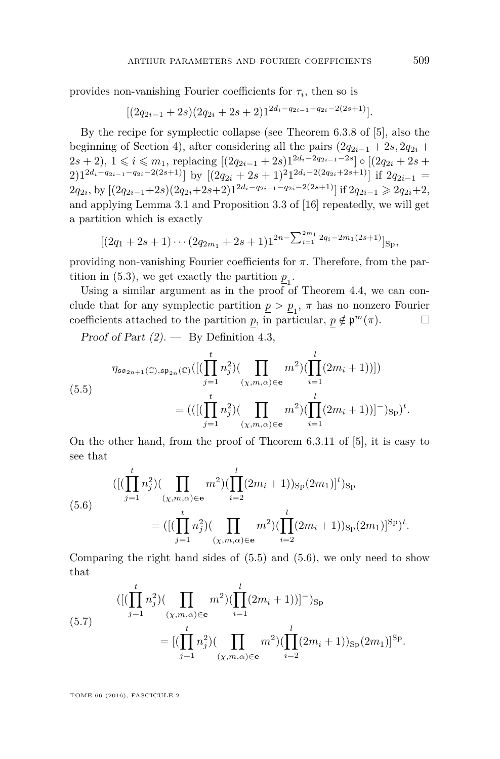provides non-vanishing Fourier coefficients for  $\tau_i$ , then so is

$$
[(2q_{2i-1}+2s)(2q_{2i}+2s+2)1^{2d_i-q_{2i-1}-q_{2i}-2(2s+1)}].
$$

By the recipe for symplectic collapse (see Theorem 6.3.8 of [\[5\]](#page-42-9), also the beginning of Section 4), after considering all the pairs  $(2q_{2i-1} + 2s, 2q_{2i} +$  $2s + 2$ ,  $1 \le i \le m_1$ , replacing  $[(2q_{2i-1} + 2s)1^{2d_i-2q_{2i-1}-2s}] \circ [(2q_{2i} + 2s +$  $(2)1^{2d_i-q_{2i-1}-q_{2i}-2(2s+1)}$  by  $[(2q_{2i}+2s+1)^21^{2d_i-2(2q_{2i}+2s+1)}]$  if  $2q_{2i-1} =$  $2q_{2i}$ , by  $[(2q_{2i-1}+2s)(2q_{2i}+2s+2)1^{2d_i-q_{2i-1}-q_{2i}-2(2s+1)}]$  if  $2q_{2i-1} \geq 2q_{2i}+2$ , and applying Lemma 3.1 and Proposition 3.3 of [\[16\]](#page-42-8) repeatedly, we will get a partition which is exactly

$$
[(2q_1+2s+1)\cdots(2q_{2m_1}+2s+1)1^{2n-\sum_{i=1}^{2m_1}2q_i-2m_1(2s+1)}]_{\text{Sp}},
$$

providing non-vanishing Fourier coefficients for *π*. Therefore, from the par-tition in [\(5.3\)](#page-32-0), we get exactly the partition  $\underline{p}_1$ .

Using a similar argument as in the proof of Theorem [4.4,](#page-19-0) we can conclude that for any symplectic partition  $\underline{p} > \underline{p}_1$ ,  $\pi$  has no nonzero Fourier coefficients attached to the partition *p*, in particular,  $p \notin \mathfrak{p}^m(\pi)$ .

Proof of Part  $(2)$ . — By Definition [4.3,](#page-19-1)

<span id="page-33-0"></span>
$$
\eta_{\mathfrak{so}_{2n+1}(\mathbb{C}), \mathfrak{sp}_{2n}(\mathbb{C})}([\left(\prod_{j=1}^{t} n_j^2\right) (\prod_{(\chi, m, \alpha) \in \mathbf{e}} m^2) (\prod_{i=1}^{l} (2m_i + 1))])
$$
\n
$$
= (([(\prod_{j=1}^{t} n_j^2) (\prod_{(\chi, m, \alpha) \in \mathbf{e}} m^2) (\prod_{i=1}^{l} (2m_i + 1))]^-)_{\mathbf{Sp}})^t.
$$

On the other hand, from the proof of Theorem 6.3.11 of [\[5\]](#page-42-9), it is easy to see that

<span id="page-33-1"></span>(5.6)  

$$
([(\prod_{j=1}^{t} n_j^2)(\prod_{(\chi,m,\alpha)\in\mathbf{e}} m^2)(\prod_{i=2}^{l} (2m_i+1))_{\text{Sp}}(2m_1)]^t)_{\text{Sp}}
$$

$$
=([(\prod_{j=1}^{t} n_j^2)(\prod_{(\chi,m,\alpha)\in\mathbf{e}} m^2)(\prod_{i=2}^{l} (2m_i+1))_{\text{Sp}}(2m_1)]^{\text{Sp}})^t.
$$

Comparing the right hand sides of  $(5.5)$  and  $(5.6)$ , we only need to show that

(5.7) 
$$
([(\prod_{j=1}^{t} n_j^2) (\prod_{(\chi,m,\alpha) \in \mathbf{e}} m^2) (\prod_{i=1}^{l} (2m_i + 1))]^{-})_{\text{Sp}}
$$

$$
= [(\prod_{j=1}^{t} n_j^2) (\prod_{(\chi,m,\alpha) \in \mathbf{e}} m^2) (\prod_{i=2}^{l} (2m_i + 1))_{\text{Sp}} (2m_1)]^{\text{Sp}}.
$$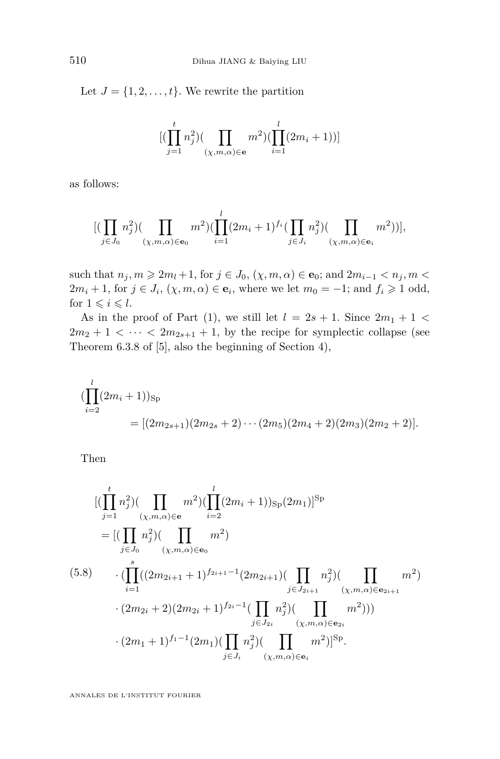Let  $J = \{1, 2, \ldots, t\}$ . We rewrite the partition

$$
[(\prod_{j=1}^{t} n_j^2)(\prod_{(\chi,m,\alpha)\in\mathbf{e}} m^2)(\prod_{i=1}^{l} (2m_i+1))]
$$

as follows:

$$
[(\prod_{j\in J_0} n_j^2)(\prod_{(\chi,m,\alpha)\in\mathbf{e}_0} m^2)(\prod_{i=1}^l (2m_i+1)^{f_i}(\prod_{j\in J_i} n_j^2)(\prod_{(\chi,m,\alpha)\in\mathbf{e}_i} m^2))],
$$

such that  $n_j, m \ge 2m_l + 1$ , for  $j \in J_0$ ,  $(\chi, m, \alpha) \in \mathbf{e}_0$ ; and  $2m_{i-1} < n_j, m <$  $2m_i + 1$ , for  $j \in J_i$ ,  $(\chi, m, \alpha) \in \mathbf{e}_i$ , where we let  $m_0 = -1$ ; and  $f_i \geq 1$  odd, for  $1 \leqslant i \leqslant l$ .

As in the proof of Part (1), we still let  $l = 2s + 1$ . Since  $2m_1 + 1 <$  $2m_2 + 1 < \cdots < 2m_{2s+1} + 1$ , by the recipe for symplectic collapse (see Theorem 6.3.8 of [\[5\]](#page-42-9), also the beginning of Section 4),

$$
\begin{aligned} (\prod_{i=2}^l (2m_i+1))_{\text{Sp}}\\ &= [(2m_{2s+1})(2m_{2s}+2)\cdots(2m_5)(2m_4+2)(2m_3)(2m_2+2)].\end{aligned}
$$

Then

$$
\begin{split}\n&\left[ (\prod_{j=1}^{t} n_j^2) (\prod_{(\chi,m,\alpha) \in \mathbf{e}} m^2) (\prod_{i=2}^{l} (2m_i + 1))_{\text{Sp}} (2m_1) \right]^{\text{Sp}} \\
&= \left[ (\prod_{j \in J_0} n_j^2) (\prod_{(\chi,m,\alpha) \in \mathbf{e}_0} m^2) \right. \\
&\left. (\prod_{i=1}^{s} ((2m_{2i+1} + 1)^{f_{2i+1}-1} (2m_{2i+1}) (\prod_{j \in J_{2i+1}} n_j^2) (\prod_{(\chi,m,\alpha) \in \mathbf{e}_{2i+1}} m^2) \right. \\
&\left. \cdot (2m_{2i} + 2)(2m_{2i} + 1)^{f_{2i}-1} (\prod_{j \in J_{2i}} n_j^2) (\prod_{(\chi,m,\alpha) \in \mathbf{e}_{2i}} m^2) \right)) \\
&\cdot (2m_1 + 1)^{f_1 - 1} (2m_1) (\prod_{j \in J_i} n_j^2) (\prod_{(\chi,m,\alpha) \in \mathbf{e}_i} m^2) ]^{\text{Sp}}.\n\end{split}
$$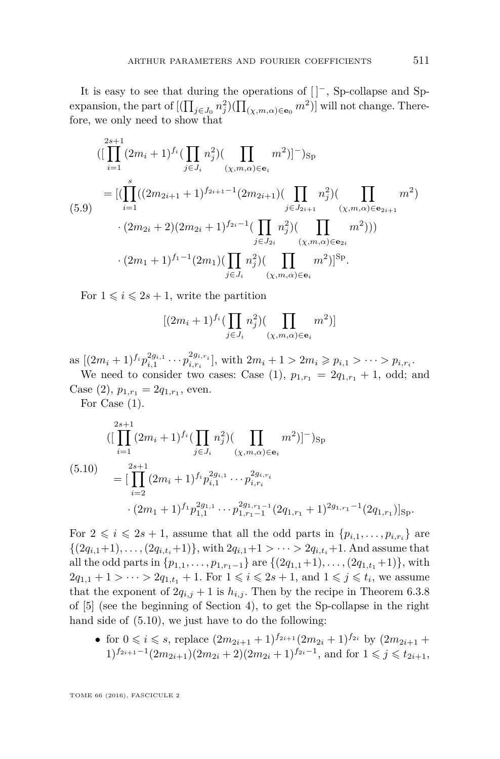It is easy to see that during the operations of [ ]−, Sp-collapse and Spexpansion, the part of  $[(\prod_{j\in J_0} n_j^2)(\prod_{(\chi,m,\alpha)\in {\bf e}_0} m^2)]$  will not change. Therefore, we only need to show that

<span id="page-35-1"></span>
$$
\begin{split}\n&\left( [\prod_{i=1}^{2s+1} (2m_i+1)^{f_i} (\prod_{j\in J_i} n_j^2) (\prod_{(\chi,m,\alpha)\in\mathbf{e}_i} m^2) ]^-\right)_{\text{Sp}} \\
&= [(\prod_{i=1}^s ((2m_{2i+1}+1)^{f_{2i+1}-1} (2m_{2i+1}) (\prod_{j\in J_{2i+1}} n_j^2) (\prod_{(\chi,m,\alpha)\in\mathbf{e}_{2i+1}} m^2) \\
&\quad \cdot (2m_{2i}+2)(2m_{2i}+1)^{f_{2i}-1} (\prod_{j\in J_{2i}} n_j^2) (\prod_{(\chi,m,\alpha)\in\mathbf{e}_{2i}} m^2) )\n\end{split}
$$
\n
$$
\cdot (2m_1+1)^{f_1-1} (2m_1) (\prod_{j\in J_i} n_j^2) (\prod_{(\chi,m,\alpha)\in\mathbf{e}_i} m^2) ]^{\text{Sp}}.
$$

For  $1 \leq i \leq 2s + 1$ , write the partition

$$
[(2m_i+1)^{f_i}(\prod_{j\in J_i}n_j^2)(\prod_{(\chi,m,\alpha)\in\mathbf{e}_i}m^2)]
$$

as  $[(2m_i+1)^{f_i}p_{i,1}^{2g_{i,1}}\cdots p_{i,r_i}^{2g_{i,r_i}}]$ , with  $2m_i+1>2m_i\geqslant p_{i,1}>\cdots>p_{i,r_i}$ . We need to consider two cases: Case (1),  $p_{1,r_1} = 2q_{1,r_1} + 1$ , odd; and

Case  $(2)$ ,  $p_{1,r_1} = 2q_{1,r_1}$ , even. For Case (1).

<span id="page-35-0"></span>
$$
(5.10)
$$
\n
$$
\begin{aligned}\n&\left( \left[ \prod_{i=1}^{2s+1} (2m_i+1)^{f_i} \left( \prod_{j \in J_i} n_j^2 \right) \left( \prod_{(\chi,m,\alpha) \in \mathbf{e}_i} m^2 \right) \right]^{-} \right)_{\text{Sp}} \\
&= \left[ \prod_{i=2}^{2s+1} (2m_i+1)^{f_i} p_{i,1}^{2g_{i,1}} \cdots p_{i,r_i}^{2g_{i,r_i}} \right. \\
&\left. \cdot (2m_1+1)^{f_1} p_{1,1}^{2g_{1,1}} \cdots p_{1,r_1-1}^{2g_{1,r_1-1}} (2q_{1,r_1}+1)^{2g_{1,r_1-1}} (2q_{1,r_1}) \right]_{\text{Sp}}.\n\end{aligned}
$$

For  $2 \leq i \leq 2s + 1$ , assume that all the odd parts in  $\{p_{i,1}, \ldots, p_{i,r_i}\}$  are  $\{(2q_{i,1}+1), \ldots, (2q_{i,t_i}+1)\},\$  with  $2q_{i,1}+1 > \cdots > 2q_{i,t_i}+1$ . And assume that all the odd parts in  $\{p_{1,1}, \ldots, p_{1,r_1-1}\}$  are  $\{(2q_{1,1}+1), \ldots, (2q_{1,t_1}+1)\}$ , with  $2q_{1,1} + 1 > \cdots > 2q_{1,t_1} + 1$ . For  $1 \leq i \leq 2s + 1$ , and  $1 \leq j \leq t_i$ , we assume that the exponent of  $2q_{i,j} + 1$  is  $h_{i,j}$ . Then by the recipe in Theorem 6.3.8 of [\[5\]](#page-42-9) (see the beginning of Section 4), to get the Sp-collapse in the right hand side of [\(5.10\)](#page-35-0), we just have to do the following:

• for  $0 \leq i \leq s$ , replace  $(2m_{2i+1}+1)^{f_{2i+1}}(2m_{2i}+1)^{f_{2i}}$  by  $(2m_{2i+1}+1)^{f_{2i+2}}$ 1)<sup>*f*2*i*+1</sub>-1</sup>(2*m*<sub>2*i*+1</sub>)(2*m*<sub>2*i*</sub> + 2)(2*m*<sub>2*i*</sub> + 1)<sup>*f*<sub>2*i*</sub>-1</sup>, and for 1 ≤ *j* ≤ *t*<sub>2*i*+1</sub>,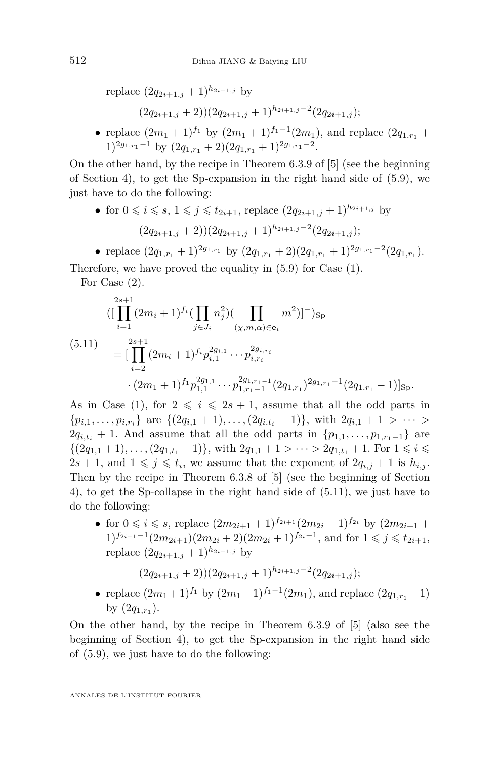replace  $(2q_{2i+1,j} + 1)^{h_{2i+1,j}}$  by

$$
(2q_{2i+1,j}+2))(2q_{2i+1,j}+1)^{h_{2i+1,j}-2}(2q_{2i+1,j});
$$

• replace  $(2m_1 + 1)^{f_1}$  by  $(2m_1 + 1)^{f_1-1}(2m_1)$ , and replace  $(2q_{1,r_1} +$  $1)^{2g_{1,r_1}-1}$  by  $(2q_{1,r_1}+2)(2q_{1,r_1}+1)^{2g_{1,r_1}-2}$ .

On the other hand, by the recipe in Theorem 6.3.9 of [\[5\]](#page-42-9) (see the beginning of Section 4), to get the Sp-expansion in the right hand side of [\(5.9\)](#page-35-1), we just have to do the following:

• for  $0 \le i \le s$ ,  $1 \le j \le t_{2i+1}$ , replace  $(2q_{2i+1,j}+1)^{h_{2i+1,j}}$  by  $(2q_{2i+1,j} + 2))(2q_{2i+1,j} + 1)^{h_{2i+1,j}-2}(2q_{2i+1,j});$ 

• replace  $(2q_{1,r_1} + 1)^{2g_{1,r_1}}$  by  $(2q_{1,r_1} + 2)(2q_{1,r_1} + 1)^{2g_{1,r_1}-2}(2q_{1,r_1}).$ 

Therefore, we have proved the equality in [\(5.9\)](#page-35-1) for Case (1).

For Case (2).

<span id="page-36-0"></span>
$$
(5.11)
$$
\n
$$
\begin{aligned}\n&\left( \left[ \prod_{i=1}^{2s+1} (2m_i+1)^{f_i} \left( \prod_{j \in J_i} n_j^2 \right) \left( \prod_{(\chi,m,\alpha) \in \mathbf{e}_i} m^2 \right) \right]^{-} \right)_{\text{Sp}} \\
&= \left[ \prod_{i=2}^{2s+1} (2m_i+1)^{f_i} p_{i,1}^{2g_{i,1}} \cdots p_{i,r_i}^{2g_{i,r_i}} \right. \\
&\left. \cdot (2m_1+1)^{f_1} p_{1,1}^{2g_{1,1}} \cdots p_{1,r_1-1}^{2g_{1,r_1-1}} (2q_{1,r_1})^{2g_{1,r_1-1}} (2q_{1,r_1}-1) \right]_{\text{Sp}}.\n\end{aligned}
$$

As in Case (1), for  $2 \leq i \leq 2s + 1$ , assume that all the odd parts in  $\{p_{i,1}, \ldots, p_{i,r_i}\}\$  are  $\{(2q_{i,1}+1), \ldots, (2q_{i,t_i}+1)\}\$ , with  $2q_{i,1}+1 > \cdots >$  $2q_{i,t_i} + 1$ . And assume that all the odd parts in  $\{p_{1,1}, \ldots, p_{1,r_1-1}\}$  are  $\{(2q_{1,1}+1), \ldots, (2q_{1,t_1}+1)\},\$  with  $2q_{1,1}+1 > \cdots > 2q_{1,t_1}+1$ . For  $1 \leq i \leq t_1$  $2s + 1$ , and  $1 \leq j \leq t_i$ , we assume that the exponent of  $2q_{i,j} + 1$  is  $h_{i,j}$ . Then by the recipe in Theorem 6.3.8 of [\[5\]](#page-42-9) (see the beginning of Section 4), to get the Sp-collapse in the right hand side of [\(5.11\)](#page-36-0), we just have to do the following:

• for  $0 \leq i \leq s$ , replace  $(2m_{2i+1} + 1)^{f_{2i+1}} (2m_{2i} + 1)^{f_{2i}}$  by  $(2m_{2i+1} + 1)^{f_{2i+1}}$ 1)<sup>*f*2*i*+1</sub>-1</sup>(2*m*<sub>2*i*+1</sub>)(2*m*<sub>2*i*</sub> + 2)(2*m*<sub>2*i*</sub> + 1)<sup>*f*<sub>2*i*</sub>-1</sup>, and for 1 ≤ *j* ≤ *t*<sub>2*i*+1</sub>, replace  $(2q_{2i+1,j} + 1)^{h_{2i+1,j}}$  by

$$
(2q_{2i+1,j}+2)(2q_{2i+1,j}+1)^{h_{2i+1,j}-2}(2q_{2i+1,j});
$$

• replace  $(2m_1+1)^{f_1}$  by  $(2m_1+1)^{f_1-1}(2m_1)$ , and replace  $(2q_{1,r_1}-1)$ by  $(2q_{1,r_1})$ .

On the other hand, by the recipe in Theorem 6.3.9 of [\[5\]](#page-42-9) (also see the beginning of Section 4), to get the Sp-expansion in the right hand side of [\(5.9\)](#page-35-1), we just have to do the following: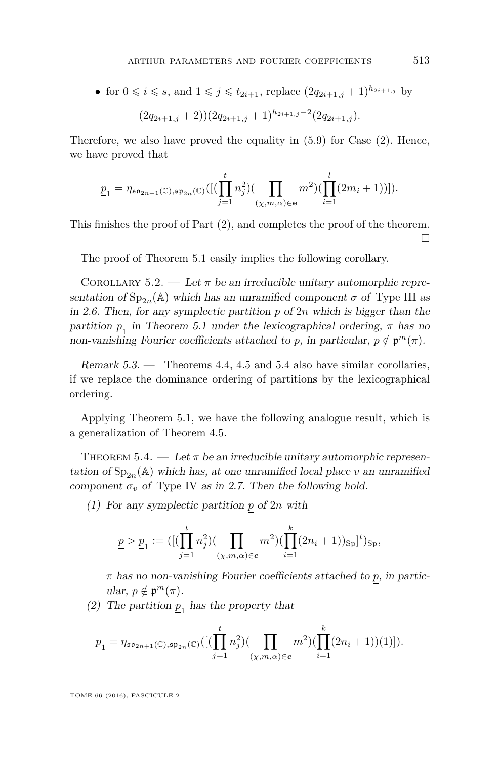• for  $0 \le i \le s$ , and  $1 \le j \le t_{2i+1}$ , replace  $(2q_{2i+1,j} + 1)^{h_{2i+1,j}}$  by  $(2q_{2i+1,j} + 2))(2q_{2i+1,j} + 1)^{h_{2i+1,j}-2}(2q_{2i+1,j}).$ 

Therefore, we also have proved the equality in [\(5.9\)](#page-35-1) for Case (2). Hence, we have proved that

$$
\underline{p}_1=\eta_{\mathfrak{so}_{2n+1}(\mathbb{C}),\mathfrak{sp}_{2n}(\mathbb{C})}([(\prod_{j=1}^t n_j^2)(\prod_{(\chi,m,\alpha)\in\mathbf{e}} m^2)(\prod_{i=1}^l (2m_i+1))]).
$$

This finishes the proof of Part (2), and completes the proof of the theorem.  $\Box$ 

The proof of Theorem [5.1](#page-26-0) easily implies the following corollary.

<span id="page-37-1"></span>COROLLARY 5.2. — Let  $\pi$  be an irreducible unitary automorphic representation of  $Sp_{2n}(\mathbb{A})$  which has an unramified component  $\sigma$  of Type III as in [2.6.](#page-9-0) Then, for any symplectic partition *p* of 2*n* which is bigger than the partition  $p_1$  in Theorem [5.1](#page-26-0) under the lexicographical ordering,  $\pi$  has no non-vanishing Fourier coefficients attached to *p*, in particular,  $p \notin \mathfrak{p}^m(\pi)$ .

Remark 5.3. — Theorems [4.4,](#page-19-0) [4.5](#page-25-0) and [5.4](#page-37-0) also have similar corollaries, if we replace the dominance ordering of partitions by the lexicographical ordering.

Applying Theorem [5.1,](#page-26-0) we have the following analogue result, which is a generalization of Theorem [4.5.](#page-25-0)

<span id="page-37-0"></span>THEOREM 5.4. — Let  $\pi$  be an irreducible unitary automorphic representation of  $\text{Sp}_{2n}(\mathbb{A})$  which has, at one unramified local place *v* an unramified component  $\sigma_v$  of Type IV as in [2.7.](#page-9-3) Then the following hold.

(1) For any symplectic partition *p* of 2*n* with

$$
\underline{p} > \underline{p}_1 := ([(\prod_{j=1}^t n_j^2)(\prod_{(\chi,m,\alpha)\in e} m^2)(\prod_{i=1}^k (2n_i+1))_{\text{Sp}}]^t)_{\text{Sp}},
$$

*π* has no non-vanishing Fourier coefficients attached to *p*, in partic $ular, p \notin \mathfrak{p}^m(\pi).$ 

(2) The partition  $\underline{p}_1$  has the property that

$$
\underline{p}_1 = \eta_{\mathfrak{so}_{2n+1}(\mathbb{C}), \mathfrak{sp}_{2n}(\mathbb{C})}([\left(\prod_{j=1}^t n_j^2\right) (\prod_{(\chi,m,\alpha) \in e} m^2) (\prod_{i=1}^k (2n_i+1))(1)]).
$$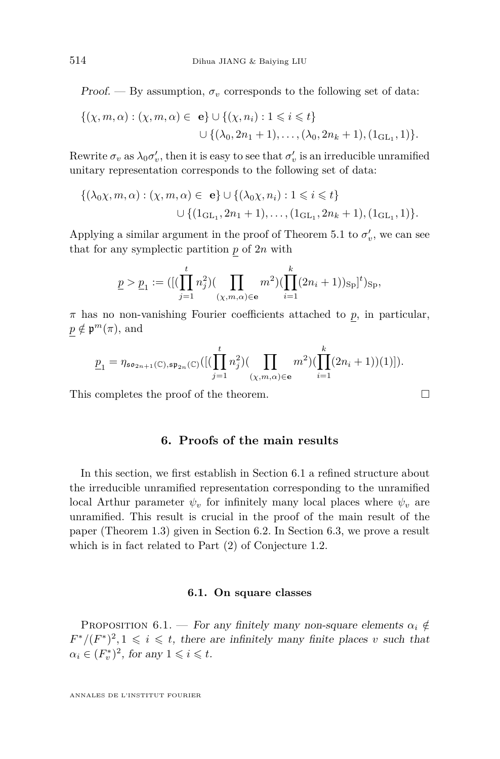Proof. — By assumption,  $\sigma_v$  corresponds to the following set of data:

$$
\{(\chi, m, \alpha) : (\chi, m, \alpha) \in \mathbf{e}\} \cup \{(\chi, n_i) : 1 \leq i \leq t\}
$$
  

$$
\cup \{(\lambda_0, 2n_1 + 1), \dots, (\lambda_0, 2n_k + 1), (1_{\text{GL}_1}, 1)\}.
$$

Rewrite  $\sigma_v$  as  $\lambda_0 \sigma'_v$ , then it is easy to see that  $\sigma'_v$  is an irreducible unramified unitary representation corresponds to the following set of data:

$$
\{(\lambda_0 \chi, m, \alpha) : (\chi, m, \alpha) \in \mathbf{e}\} \cup \{(\lambda_0 \chi, n_i) : 1 \leq i \leq t\}
$$
  

$$
\cup \{(\mathbf{1}_{\mathrm{GL}_1}, 2n_1 + 1), \dots, (\mathbf{1}_{\mathrm{GL}_1}, 2n_k + 1), (\mathbf{1}_{\mathrm{GL}_1}, 1)\}.
$$

Applying a similar argument in the proof of Theorem [5.1](#page-26-0) to  $\sigma'_v$ , we can see that for any symplectic partition *p* of 2*n* with

$$
\underline{p} > \underline{p}_1 := ([(\prod_{j=1}^t n_j^2)(\prod_{(\chi,m,\alpha)\in\mathbf{e}} m^2)(\prod_{i=1}^k (2n_i+1))_{\text{Sp}}]^t)_{\text{Sp}},
$$

*π* has no non-vanishing Fourier coefficients attached to *p*, in particular,  $p \notin \mathfrak{p}^m(\pi)$ , and

$$
\underline{p}_1=\eta_{\mathfrak{so}_{2n+1}(\mathbb{C}),\mathfrak{sp}_{2n}(\mathbb{C})}([(\prod_{j=1}^t n_j^2) (\prod_{(\chi,m,\alpha)\in\mathbf{e}} m^2) (\prod_{i=1}^k (2n_i+1))(1)]).
$$

This completes the proof of the theorem.

#### **6. Proofs of the main results**

In this section, we first establish in Section 6.1 a refined structure about the irreducible unramified representation corresponding to the unramified local Arthur parameter  $\psi_v$  for infinitely many local places where  $\psi_v$  are unramified. This result is crucial in the proof of the main result of the paper (Theorem 1.3) given in Section 6.2. In Section 6.3, we prove a result which is in fact related to Part (2) of Conjecture 1.2.

#### **6.1. On square classes**

<span id="page-38-0"></span>PROPOSITION 6.1. — For any finitely many non-square elements  $\alpha_i \notin$  $F^*/(F^*)^2$ ,  $1 \leq i \leq t$ , there are infinitely many finite places *v* such that  $\alpha_i \in (F_v^*)^2$ , for any  $1 \leq i \leq t$ .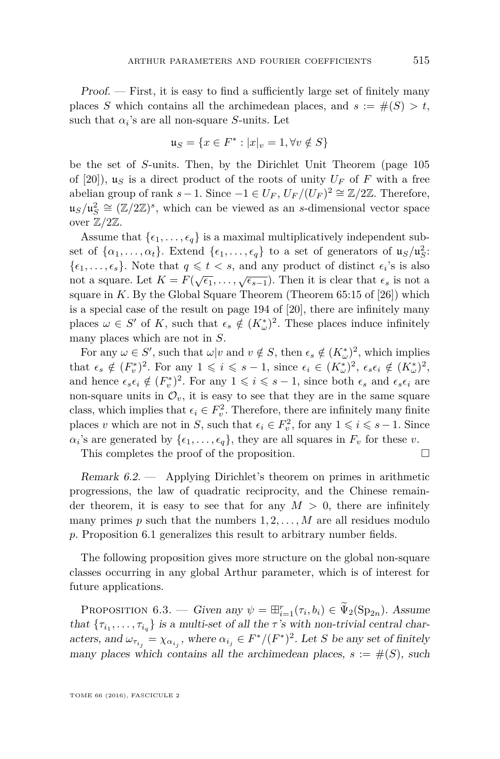Proof. — First, it is easy to find a sufficiently large set of finitely many places *S* which contains all the archimedean places, and  $s := \#(S) > t$ , such that  $\alpha_i$ 's are all non-square *S*-units. Let

$$
\mathfrak{u}_S = \{ x \in F^* : |x|_v = 1, \forall v \notin S \}
$$

be the set of *S*-units. Then, by the Dirichlet Unit Theorem (page 105 of [\[20\]](#page-43-9)),  $u<sub>S</sub>$  is a direct product of the roots of unity  $U<sub>F</sub>$  of *F* with a free abelian group of rank  $s - 1$ . Since  $-1 \in U_F$ ,  $U_F/(U_F)^2 \cong \mathbb{Z}/2\mathbb{Z}$ . Therefore,  $\mathfrak{u}_S/\mathfrak{u}_S^2 \cong (\mathbb{Z}/2\mathbb{Z})^s$ , which can be viewed as an *s*-dimensional vector space over  $\mathbb{Z}/2\mathbb{Z}$ .

Assume that  $\{\epsilon_1, \ldots, \epsilon_q\}$  is a maximal multiplicatively independent subset of  $\{\alpha_1, \ldots, \alpha_t\}$ . Extend  $\{\epsilon_1, \ldots, \epsilon_q\}$  to a set of generators of  $\mu_S / \mu_S^2$ :  $\{\epsilon_1, \ldots, \epsilon_s\}$ . Note that  $q \leq t < s$ , and any product of distinct  $\epsilon_i$ 's is also not a square. Let  $K = F(\sqrt{\epsilon_1}, \ldots, \sqrt{\epsilon_{s-1}})$ . Then it is clear that  $\epsilon_s$  is not a square in *K*. By the Global Square Theorem (Theorem 65:15 of [\[26\]](#page-43-10)) which is a special case of the result on page 194 of [\[20\]](#page-43-9), there are infinitely many places  $\omega \in S'$  of *K*, such that  $\epsilon_s \notin (K^*_{\omega})^2$ . These places induce infinitely many places which are not in *S*.

For any  $\omega \in S'$ , such that  $\omega | v$  and  $v \notin S$ , then  $\epsilon_s \notin (K^*_{\omega})^2$ , which implies that  $\epsilon_s \notin (F_v^*)^2$ . For any  $1 \leqslant i \leqslant s - 1$ , since  $\epsilon_i \in (K_\omega^*)^2$ ,  $\epsilon_s \epsilon_i \notin (K_\omega^*)^2$ , and hence  $\epsilon_s \epsilon_i \notin (F_v^*)^2$ . For any  $1 \leq i \leq s-1$ , since both  $\epsilon_s$  and  $\epsilon_s \epsilon_i$  are non-square units in  $\mathcal{O}_v$ , it is easy to see that they are in the same square class, which implies that  $\epsilon_i \in F_v^2$ . Therefore, there are infinitely many finite places *v* which are not in *S*, such that  $\epsilon_i \in F_v^2$ , for any  $1 \leq i \leq s - 1$ . Since  $\alpha_i$ 's are generated by  $\{\epsilon_1, \ldots, \epsilon_q\}$ , they are all squares in  $F_v$  for these *v*.

This completes the proof of the proposition.

Remark 6.2. — Applying Dirichlet's theorem on primes in arithmetic progressions, the law of quadratic reciprocity, and the Chinese remainder theorem, it is easy to see that for any  $M > 0$ , there are infinitely many primes  $p$  such that the numbers  $1, 2, \ldots, M$  are all residues modulo *p*. Proposition [6.1](#page-38-0) generalizes this result to arbitrary number fields.

The following proposition gives more structure on the global non-square classes occurring in any global Arthur parameter, which is of interest for future applications.

<span id="page-39-0"></span>PROPOSITION 6.3. — Given any  $\psi = \boxplus_{i=1}^r(\tau_i, b_i) \in \widetilde{\Psi}_2(\mathrm{Sp}_{2n})$ . Assume that  ${\tau_{i_1}, \ldots, \tau_{i_q}}$  is a multi-set of all the *τ*'s with non-trivial central characters, and  $\omega_{\tau_{i_j}} = \chi_{\alpha_{i_j}}$ , where  $\alpha_{i_j} \in F^*/(F^*)^2$ . Let *S* be any set of finitely many places which contains all the archimedean places,  $s := \#(S)$ , such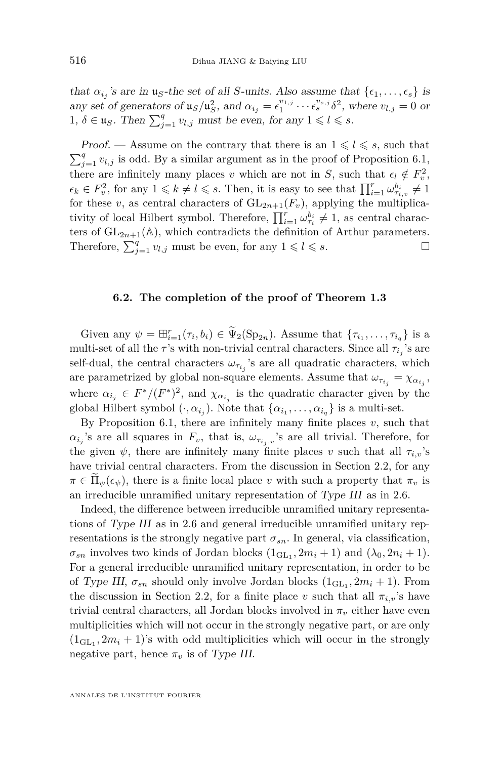that  $\alpha_{i_j}$ 's are in  $\mathfrak{u}_S$ -the set of all *S*-units. Also assume that  $\{\epsilon_1, \ldots, \epsilon_s\}$  is any set of generators of  $\mathfrak{u}_S/\mathfrak{u}_S^2$ , and  $\alpha_{i_j} = \epsilon_1^{v_{1,j}} \cdots \epsilon_s^{v_{s,j}} \delta^2$ , where  $v_{l,j} = 0$  or  $1, \delta \in \mathfrak{u}_S$ . Then  $\sum_{j=1}^q v_{l,j}$  must be even, for any  $1 \leq l \leq s$ .

*Proof.* — Assume on the contrary that there is an  $1 \leq l \leq s$ , such that  $\sum_{j=1}^{q} v_{l,j}$  is odd. By a similar argument as in the proof of Proposition [6.1,](#page-38-0) there are infinitely many places *v* which are not in *S*, such that  $\epsilon_l \notin F_v^2$ ,  $\epsilon_k \in F_v^2$ , for any  $1 \leq k \neq l \leq s$ . Then, it is easy to see that  $\prod_{i=1}^r \omega_{\tau_{i,v}}^{b_i} \neq 1$ for these *v*, as central characters of  $GL_{2n+1}(F_v)$ , applying the multiplicativity of local Hilbert symbol. Therefore,  $\prod_{i=1}^{r} \omega_{\tau_i}^{b_i} \neq 1$ , as central characters of  $GL_{2n+1}(\mathbb{A})$ , which contradicts the definition of Arthur parameters. Therefore,  $\sum_{j=1}^{q} v_{l,j}$  must be even, for any  $1 \leq l \leq s$ .

#### **6.2. The completion of the proof of Theorem [1.3](#page-4-1)**

Given any  $\psi = \boxplus_{i=1}^r (\tau_i, b_i) \in \widetilde{\Psi}_2(\mathrm{Sp}_{2n})$ . Assume that  $\{\tau_{i_1}, \ldots, \tau_{i_q}\}$  is a multi-set of all the *τ*'s with non-trivial central characters. Since all  $\tau_{i_j}$ 's are self-dual, the central characters  $\omega_{\tau_{i_j}}$ 's are all quadratic characters, which are parametrized by global non-square elements. Assume that  $\omega_{\tau_{i_j}} = \chi_{\alpha_{i_j}},$ where  $\alpha_{i_j} \in F^*/(F^*)^2$ , and  $\chi_{\alpha_{i_j}}$  is the quadratic character given by the global Hilbert symbol  $(\cdot, \alpha_{i_j})$ . Note that  $\{\alpha_{i_1}, \dots, \alpha_{i_q}\}$  is a multi-set.

By Proposition [6.1,](#page-38-0) there are infinitely many finite places  $v$ , such that  $\alpha_{i_j}$ 's are all squares in  $F_v$ , that is,  $\omega_{\tau_{i_j},v}$ 's are all trivial. Therefore, for the given  $\psi$ , there are infinitely many finite places *v* such that all  $\tau_{i,v}$ 's have trivial central characters. From the discussion in Section 2.2, for any  $\pi \in \Pi_{\psi}(\epsilon_{\psi})$ , there is a finite local place *v* with such a property that  $\pi_{\psi}$  is an irreducible unramified unitary representation of Type III as in [2.6.](#page-9-0)

Indeed, the difference between irreducible unramified unitary representations of Type III as in [2.6](#page-9-0) and general irreducible unramified unitary representations is the strongly negative part  $\sigma_{sn}$ . In general, via classification,  $\sigma_{sn}$  involves two kinds of Jordan blocks  $(1_{\text{GL}_1}, 2m_i + 1)$  and  $(\lambda_0, 2n_i + 1)$ . For a general irreducible unramified unitary representation, in order to be of Type III,  $\sigma_{sn}$  should only involve Jordan blocks  $(1_{\text{GL}_1}, 2m_i + 1)$ . From the discussion in Section 2.2, for a finite place *v* such that all  $\pi_{i,v}$ 's have trivial central characters, all Jordan blocks involved in  $\pi_v$  either have even multiplicities which will not occur in the strongly negative part, or are only  $(1_{\text{GL}_1}, 2m_i + 1)$ 's with odd multiplicities which will occur in the strongly negative part, hence  $\pi_v$  is of Type III.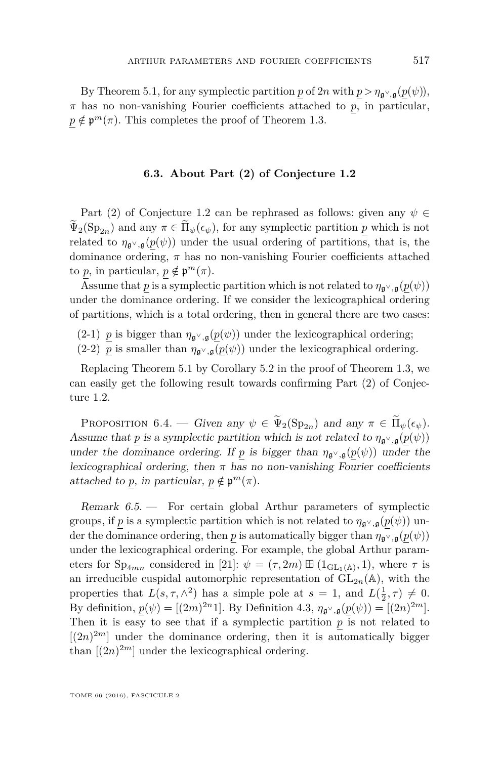By Theorem [5.1,](#page-26-0) for any symplectic partition *p* of  $2n$  with  $p > \eta_{\mathfrak{g}^\vee, \mathfrak{g}}(p(\psi))$ , *π* has no non-vanishing Fourier coefficients attached to *p*, in particular,  $p \notin \mathfrak{p}^m(\pi)$ . This completes the proof of Theorem [1.3.](#page-4-1)

#### **6.3. About Part (2) of Conjecture [1.2](#page-4-0)**

Part (2) of Conjecture [1.2](#page-4-0) can be rephrased as follows: given any  $\psi \in$  $\widetilde{\Psi}_2(Sp_{2n})$  and any  $\pi \in \widetilde{\Pi}_{\psi}(\epsilon_{\psi})$ , for any symplectic partition  $p$  which is not related to  $\eta_{\mathfrak{g}^\vee,\mathfrak{g}}(p(\psi))$  under the usual ordering of partitions, that is, the dominance ordering,  $\pi$  has no non-vanishing Fourier coefficients attached to *p*, in particular,  $p \notin \mathfrak{p}^m(\pi)$ .

Assume that *p* is a symplectic partition which is not related to  $\eta_{\mathfrak{g}^\vee,\mathfrak{g}}(p(\psi))$ under the dominance ordering. If we consider the lexicographical ordering of partitions, which is a total ordering, then in general there are two cases:

(2-1) *p* is bigger than  $\eta_{\mathfrak{g}^{\vee},\mathfrak{g}}(p(\psi))$  under the lexicographical ordering;

(2-2)  $\overline{p}$  is smaller than  $\eta_{\mathfrak{g}^\vee,\mathfrak{g}}(p(\psi))$  under the lexicographical ordering.

Replacing Theorem [5.1](#page-26-0) by Corollary [5.2](#page-37-1) in the proof of Theorem [1.3,](#page-4-1) we can easily get the following result towards confirming Part (2) of Conjecture [1.2.](#page-4-0)

<span id="page-41-0"></span>PROPOSITION 6.4. — Given any  $\psi \in \tilde{\Psi}_2(\mathrm{Sp}_{2n})$  and any  $\pi \in \tilde{\Pi}_{\psi}(\epsilon_{\psi})$ . Assume that *p* is a symplectic partition which is not related to  $\eta_{\mathfrak{g}^\vee,\mathfrak{g}}(p(\psi))$ under the dominance ordering. If *p* is bigger than  $\eta_{\mathfrak{q}^{\vee},\mathfrak{q}}(p(\psi))$  under the lexicographical ordering, then  $\pi$  has no non-vanishing Fourier coefficients attached to *p*, in particular,  $p \notin \mathfrak{p}^m(\pi)$ .

<span id="page-41-1"></span>Remark 6.5. — For certain global Arthur parameters of symplectic groups, if *p* is a symplectic partition which is not related to  $\eta_{\mathfrak{g}^\vee,\mathfrak{g}}(p(\psi))$  under the dominance ordering, then *p* is automatically bigger than  $\eta_{\mathfrak{g}^\vee,\mathfrak{g}}(p(\psi))$ under the lexicographical ordering. For example, the global Arthur parameters for  $Sp_{4mn}$  considered in [\[21\]](#page-43-4):  $\psi = (\tau, 2m) \boxplus (1_{GL_1(\mathbb{A})}, 1)$ , where  $\tau$  is an irreducible cuspidal automorphic representation of  $GL_{2n}(\mathbb{A})$ , with the properties that  $L(s, \tau, \wedge^2)$  has a simple pole at  $s = 1$ , and  $L(\frac{1}{2}, \tau) \neq 0$ . By definition,  $p(\psi) = [(2m)^{2n}1]$ . By Definition [4.3,](#page-19-1)  $\eta_{\mathfrak{g}^{\vee},\mathfrak{g}}(p(\psi)) = [(2n)^{2m}]$ . Then it is easy to see that if a symplectic partition *p* is not related to  $[(2n)^{2m}]$  under the dominance ordering, then it is automatically bigger than  $[(2n)^{2m}]$  under the lexicographical ordering.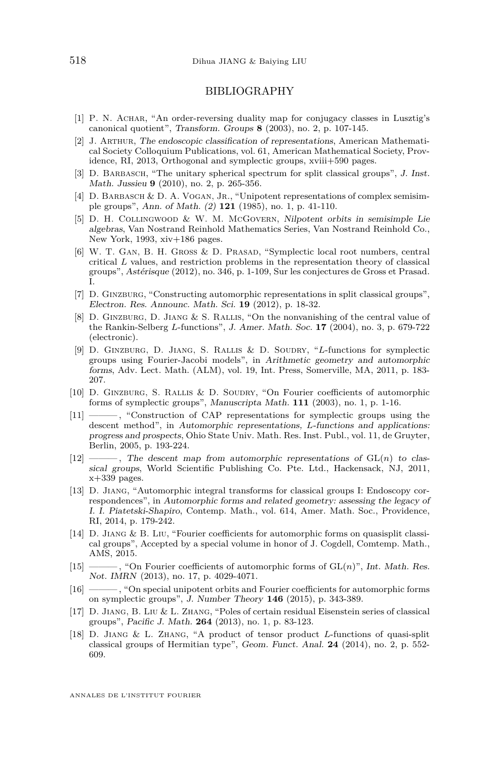#### BIBLIOGRAPHY

- <span id="page-42-17"></span>[1] P. N. Achar, "An order-reversing duality map for conjugacy classes in Lusztig's canonical quotient", Transform. Groups **8** (2003), no. 2, p. 107-145.
- <span id="page-42-10"></span>[2] J. Arthur, The endoscopic classification of representations, American Mathematical Society Colloquium Publications, vol. 61, American Mathematical Society, Providence, RI, 2013, Orthogonal and symplectic groups, xviii+590 pages.
- <span id="page-42-13"></span>[3] D. Barbasch, "The unitary spherical spectrum for split classical groups", J. Inst. Math. Jussieu **9** (2010), no. 2, p. 265-356.
- <span id="page-42-16"></span>[4] D. BARBASCH & D. A. VOGAN, JR., "Unipotent representations of complex semisimple groups", Ann. of Math. (2) **121** (1985), no. 1, p. 41-110.
- <span id="page-42-9"></span>[5] D. H. Collingwood & W. M. McGovern, Nilpotent orbits in semisimple Lie algebras, Van Nostrand Reinhold Mathematics Series, Van Nostrand Reinhold Co., New York, 1993, xiv+186 pages.
- <span id="page-42-5"></span>[6] W. T. Gan, B. H. Gross & D. Prasad, "Symplectic local root numbers, central critical *L* values, and restriction problems in the representation theory of classical groups", Astérisque (2012), no. 346, p. 1-109, Sur les conjectures de Gross et Prasad. I.
- <span id="page-42-7"></span>[7] D. Ginzburg, "Constructing automorphic representations in split classical groups", Electron. Res. Announc. Math. Sci. **19** (2012), p. 18-32.
- <span id="page-42-4"></span>[8] D. GINZBURG, D. JIANG & S. RALLIS, "On the nonvanishing of the central value of the Rankin-Selberg *L*-functions", J. Amer. Math. Soc. **17** (2004), no. 3, p. 679-722 (electronic).
- <span id="page-42-1"></span>[9] D. Ginzburg, D. Jiang, S. Rallis & D. Soudry, "*L*-functions for symplectic groups using Fourier-Jacobi models", in Arithmetic geometry and automorphic forms, Adv. Lect. Math. (ALM), vol. 19, Int. Press, Somerville, MA, 2011, p. 183- 207.
- <span id="page-42-14"></span>[10] D. Ginzburg, S. Rallis & D. Soudry, "On Fourier coefficients of automorphic forms of symplectic groups", Manuscripta Math. **111** (2003), no. 1, p. 1-16.
- <span id="page-42-15"></span>[11] ——— , "Construction of CAP representations for symplectic groups using the descent method", in Automorphic representations, *L*-functions and applications: progress and prospects, Ohio State Univ. Math. Res. Inst. Publ., vol. 11, de Gruyter, Berlin, 2005, p. 193-224.
- <span id="page-42-3"></span> $[12]$  ———, The descent map from automorphic representations of  $GL(n)$  to classical groups, World Scientific Publishing Co. Pte. Ltd., Hackensack, NJ, 2011,  $x+339$  pages.
- <span id="page-42-6"></span>[13] D. Jiang, "Automorphic integral transforms for classical groups I: Endoscopy correspondences", in Automorphic forms and related geometry: assessing the legacy of I. I. Piatetski-Shapiro, Contemp. Math., vol. 614, Amer. Math. Soc., Providence, RI, 2014, p. 179-242.
- <span id="page-42-12"></span>[14] D. Jiang & B. Liu, "Fourier coefficients for automorphic forms on quasisplit classical groups", Accepted by a special volume in honor of J. Cogdell, Comtemp. Math., AMS, 2015.
- <span id="page-42-0"></span>[15] ——— , "On Fourier coefficients of automorphic forms of GL(*n*)", Int. Math. Res. Not. IMRN (2013), no. 17, p. 4029-4071.
- <span id="page-42-8"></span>[16] ——— , "On special unipotent orbits and Fourier coefficients for automorphic forms on symplectic groups", J. Number Theory **146** (2015), p. 343-389.
- <span id="page-42-11"></span>[17] D. Jiang, B. Liu & L. Zhang, "Poles of certain residual Eisenstein series of classical groups", Pacific J. Math. **264** (2013), no. 1, p. 83-123.
- <span id="page-42-2"></span>[18] D. Jiang & L. Zhang, "A product of tensor product *L*-functions of quasi-split classical groups of Hermitian type", Geom. Funct. Anal. **24** (2014), no. 2, p. 552- 609.